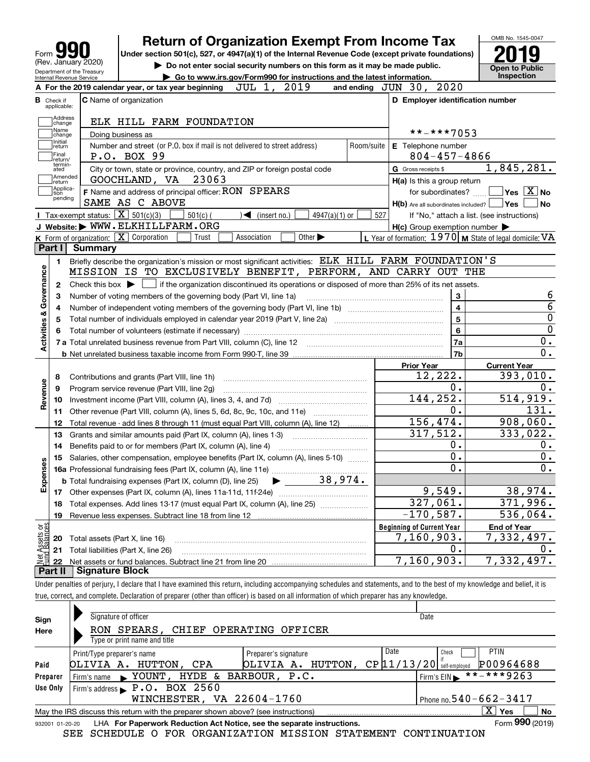| <b>Return of Organization Exempt From Income Tax</b>                                                                                                   |            |                                                           | OMB No. 1545-0047                                   |
|--------------------------------------------------------------------------------------------------------------------------------------------------------|------------|-----------------------------------------------------------|-----------------------------------------------------|
| Under section 501(c), 527, or 4947(a)(1) of the Internal Revenue Code (except private foundations)<br>Form                                             |            |                                                           |                                                     |
| (Rev. January 2020)<br>Do not enter social security numbers on this form as it may be made public.<br>Department of the Treasury                       |            |                                                           | <b>Open to Public</b>                               |
| Go to www.irs.gov/Form990 for instructions and the latest information.<br>Internal Revenue Service                                                     |            |                                                           | Inspection                                          |
| JUL 1, 2019<br>A For the 2019 calendar year, or tax year beginning                                                                                     |            | 2020<br>and ending $JUN$ 30,                              |                                                     |
| <b>C</b> Name of organization<br><b>B</b> Check if<br>applicable:                                                                                      |            | D Employer identification number                          |                                                     |
| Address<br>ELK HILL FARM FOUNDATION                                                                                                                    |            |                                                           |                                                     |
| change<br>Name<br>Doing business as<br>change                                                                                                          |            | **-***7053                                                |                                                     |
| Initial<br>Number and street (or P.O. box if mail is not delivered to street address)<br>return                                                        | Room/suite | E Telephone number                                        |                                                     |
| Final<br>P.O. BOX 99<br>return/                                                                                                                        |            | $804 - 457 - 4866$                                        |                                                     |
| termin-<br>City or town, state or province, country, and ZIP or foreign postal code<br>ated                                                            |            | G Gross receipts \$                                       | 1,845,281.                                          |
| Amended<br>23063<br>GOOCHLAND, VA<br>return                                                                                                            |            | H(a) Is this a group return                               |                                                     |
| Applica-<br>F Name and address of principal officer: RON SPEARS<br>tion                                                                                |            | for subordinates?                                         | $\sqrt{}$ Yes $\sqrt{}$ X $\sqrt{}$ No              |
| pending<br>SAME AS C ABOVE                                                                                                                             |            | $H(b)$ Are all subordinates included? $\Box$ Yes          | No                                                  |
| Tax-exempt status: $\boxed{\mathbf{X}}$ 501(c)(3)<br>$501(c)$ (<br>$\sqrt{\phantom{a}}$ (insert no.)<br>4947(a)(1) or                                  | 527        | If "No," attach a list. (see instructions)                |                                                     |
| J Website: WWW.ELKHILLFARM.ORG                                                                                                                         |            | $H(c)$ Group exemption number $\blacktriangleright$       |                                                     |
| K Form of organization: X Corporation<br>Association<br>Other $\blacktriangleright$<br>Trust                                                           |            | L Year of formation: $1970$ M State of legal domicile: VA |                                                     |
| Part I<br><b>Summary</b>                                                                                                                               |            |                                                           |                                                     |
| Briefly describe the organization's mission or most significant activities: ELK HILL FARM FOUNDATION'S<br>1.                                           |            |                                                           |                                                     |
| Governance<br>MISSION IS TO EXCLUSIVELY BENEFIT, PERFORM, AND CARRY OUT THE                                                                            |            |                                                           |                                                     |
| Check this box $\blacktriangleright$<br>if the organization discontinued its operations or disposed of more than 25% of its net assets.<br>2           |            |                                                           |                                                     |
| Number of voting members of the governing body (Part VI, line 1a)<br>З                                                                                 |            | 3                                                         | 6<br>$\overline{6}$                                 |
| 4                                                                                                                                                      |            | $\overline{\mathbf{4}}$<br>5                              |                                                     |
| 5                                                                                                                                                      |            |                                                           | $\mathbf 0$<br>$\mathbf 0$                          |
|                                                                                                                                                        |            | 6                                                         | 0.                                                  |
| <b>Activities &amp;</b>                                                                                                                                |            | 7a<br>7b                                                  | 0.                                                  |
|                                                                                                                                                        |            | <b>Prior Year</b>                                         | <b>Current Year</b>                                 |
|                                                                                                                                                        |            | 12,222.                                                   | 393,010.                                            |
| Contributions and grants (Part VIII, line 1h)<br>8<br>Program service revenue (Part VIII, line 2g)<br>9                                                |            | 0.                                                        | 0.                                                  |
| Revenue<br>10                                                                                                                                          |            | 144,252.                                                  | 514,919.                                            |
| Other revenue (Part VIII, column (A), lines 5, 6d, 8c, 9c, 10c, and 11e)<br>11                                                                         |            | 0.                                                        | 131.                                                |
| Total revenue - add lines 8 through 11 (must equal Part VIII, column (A), line 12)<br>12                                                               |            | 156,474.                                                  | 908,060.                                            |
| Grants and similar amounts paid (Part IX, column (A), lines 1-3)<br>13                                                                                 |            | 317,512.                                                  | 333,022.                                            |
| Benefits paid to or for members (Part IX, column (A), line 4)<br>14                                                                                    |            | 0.                                                        | 0.                                                  |
| Salaries, other compensation, employee benefits (Part IX, column (A), lines 5-10)<br>15                                                                |            | 0.                                                        | 0.                                                  |
| w<br>٥                                                                                                                                                 |            | $\overline{0}$ .                                          | 0.                                                  |
| 38,974.                                                                                                                                                |            |                                                           |                                                     |
|                                                                                                                                                        |            |                                                           |                                                     |
| <b>b</b> Total fundraising expenses (Part IX, column (D), line 25)                                                                                     |            |                                                           |                                                     |
| 17                                                                                                                                                     |            | 9,549.                                                    |                                                     |
| Total expenses. Add lines 13-17 (must equal Part IX, column (A), line 25)<br>18                                                                        |            | 327,061.                                                  |                                                     |
| Revenue less expenses. Subtract line 18 from line 12<br>19                                                                                             |            | $-170,587$ .                                              |                                                     |
|                                                                                                                                                        |            | <b>Beginning of Current Year</b>                          | <b>End of Year</b>                                  |
| Total assets (Part X, line 16)<br>20                                                                                                                   |            | 7,160,903.                                                | 38,974.<br>371,996.<br>536,064.<br>7,332,497.<br>0. |
| Expense<br>t Assets or<br>nd Balances<br>Total liabilities (Part X, line 26)<br>21<br>Net assets or fund balances. Subtract line 21 from line 20<br>22 |            | 0.<br>7,160,903.                                          | 7,332,497.                                          |

true, correct, and complete. Declaration of preparer (other than officer) is based on all information of which preparer has any knowledge.

| Sign     | Signature of officer                                                                                         | Date                                            |  |  |  |  |  |  |  |  |  |  |  |  |
|----------|--------------------------------------------------------------------------------------------------------------|-------------------------------------------------|--|--|--|--|--|--|--|--|--|--|--|--|
| Here     | RON SPEARS, CHIEF OPERATING OFFICER                                                                          |                                                 |  |  |  |  |  |  |  |  |  |  |  |  |
|          | Type or print name and title                                                                                 |                                                 |  |  |  |  |  |  |  |  |  |  |  |  |
|          | Print/Type preparer's name<br>Preparer's signature                                                           | Date<br><b>PTIN</b><br>Check                    |  |  |  |  |  |  |  |  |  |  |  |  |
| Paid     | OLIVIA A.<br>HUTTON,<br>HUTTON,<br>CPA<br>OLIVIA A.                                                          | P00964688<br>CP 11/13/20<br>self-emploved       |  |  |  |  |  |  |  |  |  |  |  |  |
| Preparer | HYDE & BARBOUR, P.C.<br>Firm's name $\bullet$ YOUNT,                                                         | $\frac{1}{11}$ * * - * * * 9263<br>Firm's $EIN$ |  |  |  |  |  |  |  |  |  |  |  |  |
| Use Only | Firm's address P.O. BOX 2560                                                                                 |                                                 |  |  |  |  |  |  |  |  |  |  |  |  |
|          | WINCHESTER, VA 22604-1760                                                                                    | Phone no. $540 - 662 - 3417$                    |  |  |  |  |  |  |  |  |  |  |  |  |
|          | May the IRS discuss this return with the preparer shown above? (see instructions)                            | x.<br>No<br>Yes                                 |  |  |  |  |  |  |  |  |  |  |  |  |
|          | Form 990 (2019)<br>LHA For Paperwork Reduction Act Notice, see the separate instructions.<br>932001 01-20-20 |                                                 |  |  |  |  |  |  |  |  |  |  |  |  |

SEE SCHEDULE O FOR ORGANIZATION MISSION STATEMENT CONTINUATION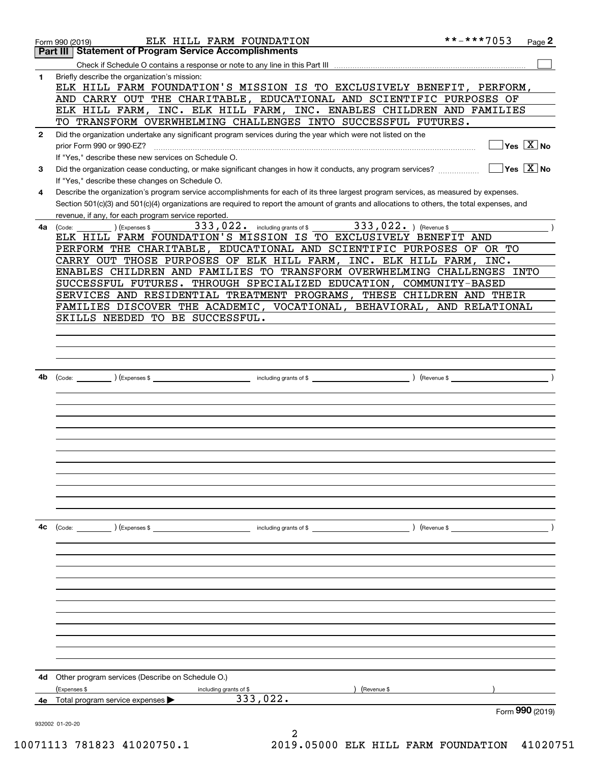|              | ELK HILL FARM FOUNDATION<br>Form 990 (2019)                                                                                                                                                         | **-***7053                         | Page 2                                    |
|--------------|-----------------------------------------------------------------------------------------------------------------------------------------------------------------------------------------------------|------------------------------------|-------------------------------------------|
|              | <b>Statement of Program Service Accomplishments</b><br>Part III                                                                                                                                     |                                    |                                           |
|              |                                                                                                                                                                                                     |                                    |                                           |
| 1            | Briefly describe the organization's mission:<br>ELK HILL FARM FOUNDATION'S MISSION IS TO EXCLUSIVELY BENEFIT, PERFORM,<br>AND CARRY OUT THE CHARITABLE, EDUCATIONAL AND SCIENTIFIC PURPOSES OF      |                                    |                                           |
|              | ELK HILL FARM, INC. ELK HILL FARM, INC. ENABLES CHILDREN AND FAMILIES                                                                                                                               |                                    |                                           |
|              | TO TRANSFORM OVERWHELMING CHALLENGES INTO SUCCESSFUL FUTURES.                                                                                                                                       |                                    |                                           |
| $\mathbf{2}$ | Did the organization undertake any significant program services during the year which were not listed on the<br>prior Form 990 or 990-EZ?                                                           |                                    | $\overline{\ }$ Yes $\overline{\rm X}$ No |
|              | If "Yes," describe these new services on Schedule O.                                                                                                                                                |                                    |                                           |
| З.           | Did the organization cease conducting, or make significant changes in how it conducts, any program services?<br>If "Yes," describe these changes on Schedule O.                                     | $\Box$ Yes $\boxed{\mathrm{X}}$ No |                                           |
| 4            | Describe the organization's program service accomplishments for each of its three largest program services, as measured by expenses.                                                                |                                    |                                           |
|              | Section 501(c)(3) and 501(c)(4) organizations are required to report the amount of grants and allocations to others, the total expenses, and<br>revenue, if any, for each program service reported. |                                    |                                           |
| 4a           | 333, 022. including grants of \$333, 022. ) (Revenue \$<br>Expenses \$<br>(Code:                                                                                                                    |                                    |                                           |
|              | ELK HILL FARM FOUNDATION'S MISSION IS TO EXCLUSIVELY BENEFIT AND                                                                                                                                    |                                    |                                           |
|              | PERFORM THE CHARITABLE, EDUCATIONAL AND SCIENTIFIC PURPOSES OF OR TO                                                                                                                                |                                    |                                           |
|              | CARRY OUT THOSE PURPOSES OF ELK HILL FARM, INC. ELK HILL FARM, INC.                                                                                                                                 |                                    |                                           |
|              | ENABLES CHILDREN AND FAMILIES TO TRANSFORM OVERWHELMING CHALLENGES INTO                                                                                                                             |                                    |                                           |
|              | SUCCESSFUL FUTURES. THROUGH SPECIALIZED EDUCATION, COMMUNITY-BASED                                                                                                                                  |                                    |                                           |
|              | SERVICES AND RESIDENTIAL TREATMENT PROGRAMS, THESE CHILDREN AND THEIR                                                                                                                               |                                    |                                           |
|              | FAMILIES DISCOVER THE ACADEMIC, VOCATIONAL, BEHAVIORAL, AND RELATIONAL                                                                                                                              |                                    |                                           |
|              | SKILLS NEEDED TO BE SUCCESSFUL.                                                                                                                                                                     |                                    |                                           |
|              |                                                                                                                                                                                                     |                                    |                                           |
|              |                                                                                                                                                                                                     |                                    |                                           |
|              |                                                                                                                                                                                                     |                                    |                                           |
| 4b           |                                                                                                                                                                                                     |                                    |                                           |
|              |                                                                                                                                                                                                     |                                    |                                           |
|              |                                                                                                                                                                                                     |                                    |                                           |
|              |                                                                                                                                                                                                     |                                    |                                           |
|              |                                                                                                                                                                                                     |                                    |                                           |
|              |                                                                                                                                                                                                     |                                    |                                           |
|              |                                                                                                                                                                                                     |                                    |                                           |
|              |                                                                                                                                                                                                     |                                    |                                           |
|              |                                                                                                                                                                                                     |                                    |                                           |
|              |                                                                                                                                                                                                     |                                    |                                           |
|              |                                                                                                                                                                                                     |                                    |                                           |
|              |                                                                                                                                                                                                     |                                    |                                           |
|              |                                                                                                                                                                                                     |                                    |                                           |
| 4c           | (Code: ) (Expenses \$<br>including grants of \$                                                                                                                                                     | ) (Revenue $\frac{1}{2}$           |                                           |
|              |                                                                                                                                                                                                     |                                    |                                           |
|              |                                                                                                                                                                                                     |                                    |                                           |
|              |                                                                                                                                                                                                     |                                    |                                           |
|              |                                                                                                                                                                                                     |                                    |                                           |
|              |                                                                                                                                                                                                     |                                    |                                           |
|              |                                                                                                                                                                                                     |                                    |                                           |
|              |                                                                                                                                                                                                     |                                    |                                           |
|              |                                                                                                                                                                                                     |                                    |                                           |
|              |                                                                                                                                                                                                     |                                    |                                           |
|              |                                                                                                                                                                                                     |                                    |                                           |
|              |                                                                                                                                                                                                     |                                    |                                           |
| 4d           | Other program services (Describe on Schedule O.)                                                                                                                                                    |                                    |                                           |
|              | (Expenses \$<br>(Revenue \$<br>including grants of \$<br>333,022.                                                                                                                                   |                                    |                                           |
| 4е           | Total program service expenses >                                                                                                                                                                    | Form 990 (2019)                    |                                           |
|              | 932002 01-20-20                                                                                                                                                                                     |                                    |                                           |
|              | 2                                                                                                                                                                                                   |                                    |                                           |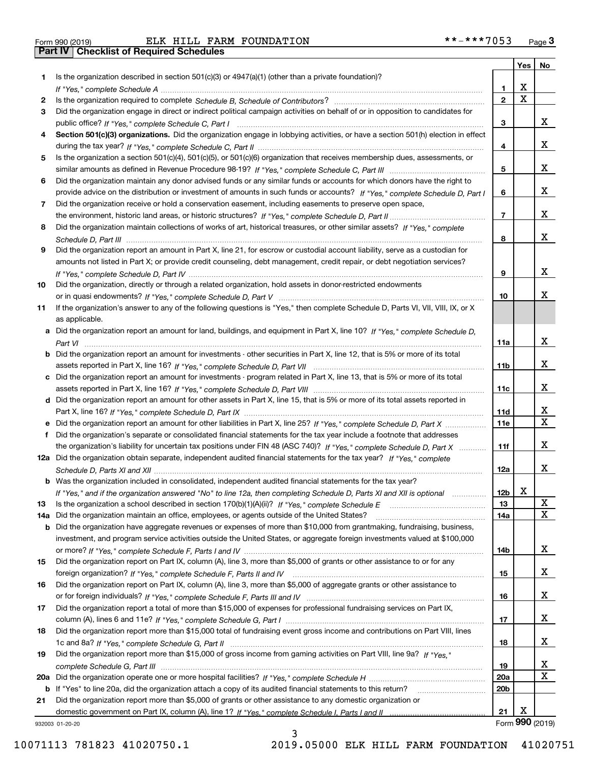| Form 990 (2019) |  |  |
|-----------------|--|--|

|     |                                                                                                                                       |                 |   | Yes   No        |
|-----|---------------------------------------------------------------------------------------------------------------------------------------|-----------------|---|-----------------|
| 1.  | Is the organization described in section $501(c)(3)$ or $4947(a)(1)$ (other than a private foundation)?                               |                 |   |                 |
|     |                                                                                                                                       | 1               | х |                 |
| 2   |                                                                                                                                       | $\overline{2}$  | X |                 |
| 3   | Did the organization engage in direct or indirect political campaign activities on behalf of or in opposition to candidates for       |                 |   |                 |
|     |                                                                                                                                       | 3               |   | x               |
| 4   | Section 501(c)(3) organizations. Did the organization engage in lobbying activities, or have a section 501(h) election in effect      |                 |   |                 |
|     |                                                                                                                                       | 4               |   | x               |
| 5   | Is the organization a section 501(c)(4), 501(c)(5), or 501(c)(6) organization that receives membership dues, assessments, or          |                 |   |                 |
|     |                                                                                                                                       | 5               |   | x               |
| 6   | Did the organization maintain any donor advised funds or any similar funds or accounts for which donors have the right to             |                 |   |                 |
|     | provide advice on the distribution or investment of amounts in such funds or accounts? If "Yes," complete Schedule D, Part I          | 6               |   | x               |
| 7   | Did the organization receive or hold a conservation easement, including easements to preserve open space,                             |                 |   |                 |
|     |                                                                                                                                       | $\overline{7}$  |   | x               |
| 8   | Did the organization maintain collections of works of art, historical treasures, or other similar assets? If "Yes," complete          |                 |   |                 |
|     |                                                                                                                                       | 8               |   | x               |
| 9   | Did the organization report an amount in Part X, line 21, for escrow or custodial account liability, serve as a custodian for         |                 |   |                 |
|     | amounts not listed in Part X; or provide credit counseling, debt management, credit repair, or debt negotiation services?             |                 |   |                 |
|     |                                                                                                                                       | 9               |   | x               |
| 10  | Did the organization, directly or through a related organization, hold assets in donor-restricted endowments                          |                 |   |                 |
|     |                                                                                                                                       | 10              |   | х               |
|     |                                                                                                                                       |                 |   |                 |
| 11  | If the organization's answer to any of the following questions is "Yes," then complete Schedule D, Parts VI, VII, VIII, IX, or X      |                 |   |                 |
|     | as applicable.                                                                                                                        |                 |   |                 |
|     | a Did the organization report an amount for land, buildings, and equipment in Part X, line 10? If "Yes," complete Schedule D,         |                 |   |                 |
|     |                                                                                                                                       | 11a             |   | x               |
|     | <b>b</b> Did the organization report an amount for investments - other securities in Part X, line 12, that is 5% or more of its total |                 |   | x               |
|     |                                                                                                                                       | 11 <sub>b</sub> |   |                 |
|     | c Did the organization report an amount for investments - program related in Part X, line 13, that is 5% or more of its total         |                 |   |                 |
|     |                                                                                                                                       | 11c             |   | x               |
|     | d Did the organization report an amount for other assets in Part X, line 15, that is 5% or more of its total assets reported in       |                 |   |                 |
|     |                                                                                                                                       | 11d             |   | х               |
|     |                                                                                                                                       | 11e             |   | X               |
| f.  | Did the organization's separate or consolidated financial statements for the tax year include a footnote that addresses               |                 |   |                 |
|     | the organization's liability for uncertain tax positions under FIN 48 (ASC 740)? If "Yes," complete Schedule D, Part X                | 11f             |   | x               |
|     | 12a Did the organization obtain separate, independent audited financial statements for the tax year? If "Yes," complete               |                 |   |                 |
|     |                                                                                                                                       | 12a             |   | x               |
|     | b Was the organization included in consolidated, independent audited financial statements for the tax year?                           |                 |   |                 |
|     | If "Yes," and if the organization answered "No" to line 12a, then completing Schedule D, Parts XI and XII is optional                 | 12 <sub>b</sub> | х |                 |
| 13  | Is the organization a school described in section 170(b)(1)(A)(ii)? If "Yes," complete Schedule E                                     | 13              |   | х               |
| 14a | Did the organization maintain an office, employees, or agents outside of the United States?                                           | 14a             |   | X               |
|     | <b>b</b> Did the organization have aggregate revenues or expenses of more than \$10,000 from grantmaking, fundraising, business,      |                 |   |                 |
|     | investment, and program service activities outside the United States, or aggregate foreign investments valued at \$100,000            |                 |   |                 |
|     |                                                                                                                                       | 14b             |   | x               |
| 15  | Did the organization report on Part IX, column (A), line 3, more than \$5,000 of grants or other assistance to or for any             |                 |   |                 |
|     |                                                                                                                                       | 15              |   | x               |
| 16  | Did the organization report on Part IX, column (A), line 3, more than \$5,000 of aggregate grants or other assistance to              |                 |   |                 |
|     |                                                                                                                                       | 16              |   | x               |
| 17  | Did the organization report a total of more than \$15,000 of expenses for professional fundraising services on Part IX,               |                 |   |                 |
|     |                                                                                                                                       | 17              |   | x               |
| 18  | Did the organization report more than \$15,000 total of fundraising event gross income and contributions on Part VIII, lines          |                 |   |                 |
|     |                                                                                                                                       | 18              |   | x               |
| 19  | Did the organization report more than \$15,000 of gross income from gaming activities on Part VIII, line 9a? If "Yes."                |                 |   |                 |
|     |                                                                                                                                       | 19              |   | x               |
| 20a |                                                                                                                                       | 20a             |   | X               |
|     | b If "Yes" to line 20a, did the organization attach a copy of its audited financial statements to this return?                        | 20 <sub>b</sub> |   |                 |
| 21  | Did the organization report more than \$5,000 of grants or other assistance to any domestic organization or                           |                 |   |                 |
|     |                                                                                                                                       | 21              | х |                 |
|     | 932003 01-20-20                                                                                                                       |                 |   | Form 990 (2019) |

3

932003 01-20-20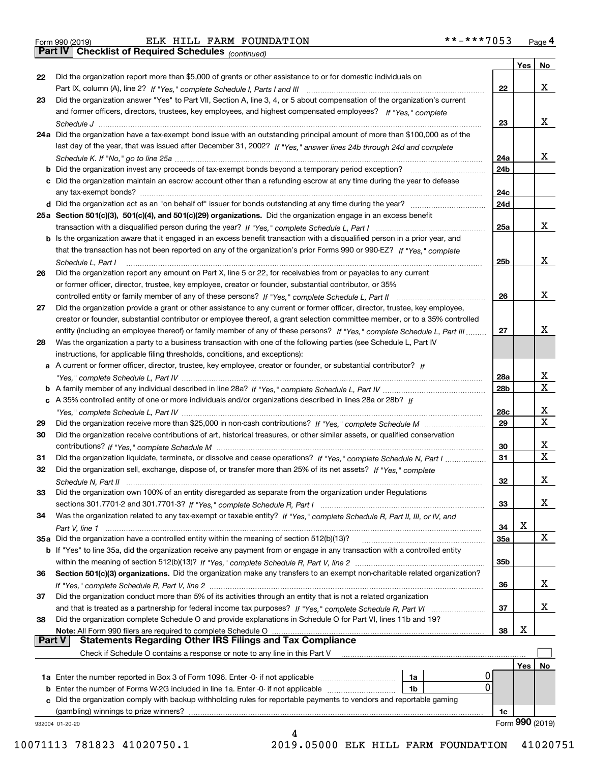| Form 990 (2019) |  |  |
|-----------------|--|--|

*(continued)*

|               |                                                                                                                                                                             |     | Yes | No              |
|---------------|-----------------------------------------------------------------------------------------------------------------------------------------------------------------------------|-----|-----|-----------------|
| 22            | Did the organization report more than \$5,000 of grants or other assistance to or for domestic individuals on                                                               |     |     |                 |
|               | Part IX, column (A), line 2? If "Yes," complete Schedule I, Parts I and III [11] [11] [12] [12] Part IX, column (A), line 2? If "Yes," complete Schedule I, Parts I and III | 22  |     | х               |
| 23            | Did the organization answer "Yes" to Part VII, Section A, line 3, 4, or 5 about compensation of the organization's current                                                  |     |     |                 |
|               | and former officers, directors, trustees, key employees, and highest compensated employees? If "Yes," complete                                                              |     |     |                 |
|               |                                                                                                                                                                             | 23  |     | х               |
|               | 24a Did the organization have a tax-exempt bond issue with an outstanding principal amount of more than \$100,000 as of the                                                 |     |     |                 |
|               | last day of the year, that was issued after December 31, 2002? If "Yes," answer lines 24b through 24d and complete                                                          |     |     |                 |
|               |                                                                                                                                                                             | 24a |     | х               |
|               | b Did the organization invest any proceeds of tax-exempt bonds beyond a temporary period exception?                                                                         | 24b |     |                 |
|               | c Did the organization maintain an escrow account other than a refunding escrow at any time during the year to defease                                                      |     |     |                 |
|               | any tax-exempt bonds?                                                                                                                                                       | 24c |     |                 |
|               |                                                                                                                                                                             | 24d |     |                 |
|               | 25a Section 501(c)(3), 501(c)(4), and 501(c)(29) organizations. Did the organization engage in an excess benefit                                                            |     |     |                 |
|               |                                                                                                                                                                             | 25a |     | x               |
|               | b Is the organization aware that it engaged in an excess benefit transaction with a disqualified person in a prior year, and                                                |     |     |                 |
|               | that the transaction has not been reported on any of the organization's prior Forms 990 or 990-EZ? If "Yes," complete                                                       |     |     |                 |
|               | Schedule L. Part I                                                                                                                                                          | 25b |     | х               |
| 26            | Did the organization report any amount on Part X, line 5 or 22, for receivables from or payables to any current                                                             |     |     |                 |
|               | or former officer, director, trustee, key employee, creator or founder, substantial contributor, or 35%                                                                     |     |     |                 |
|               |                                                                                                                                                                             | 26  |     | х               |
| 27            | Did the organization provide a grant or other assistance to any current or former officer, director, trustee, key employee,                                                 |     |     |                 |
|               | creator or founder, substantial contributor or employee thereof, a grant selection committee member, or to a 35% controlled                                                 |     |     |                 |
|               | entity (including an employee thereof) or family member of any of these persons? If "Yes," complete Schedule L, Part III                                                    | 27  |     | x               |
| 28            | Was the organization a party to a business transaction with one of the following parties (see Schedule L, Part IV                                                           |     |     |                 |
|               | instructions, for applicable filing thresholds, conditions, and exceptions):                                                                                                |     |     |                 |
|               | a A current or former officer, director, trustee, key employee, creator or founder, or substantial contributor? If                                                          |     |     |                 |
|               |                                                                                                                                                                             | 28a |     | х               |
|               |                                                                                                                                                                             | 28b |     | $\mathbf X$     |
|               | c A 35% controlled entity of one or more individuals and/or organizations described in lines 28a or 28b? If                                                                 |     |     |                 |
|               |                                                                                                                                                                             | 28c |     | х               |
| 29            |                                                                                                                                                                             | 29  |     | X               |
| 30            | Did the organization receive contributions of art, historical treasures, or other similar assets, or qualified conservation                                                 |     |     |                 |
|               |                                                                                                                                                                             | 30  |     | х               |
| 31            | Did the organization liquidate, terminate, or dissolve and cease operations? If "Yes," complete Schedule N, Part I                                                          | 31  |     | $\mathbf x$     |
| 32            | Did the organization sell, exchange, dispose of, or transfer more than 25% of its net assets? If "Yes." complete                                                            |     |     |                 |
|               | Schedule N, Part II                                                                                                                                                         | 32  |     | х               |
| 33            | Did the organization own 100% of an entity disregarded as separate from the organization under Regulations                                                                  |     |     |                 |
|               |                                                                                                                                                                             | 33  |     | х               |
| 34            | Was the organization related to any tax-exempt or taxable entity? If "Yes," complete Schedule R, Part II, III, or IV, and                                                   |     |     |                 |
|               |                                                                                                                                                                             | 34  | х   |                 |
|               | 35a Did the organization have a controlled entity within the meaning of section 512(b)(13)?                                                                                 | 35a |     | X               |
|               | b If "Yes" to line 35a, did the organization receive any payment from or engage in any transaction with a controlled entity                                                 |     |     |                 |
|               |                                                                                                                                                                             | 35b |     |                 |
| 36            | Section 501(c)(3) organizations. Did the organization make any transfers to an exempt non-charitable related organization?                                                  |     |     |                 |
|               |                                                                                                                                                                             | 36  |     | х               |
| 37            | Did the organization conduct more than 5% of its activities through an entity that is not a related organization                                                            |     |     |                 |
|               | and that is treated as a partnership for federal income tax purposes? If "Yes," complete Schedule R, Part VI                                                                | 37  |     | х               |
| 38            | Did the organization complete Schedule O and provide explanations in Schedule O for Part VI, lines 11b and 19?                                                              |     |     |                 |
|               | Note: All Form 990 filers are required to complete Schedule O                                                                                                               | 38  | х   |                 |
| <b>Part V</b> | <b>Statements Regarding Other IRS Filings and Tax Compliance</b>                                                                                                            |     |     |                 |
|               | Check if Schedule O contains a response or note to any line in this Part V                                                                                                  |     |     |                 |
|               |                                                                                                                                                                             |     | Yes | No              |
|               | <b>1a</b> Enter the number reported in Box 3 of Form 1096. Enter -0- if not applicable <i>manumumumum</i><br>1a                                                             |     |     |                 |
|               | 0<br><b>b</b> Enter the number of Forms W-2G included in line 1a. Enter -0- if not applicable<br>1b                                                                         |     |     |                 |
|               | c Did the organization comply with backup withholding rules for reportable payments to vendors and reportable gaming                                                        |     |     |                 |
|               | (gambling) winnings to prize winners?                                                                                                                                       | 1c  |     |                 |
|               | 932004 01-20-20                                                                                                                                                             |     |     | Form 990 (2019) |
|               |                                                                                                                                                                             |     |     |                 |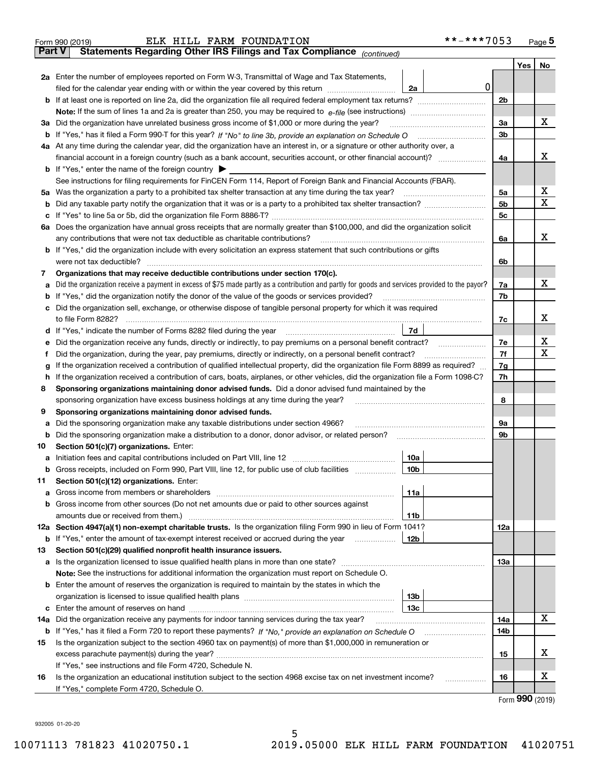| Part V<br>Yes $ $<br>No<br>2a Enter the number of employees reported on Form W-3, Transmittal of Wage and Tax Statements,<br>$\mathbf 0$<br>filed for the calendar year ending with or within the year covered by this return [11] [11] filed for the calendar year ending with or within the year covered by this return<br>2a<br>2 <sub>b</sub><br>Note: If the sum of lines 1a and 2a is greater than 250, you may be required to $e$ -file (see instructions) <i>marrouum</i> manu-<br>х<br>3a Did the organization have unrelated business gross income of \$1,000 or more during the year?<br>3a<br>3 <sub>b</sub><br>4a At any time during the calendar year, did the organization have an interest in, or a signature or other authority over, a<br>х<br>4a<br><b>b</b> If "Yes," enter the name of the foreign country $\blacktriangleright$<br>See instructions for filing requirements for FinCEN Form 114, Report of Foreign Bank and Financial Accounts (FBAR).<br>x<br>5a Was the organization a party to a prohibited tax shelter transaction at any time during the tax year?<br>5a<br>X<br>5 <sub>b</sub><br>b<br>5c<br>c<br>6a Does the organization have annual gross receipts that are normally greater than \$100,000, and did the organization solicit<br>x<br>any contributions that were not tax deductible as charitable contributions?<br>6a<br>b If "Yes," did the organization include with every solicitation an express statement that such contributions or gifts<br>were not tax deductible?<br>6b<br>Organizations that may receive deductible contributions under section 170(c).<br>7<br>x<br>Did the organization receive a payment in excess of \$75 made partly as a contribution and partly for goods and services provided to the payor?<br>7a<br>а<br>7b<br>If "Yes," did the organization notify the donor of the value of the goods or services provided?<br>b<br>c Did the organization sell, exchange, or otherwise dispose of tangible personal property for which it was required<br>х<br>7c<br>7d<br>d If "Yes," indicate the number of Forms 8282 filed during the year manufacture intervent in the set of the N<br>x<br>7e<br>Did the organization receive any funds, directly or indirectly, to pay premiums on a personal benefit contract?<br>е<br>X<br>7f<br>Did the organization, during the year, pay premiums, directly or indirectly, on a personal benefit contract?<br>If the organization received a contribution of qualified intellectual property, did the organization file Form 8899 as required?<br>7g<br>g<br>7h<br>If the organization received a contribution of cars, boats, airplanes, or other vehicles, did the organization file a Form 1098-C?<br>h.<br>Sponsoring organizations maintaining donor advised funds. Did a donor advised fund maintained by the<br>8<br>8<br>sponsoring organization have excess business holdings at any time during the year?<br>Sponsoring organizations maintaining donor advised funds.<br>9<br>Did the sponsoring organization make any taxable distributions under section 4966?<br>9а<br>а<br>9b<br>b<br>Section 501(c)(7) organizations. Enter:<br>10<br>10a  <br>Gross receipts, included on Form 990, Part VIII, line 12, for public use of club facilities manuscum<br>10b<br>b<br>Section 501(c)(12) organizations. Enter:<br>11<br>11a<br>а<br>b Gross income from other sources (Do not net amounts due or paid to other sources against<br>11b<br>12a Section 4947(a)(1) non-exempt charitable trusts. Is the organization filing Form 990 in lieu of Form 1041?<br>12a<br><b>b</b> If "Yes," enter the amount of tax-exempt interest received or accrued during the year<br>12b<br>Section 501(c)(29) qualified nonprofit health insurance issuers.<br>13<br>a Is the organization licensed to issue qualified health plans in more than one state?<br>13а<br>Note: See the instructions for additional information the organization must report on Schedule O.<br><b>b</b> Enter the amount of reserves the organization is required to maintain by the states in which the<br>13 <sub>b</sub><br>13с<br>х<br>Did the organization receive any payments for indoor tanning services during the tax year?<br>14a<br>14a<br>14b<br>Is the organization subject to the section 4960 tax on payment(s) of more than \$1,000,000 in remuneration or<br>15<br>х<br>15<br>If "Yes," see instructions and file Form 4720, Schedule N.<br>х<br>Is the organization an educational institution subject to the section 4968 excise tax on net investment income?<br>16<br>16<br>.<br>If "Yes," complete Form 4720, Schedule O.<br>$F_{\text{Orm}}$ 990 (2010) | **-***7053<br>ELK HILL FARM FOUNDATION<br>Form 990 (2019)             |  | $Page$ <sup>5</sup> |
|--------------------------------------------------------------------------------------------------------------------------------------------------------------------------------------------------------------------------------------------------------------------------------------------------------------------------------------------------------------------------------------------------------------------------------------------------------------------------------------------------------------------------------------------------------------------------------------------------------------------------------------------------------------------------------------------------------------------------------------------------------------------------------------------------------------------------------------------------------------------------------------------------------------------------------------------------------------------------------------------------------------------------------------------------------------------------------------------------------------------------------------------------------------------------------------------------------------------------------------------------------------------------------------------------------------------------------------------------------------------------------------------------------------------------------------------------------------------------------------------------------------------------------------------------------------------------------------------------------------------------------------------------------------------------------------------------------------------------------------------------------------------------------------------------------------------------------------------------------------------------------------------------------------------------------------------------------------------------------------------------------------------------------------------------------------------------------------------------------------------------------------------------------------------------------------------------------------------------------------------------------------------------------------------------------------------------------------------------------------------------------------------------------------------------------------------------------------------------------------------------------------------------------------------------------------------------------------------------------------------------------------------------------------------------------------------------------------------------------------------------------------------------------------------------------------------------------------------------------------------------------------------------------------------------------------------------------------------------------------------------------------------------------------------------------------------------------------------------------------------------------------------------------------------------------------------------------------------------------------------------------------------------------------------------------------------------------------------------------------------------------------------------------------------------------------------------------------------------------------------------------------------------------------------------------------------------------------------------------------------------------------------------------------------------------------------------------------------------------------------------------------------------------------------------------------------------------------------------------------------------------------------------------------------------------------------------------------------------------------------------------------------------------------------------------------------------------------------------------------------------------------------------------------------------------------------------------------------------------------------------------------------------------------------------------------------------------------------------------------------------------------------------------------------------------------------------------------------------------------------------------------------------------------------------------------------------------------------------------------------------------------------------------------------------------|-----------------------------------------------------------------------|--|---------------------|
|                                                                                                                                                                                                                                                                                                                                                                                                                                                                                                                                                                                                                                                                                                                                                                                                                                                                                                                                                                                                                                                                                                                                                                                                                                                                                                                                                                                                                                                                                                                                                                                                                                                                                                                                                                                                                                                                                                                                                                                                                                                                                                                                                                                                                                                                                                                                                                                                                                                                                                                                                                                                                                                                                                                                                                                                                                                                                                                                                                                                                                                                                                                                                                                                                                                                                                                                                                                                                                                                                                                                                                                                                                                                                                                                                                                                                                                                                                                                                                                                                                                                                                                                                                                                                                                                                                                                                                                                                                                                                                                                                                                                                                                                                | Statements Regarding Other IRS Filings and Tax Compliance (continued) |  |                     |
|                                                                                                                                                                                                                                                                                                                                                                                                                                                                                                                                                                                                                                                                                                                                                                                                                                                                                                                                                                                                                                                                                                                                                                                                                                                                                                                                                                                                                                                                                                                                                                                                                                                                                                                                                                                                                                                                                                                                                                                                                                                                                                                                                                                                                                                                                                                                                                                                                                                                                                                                                                                                                                                                                                                                                                                                                                                                                                                                                                                                                                                                                                                                                                                                                                                                                                                                                                                                                                                                                                                                                                                                                                                                                                                                                                                                                                                                                                                                                                                                                                                                                                                                                                                                                                                                                                                                                                                                                                                                                                                                                                                                                                                                                |                                                                       |  |                     |
|                                                                                                                                                                                                                                                                                                                                                                                                                                                                                                                                                                                                                                                                                                                                                                                                                                                                                                                                                                                                                                                                                                                                                                                                                                                                                                                                                                                                                                                                                                                                                                                                                                                                                                                                                                                                                                                                                                                                                                                                                                                                                                                                                                                                                                                                                                                                                                                                                                                                                                                                                                                                                                                                                                                                                                                                                                                                                                                                                                                                                                                                                                                                                                                                                                                                                                                                                                                                                                                                                                                                                                                                                                                                                                                                                                                                                                                                                                                                                                                                                                                                                                                                                                                                                                                                                                                                                                                                                                                                                                                                                                                                                                                                                |                                                                       |  |                     |
|                                                                                                                                                                                                                                                                                                                                                                                                                                                                                                                                                                                                                                                                                                                                                                                                                                                                                                                                                                                                                                                                                                                                                                                                                                                                                                                                                                                                                                                                                                                                                                                                                                                                                                                                                                                                                                                                                                                                                                                                                                                                                                                                                                                                                                                                                                                                                                                                                                                                                                                                                                                                                                                                                                                                                                                                                                                                                                                                                                                                                                                                                                                                                                                                                                                                                                                                                                                                                                                                                                                                                                                                                                                                                                                                                                                                                                                                                                                                                                                                                                                                                                                                                                                                                                                                                                                                                                                                                                                                                                                                                                                                                                                                                |                                                                       |  |                     |
|                                                                                                                                                                                                                                                                                                                                                                                                                                                                                                                                                                                                                                                                                                                                                                                                                                                                                                                                                                                                                                                                                                                                                                                                                                                                                                                                                                                                                                                                                                                                                                                                                                                                                                                                                                                                                                                                                                                                                                                                                                                                                                                                                                                                                                                                                                                                                                                                                                                                                                                                                                                                                                                                                                                                                                                                                                                                                                                                                                                                                                                                                                                                                                                                                                                                                                                                                                                                                                                                                                                                                                                                                                                                                                                                                                                                                                                                                                                                                                                                                                                                                                                                                                                                                                                                                                                                                                                                                                                                                                                                                                                                                                                                                |                                                                       |  |                     |
|                                                                                                                                                                                                                                                                                                                                                                                                                                                                                                                                                                                                                                                                                                                                                                                                                                                                                                                                                                                                                                                                                                                                                                                                                                                                                                                                                                                                                                                                                                                                                                                                                                                                                                                                                                                                                                                                                                                                                                                                                                                                                                                                                                                                                                                                                                                                                                                                                                                                                                                                                                                                                                                                                                                                                                                                                                                                                                                                                                                                                                                                                                                                                                                                                                                                                                                                                                                                                                                                                                                                                                                                                                                                                                                                                                                                                                                                                                                                                                                                                                                                                                                                                                                                                                                                                                                                                                                                                                                                                                                                                                                                                                                                                |                                                                       |  |                     |
|                                                                                                                                                                                                                                                                                                                                                                                                                                                                                                                                                                                                                                                                                                                                                                                                                                                                                                                                                                                                                                                                                                                                                                                                                                                                                                                                                                                                                                                                                                                                                                                                                                                                                                                                                                                                                                                                                                                                                                                                                                                                                                                                                                                                                                                                                                                                                                                                                                                                                                                                                                                                                                                                                                                                                                                                                                                                                                                                                                                                                                                                                                                                                                                                                                                                                                                                                                                                                                                                                                                                                                                                                                                                                                                                                                                                                                                                                                                                                                                                                                                                                                                                                                                                                                                                                                                                                                                                                                                                                                                                                                                                                                                                                |                                                                       |  |                     |
|                                                                                                                                                                                                                                                                                                                                                                                                                                                                                                                                                                                                                                                                                                                                                                                                                                                                                                                                                                                                                                                                                                                                                                                                                                                                                                                                                                                                                                                                                                                                                                                                                                                                                                                                                                                                                                                                                                                                                                                                                                                                                                                                                                                                                                                                                                                                                                                                                                                                                                                                                                                                                                                                                                                                                                                                                                                                                                                                                                                                                                                                                                                                                                                                                                                                                                                                                                                                                                                                                                                                                                                                                                                                                                                                                                                                                                                                                                                                                                                                                                                                                                                                                                                                                                                                                                                                                                                                                                                                                                                                                                                                                                                                                |                                                                       |  |                     |
|                                                                                                                                                                                                                                                                                                                                                                                                                                                                                                                                                                                                                                                                                                                                                                                                                                                                                                                                                                                                                                                                                                                                                                                                                                                                                                                                                                                                                                                                                                                                                                                                                                                                                                                                                                                                                                                                                                                                                                                                                                                                                                                                                                                                                                                                                                                                                                                                                                                                                                                                                                                                                                                                                                                                                                                                                                                                                                                                                                                                                                                                                                                                                                                                                                                                                                                                                                                                                                                                                                                                                                                                                                                                                                                                                                                                                                                                                                                                                                                                                                                                                                                                                                                                                                                                                                                                                                                                                                                                                                                                                                                                                                                                                |                                                                       |  |                     |
|                                                                                                                                                                                                                                                                                                                                                                                                                                                                                                                                                                                                                                                                                                                                                                                                                                                                                                                                                                                                                                                                                                                                                                                                                                                                                                                                                                                                                                                                                                                                                                                                                                                                                                                                                                                                                                                                                                                                                                                                                                                                                                                                                                                                                                                                                                                                                                                                                                                                                                                                                                                                                                                                                                                                                                                                                                                                                                                                                                                                                                                                                                                                                                                                                                                                                                                                                                                                                                                                                                                                                                                                                                                                                                                                                                                                                                                                                                                                                                                                                                                                                                                                                                                                                                                                                                                                                                                                                                                                                                                                                                                                                                                                                |                                                                       |  |                     |
|                                                                                                                                                                                                                                                                                                                                                                                                                                                                                                                                                                                                                                                                                                                                                                                                                                                                                                                                                                                                                                                                                                                                                                                                                                                                                                                                                                                                                                                                                                                                                                                                                                                                                                                                                                                                                                                                                                                                                                                                                                                                                                                                                                                                                                                                                                                                                                                                                                                                                                                                                                                                                                                                                                                                                                                                                                                                                                                                                                                                                                                                                                                                                                                                                                                                                                                                                                                                                                                                                                                                                                                                                                                                                                                                                                                                                                                                                                                                                                                                                                                                                                                                                                                                                                                                                                                                                                                                                                                                                                                                                                                                                                                                                |                                                                       |  |                     |
|                                                                                                                                                                                                                                                                                                                                                                                                                                                                                                                                                                                                                                                                                                                                                                                                                                                                                                                                                                                                                                                                                                                                                                                                                                                                                                                                                                                                                                                                                                                                                                                                                                                                                                                                                                                                                                                                                                                                                                                                                                                                                                                                                                                                                                                                                                                                                                                                                                                                                                                                                                                                                                                                                                                                                                                                                                                                                                                                                                                                                                                                                                                                                                                                                                                                                                                                                                                                                                                                                                                                                                                                                                                                                                                                                                                                                                                                                                                                                                                                                                                                                                                                                                                                                                                                                                                                                                                                                                                                                                                                                                                                                                                                                |                                                                       |  |                     |
|                                                                                                                                                                                                                                                                                                                                                                                                                                                                                                                                                                                                                                                                                                                                                                                                                                                                                                                                                                                                                                                                                                                                                                                                                                                                                                                                                                                                                                                                                                                                                                                                                                                                                                                                                                                                                                                                                                                                                                                                                                                                                                                                                                                                                                                                                                                                                                                                                                                                                                                                                                                                                                                                                                                                                                                                                                                                                                                                                                                                                                                                                                                                                                                                                                                                                                                                                                                                                                                                                                                                                                                                                                                                                                                                                                                                                                                                                                                                                                                                                                                                                                                                                                                                                                                                                                                                                                                                                                                                                                                                                                                                                                                                                |                                                                       |  |                     |
|                                                                                                                                                                                                                                                                                                                                                                                                                                                                                                                                                                                                                                                                                                                                                                                                                                                                                                                                                                                                                                                                                                                                                                                                                                                                                                                                                                                                                                                                                                                                                                                                                                                                                                                                                                                                                                                                                                                                                                                                                                                                                                                                                                                                                                                                                                                                                                                                                                                                                                                                                                                                                                                                                                                                                                                                                                                                                                                                                                                                                                                                                                                                                                                                                                                                                                                                                                                                                                                                                                                                                                                                                                                                                                                                                                                                                                                                                                                                                                                                                                                                                                                                                                                                                                                                                                                                                                                                                                                                                                                                                                                                                                                                                |                                                                       |  |                     |
|                                                                                                                                                                                                                                                                                                                                                                                                                                                                                                                                                                                                                                                                                                                                                                                                                                                                                                                                                                                                                                                                                                                                                                                                                                                                                                                                                                                                                                                                                                                                                                                                                                                                                                                                                                                                                                                                                                                                                                                                                                                                                                                                                                                                                                                                                                                                                                                                                                                                                                                                                                                                                                                                                                                                                                                                                                                                                                                                                                                                                                                                                                                                                                                                                                                                                                                                                                                                                                                                                                                                                                                                                                                                                                                                                                                                                                                                                                                                                                                                                                                                                                                                                                                                                                                                                                                                                                                                                                                                                                                                                                                                                                                                                |                                                                       |  |                     |
|                                                                                                                                                                                                                                                                                                                                                                                                                                                                                                                                                                                                                                                                                                                                                                                                                                                                                                                                                                                                                                                                                                                                                                                                                                                                                                                                                                                                                                                                                                                                                                                                                                                                                                                                                                                                                                                                                                                                                                                                                                                                                                                                                                                                                                                                                                                                                                                                                                                                                                                                                                                                                                                                                                                                                                                                                                                                                                                                                                                                                                                                                                                                                                                                                                                                                                                                                                                                                                                                                                                                                                                                                                                                                                                                                                                                                                                                                                                                                                                                                                                                                                                                                                                                                                                                                                                                                                                                                                                                                                                                                                                                                                                                                |                                                                       |  |                     |
|                                                                                                                                                                                                                                                                                                                                                                                                                                                                                                                                                                                                                                                                                                                                                                                                                                                                                                                                                                                                                                                                                                                                                                                                                                                                                                                                                                                                                                                                                                                                                                                                                                                                                                                                                                                                                                                                                                                                                                                                                                                                                                                                                                                                                                                                                                                                                                                                                                                                                                                                                                                                                                                                                                                                                                                                                                                                                                                                                                                                                                                                                                                                                                                                                                                                                                                                                                                                                                                                                                                                                                                                                                                                                                                                                                                                                                                                                                                                                                                                                                                                                                                                                                                                                                                                                                                                                                                                                                                                                                                                                                                                                                                                                |                                                                       |  |                     |
|                                                                                                                                                                                                                                                                                                                                                                                                                                                                                                                                                                                                                                                                                                                                                                                                                                                                                                                                                                                                                                                                                                                                                                                                                                                                                                                                                                                                                                                                                                                                                                                                                                                                                                                                                                                                                                                                                                                                                                                                                                                                                                                                                                                                                                                                                                                                                                                                                                                                                                                                                                                                                                                                                                                                                                                                                                                                                                                                                                                                                                                                                                                                                                                                                                                                                                                                                                                                                                                                                                                                                                                                                                                                                                                                                                                                                                                                                                                                                                                                                                                                                                                                                                                                                                                                                                                                                                                                                                                                                                                                                                                                                                                                                |                                                                       |  |                     |
|                                                                                                                                                                                                                                                                                                                                                                                                                                                                                                                                                                                                                                                                                                                                                                                                                                                                                                                                                                                                                                                                                                                                                                                                                                                                                                                                                                                                                                                                                                                                                                                                                                                                                                                                                                                                                                                                                                                                                                                                                                                                                                                                                                                                                                                                                                                                                                                                                                                                                                                                                                                                                                                                                                                                                                                                                                                                                                                                                                                                                                                                                                                                                                                                                                                                                                                                                                                                                                                                                                                                                                                                                                                                                                                                                                                                                                                                                                                                                                                                                                                                                                                                                                                                                                                                                                                                                                                                                                                                                                                                                                                                                                                                                |                                                                       |  |                     |
|                                                                                                                                                                                                                                                                                                                                                                                                                                                                                                                                                                                                                                                                                                                                                                                                                                                                                                                                                                                                                                                                                                                                                                                                                                                                                                                                                                                                                                                                                                                                                                                                                                                                                                                                                                                                                                                                                                                                                                                                                                                                                                                                                                                                                                                                                                                                                                                                                                                                                                                                                                                                                                                                                                                                                                                                                                                                                                                                                                                                                                                                                                                                                                                                                                                                                                                                                                                                                                                                                                                                                                                                                                                                                                                                                                                                                                                                                                                                                                                                                                                                                                                                                                                                                                                                                                                                                                                                                                                                                                                                                                                                                                                                                |                                                                       |  |                     |
|                                                                                                                                                                                                                                                                                                                                                                                                                                                                                                                                                                                                                                                                                                                                                                                                                                                                                                                                                                                                                                                                                                                                                                                                                                                                                                                                                                                                                                                                                                                                                                                                                                                                                                                                                                                                                                                                                                                                                                                                                                                                                                                                                                                                                                                                                                                                                                                                                                                                                                                                                                                                                                                                                                                                                                                                                                                                                                                                                                                                                                                                                                                                                                                                                                                                                                                                                                                                                                                                                                                                                                                                                                                                                                                                                                                                                                                                                                                                                                                                                                                                                                                                                                                                                                                                                                                                                                                                                                                                                                                                                                                                                                                                                |                                                                       |  |                     |
|                                                                                                                                                                                                                                                                                                                                                                                                                                                                                                                                                                                                                                                                                                                                                                                                                                                                                                                                                                                                                                                                                                                                                                                                                                                                                                                                                                                                                                                                                                                                                                                                                                                                                                                                                                                                                                                                                                                                                                                                                                                                                                                                                                                                                                                                                                                                                                                                                                                                                                                                                                                                                                                                                                                                                                                                                                                                                                                                                                                                                                                                                                                                                                                                                                                                                                                                                                                                                                                                                                                                                                                                                                                                                                                                                                                                                                                                                                                                                                                                                                                                                                                                                                                                                                                                                                                                                                                                                                                                                                                                                                                                                                                                                |                                                                       |  |                     |
|                                                                                                                                                                                                                                                                                                                                                                                                                                                                                                                                                                                                                                                                                                                                                                                                                                                                                                                                                                                                                                                                                                                                                                                                                                                                                                                                                                                                                                                                                                                                                                                                                                                                                                                                                                                                                                                                                                                                                                                                                                                                                                                                                                                                                                                                                                                                                                                                                                                                                                                                                                                                                                                                                                                                                                                                                                                                                                                                                                                                                                                                                                                                                                                                                                                                                                                                                                                                                                                                                                                                                                                                                                                                                                                                                                                                                                                                                                                                                                                                                                                                                                                                                                                                                                                                                                                                                                                                                                                                                                                                                                                                                                                                                |                                                                       |  |                     |
|                                                                                                                                                                                                                                                                                                                                                                                                                                                                                                                                                                                                                                                                                                                                                                                                                                                                                                                                                                                                                                                                                                                                                                                                                                                                                                                                                                                                                                                                                                                                                                                                                                                                                                                                                                                                                                                                                                                                                                                                                                                                                                                                                                                                                                                                                                                                                                                                                                                                                                                                                                                                                                                                                                                                                                                                                                                                                                                                                                                                                                                                                                                                                                                                                                                                                                                                                                                                                                                                                                                                                                                                                                                                                                                                                                                                                                                                                                                                                                                                                                                                                                                                                                                                                                                                                                                                                                                                                                                                                                                                                                                                                                                                                |                                                                       |  |                     |
|                                                                                                                                                                                                                                                                                                                                                                                                                                                                                                                                                                                                                                                                                                                                                                                                                                                                                                                                                                                                                                                                                                                                                                                                                                                                                                                                                                                                                                                                                                                                                                                                                                                                                                                                                                                                                                                                                                                                                                                                                                                                                                                                                                                                                                                                                                                                                                                                                                                                                                                                                                                                                                                                                                                                                                                                                                                                                                                                                                                                                                                                                                                                                                                                                                                                                                                                                                                                                                                                                                                                                                                                                                                                                                                                                                                                                                                                                                                                                                                                                                                                                                                                                                                                                                                                                                                                                                                                                                                                                                                                                                                                                                                                                |                                                                       |  |                     |
|                                                                                                                                                                                                                                                                                                                                                                                                                                                                                                                                                                                                                                                                                                                                                                                                                                                                                                                                                                                                                                                                                                                                                                                                                                                                                                                                                                                                                                                                                                                                                                                                                                                                                                                                                                                                                                                                                                                                                                                                                                                                                                                                                                                                                                                                                                                                                                                                                                                                                                                                                                                                                                                                                                                                                                                                                                                                                                                                                                                                                                                                                                                                                                                                                                                                                                                                                                                                                                                                                                                                                                                                                                                                                                                                                                                                                                                                                                                                                                                                                                                                                                                                                                                                                                                                                                                                                                                                                                                                                                                                                                                                                                                                                |                                                                       |  |                     |
|                                                                                                                                                                                                                                                                                                                                                                                                                                                                                                                                                                                                                                                                                                                                                                                                                                                                                                                                                                                                                                                                                                                                                                                                                                                                                                                                                                                                                                                                                                                                                                                                                                                                                                                                                                                                                                                                                                                                                                                                                                                                                                                                                                                                                                                                                                                                                                                                                                                                                                                                                                                                                                                                                                                                                                                                                                                                                                                                                                                                                                                                                                                                                                                                                                                                                                                                                                                                                                                                                                                                                                                                                                                                                                                                                                                                                                                                                                                                                                                                                                                                                                                                                                                                                                                                                                                                                                                                                                                                                                                                                                                                                                                                                |                                                                       |  |                     |
|                                                                                                                                                                                                                                                                                                                                                                                                                                                                                                                                                                                                                                                                                                                                                                                                                                                                                                                                                                                                                                                                                                                                                                                                                                                                                                                                                                                                                                                                                                                                                                                                                                                                                                                                                                                                                                                                                                                                                                                                                                                                                                                                                                                                                                                                                                                                                                                                                                                                                                                                                                                                                                                                                                                                                                                                                                                                                                                                                                                                                                                                                                                                                                                                                                                                                                                                                                                                                                                                                                                                                                                                                                                                                                                                                                                                                                                                                                                                                                                                                                                                                                                                                                                                                                                                                                                                                                                                                                                                                                                                                                                                                                                                                |                                                                       |  |                     |
|                                                                                                                                                                                                                                                                                                                                                                                                                                                                                                                                                                                                                                                                                                                                                                                                                                                                                                                                                                                                                                                                                                                                                                                                                                                                                                                                                                                                                                                                                                                                                                                                                                                                                                                                                                                                                                                                                                                                                                                                                                                                                                                                                                                                                                                                                                                                                                                                                                                                                                                                                                                                                                                                                                                                                                                                                                                                                                                                                                                                                                                                                                                                                                                                                                                                                                                                                                                                                                                                                                                                                                                                                                                                                                                                                                                                                                                                                                                                                                                                                                                                                                                                                                                                                                                                                                                                                                                                                                                                                                                                                                                                                                                                                |                                                                       |  |                     |
|                                                                                                                                                                                                                                                                                                                                                                                                                                                                                                                                                                                                                                                                                                                                                                                                                                                                                                                                                                                                                                                                                                                                                                                                                                                                                                                                                                                                                                                                                                                                                                                                                                                                                                                                                                                                                                                                                                                                                                                                                                                                                                                                                                                                                                                                                                                                                                                                                                                                                                                                                                                                                                                                                                                                                                                                                                                                                                                                                                                                                                                                                                                                                                                                                                                                                                                                                                                                                                                                                                                                                                                                                                                                                                                                                                                                                                                                                                                                                                                                                                                                                                                                                                                                                                                                                                                                                                                                                                                                                                                                                                                                                                                                                |                                                                       |  |                     |
|                                                                                                                                                                                                                                                                                                                                                                                                                                                                                                                                                                                                                                                                                                                                                                                                                                                                                                                                                                                                                                                                                                                                                                                                                                                                                                                                                                                                                                                                                                                                                                                                                                                                                                                                                                                                                                                                                                                                                                                                                                                                                                                                                                                                                                                                                                                                                                                                                                                                                                                                                                                                                                                                                                                                                                                                                                                                                                                                                                                                                                                                                                                                                                                                                                                                                                                                                                                                                                                                                                                                                                                                                                                                                                                                                                                                                                                                                                                                                                                                                                                                                                                                                                                                                                                                                                                                                                                                                                                                                                                                                                                                                                                                                |                                                                       |  |                     |
|                                                                                                                                                                                                                                                                                                                                                                                                                                                                                                                                                                                                                                                                                                                                                                                                                                                                                                                                                                                                                                                                                                                                                                                                                                                                                                                                                                                                                                                                                                                                                                                                                                                                                                                                                                                                                                                                                                                                                                                                                                                                                                                                                                                                                                                                                                                                                                                                                                                                                                                                                                                                                                                                                                                                                                                                                                                                                                                                                                                                                                                                                                                                                                                                                                                                                                                                                                                                                                                                                                                                                                                                                                                                                                                                                                                                                                                                                                                                                                                                                                                                                                                                                                                                                                                                                                                                                                                                                                                                                                                                                                                                                                                                                |                                                                       |  |                     |
|                                                                                                                                                                                                                                                                                                                                                                                                                                                                                                                                                                                                                                                                                                                                                                                                                                                                                                                                                                                                                                                                                                                                                                                                                                                                                                                                                                                                                                                                                                                                                                                                                                                                                                                                                                                                                                                                                                                                                                                                                                                                                                                                                                                                                                                                                                                                                                                                                                                                                                                                                                                                                                                                                                                                                                                                                                                                                                                                                                                                                                                                                                                                                                                                                                                                                                                                                                                                                                                                                                                                                                                                                                                                                                                                                                                                                                                                                                                                                                                                                                                                                                                                                                                                                                                                                                                                                                                                                                                                                                                                                                                                                                                                                |                                                                       |  |                     |
|                                                                                                                                                                                                                                                                                                                                                                                                                                                                                                                                                                                                                                                                                                                                                                                                                                                                                                                                                                                                                                                                                                                                                                                                                                                                                                                                                                                                                                                                                                                                                                                                                                                                                                                                                                                                                                                                                                                                                                                                                                                                                                                                                                                                                                                                                                                                                                                                                                                                                                                                                                                                                                                                                                                                                                                                                                                                                                                                                                                                                                                                                                                                                                                                                                                                                                                                                                                                                                                                                                                                                                                                                                                                                                                                                                                                                                                                                                                                                                                                                                                                                                                                                                                                                                                                                                                                                                                                                                                                                                                                                                                                                                                                                |                                                                       |  |                     |
|                                                                                                                                                                                                                                                                                                                                                                                                                                                                                                                                                                                                                                                                                                                                                                                                                                                                                                                                                                                                                                                                                                                                                                                                                                                                                                                                                                                                                                                                                                                                                                                                                                                                                                                                                                                                                                                                                                                                                                                                                                                                                                                                                                                                                                                                                                                                                                                                                                                                                                                                                                                                                                                                                                                                                                                                                                                                                                                                                                                                                                                                                                                                                                                                                                                                                                                                                                                                                                                                                                                                                                                                                                                                                                                                                                                                                                                                                                                                                                                                                                                                                                                                                                                                                                                                                                                                                                                                                                                                                                                                                                                                                                                                                |                                                                       |  |                     |
|                                                                                                                                                                                                                                                                                                                                                                                                                                                                                                                                                                                                                                                                                                                                                                                                                                                                                                                                                                                                                                                                                                                                                                                                                                                                                                                                                                                                                                                                                                                                                                                                                                                                                                                                                                                                                                                                                                                                                                                                                                                                                                                                                                                                                                                                                                                                                                                                                                                                                                                                                                                                                                                                                                                                                                                                                                                                                                                                                                                                                                                                                                                                                                                                                                                                                                                                                                                                                                                                                                                                                                                                                                                                                                                                                                                                                                                                                                                                                                                                                                                                                                                                                                                                                                                                                                                                                                                                                                                                                                                                                                                                                                                                                |                                                                       |  |                     |
|                                                                                                                                                                                                                                                                                                                                                                                                                                                                                                                                                                                                                                                                                                                                                                                                                                                                                                                                                                                                                                                                                                                                                                                                                                                                                                                                                                                                                                                                                                                                                                                                                                                                                                                                                                                                                                                                                                                                                                                                                                                                                                                                                                                                                                                                                                                                                                                                                                                                                                                                                                                                                                                                                                                                                                                                                                                                                                                                                                                                                                                                                                                                                                                                                                                                                                                                                                                                                                                                                                                                                                                                                                                                                                                                                                                                                                                                                                                                                                                                                                                                                                                                                                                                                                                                                                                                                                                                                                                                                                                                                                                                                                                                                |                                                                       |  |                     |
|                                                                                                                                                                                                                                                                                                                                                                                                                                                                                                                                                                                                                                                                                                                                                                                                                                                                                                                                                                                                                                                                                                                                                                                                                                                                                                                                                                                                                                                                                                                                                                                                                                                                                                                                                                                                                                                                                                                                                                                                                                                                                                                                                                                                                                                                                                                                                                                                                                                                                                                                                                                                                                                                                                                                                                                                                                                                                                                                                                                                                                                                                                                                                                                                                                                                                                                                                                                                                                                                                                                                                                                                                                                                                                                                                                                                                                                                                                                                                                                                                                                                                                                                                                                                                                                                                                                                                                                                                                                                                                                                                                                                                                                                                |                                                                       |  |                     |
|                                                                                                                                                                                                                                                                                                                                                                                                                                                                                                                                                                                                                                                                                                                                                                                                                                                                                                                                                                                                                                                                                                                                                                                                                                                                                                                                                                                                                                                                                                                                                                                                                                                                                                                                                                                                                                                                                                                                                                                                                                                                                                                                                                                                                                                                                                                                                                                                                                                                                                                                                                                                                                                                                                                                                                                                                                                                                                                                                                                                                                                                                                                                                                                                                                                                                                                                                                                                                                                                                                                                                                                                                                                                                                                                                                                                                                                                                                                                                                                                                                                                                                                                                                                                                                                                                                                                                                                                                                                                                                                                                                                                                                                                                |                                                                       |  |                     |
|                                                                                                                                                                                                                                                                                                                                                                                                                                                                                                                                                                                                                                                                                                                                                                                                                                                                                                                                                                                                                                                                                                                                                                                                                                                                                                                                                                                                                                                                                                                                                                                                                                                                                                                                                                                                                                                                                                                                                                                                                                                                                                                                                                                                                                                                                                                                                                                                                                                                                                                                                                                                                                                                                                                                                                                                                                                                                                                                                                                                                                                                                                                                                                                                                                                                                                                                                                                                                                                                                                                                                                                                                                                                                                                                                                                                                                                                                                                                                                                                                                                                                                                                                                                                                                                                                                                                                                                                                                                                                                                                                                                                                                                                                |                                                                       |  |                     |
|                                                                                                                                                                                                                                                                                                                                                                                                                                                                                                                                                                                                                                                                                                                                                                                                                                                                                                                                                                                                                                                                                                                                                                                                                                                                                                                                                                                                                                                                                                                                                                                                                                                                                                                                                                                                                                                                                                                                                                                                                                                                                                                                                                                                                                                                                                                                                                                                                                                                                                                                                                                                                                                                                                                                                                                                                                                                                                                                                                                                                                                                                                                                                                                                                                                                                                                                                                                                                                                                                                                                                                                                                                                                                                                                                                                                                                                                                                                                                                                                                                                                                                                                                                                                                                                                                                                                                                                                                                                                                                                                                                                                                                                                                |                                                                       |  |                     |
|                                                                                                                                                                                                                                                                                                                                                                                                                                                                                                                                                                                                                                                                                                                                                                                                                                                                                                                                                                                                                                                                                                                                                                                                                                                                                                                                                                                                                                                                                                                                                                                                                                                                                                                                                                                                                                                                                                                                                                                                                                                                                                                                                                                                                                                                                                                                                                                                                                                                                                                                                                                                                                                                                                                                                                                                                                                                                                                                                                                                                                                                                                                                                                                                                                                                                                                                                                                                                                                                                                                                                                                                                                                                                                                                                                                                                                                                                                                                                                                                                                                                                                                                                                                                                                                                                                                                                                                                                                                                                                                                                                                                                                                                                |                                                                       |  |                     |
|                                                                                                                                                                                                                                                                                                                                                                                                                                                                                                                                                                                                                                                                                                                                                                                                                                                                                                                                                                                                                                                                                                                                                                                                                                                                                                                                                                                                                                                                                                                                                                                                                                                                                                                                                                                                                                                                                                                                                                                                                                                                                                                                                                                                                                                                                                                                                                                                                                                                                                                                                                                                                                                                                                                                                                                                                                                                                                                                                                                                                                                                                                                                                                                                                                                                                                                                                                                                                                                                                                                                                                                                                                                                                                                                                                                                                                                                                                                                                                                                                                                                                                                                                                                                                                                                                                                                                                                                                                                                                                                                                                                                                                                                                |                                                                       |  |                     |
|                                                                                                                                                                                                                                                                                                                                                                                                                                                                                                                                                                                                                                                                                                                                                                                                                                                                                                                                                                                                                                                                                                                                                                                                                                                                                                                                                                                                                                                                                                                                                                                                                                                                                                                                                                                                                                                                                                                                                                                                                                                                                                                                                                                                                                                                                                                                                                                                                                                                                                                                                                                                                                                                                                                                                                                                                                                                                                                                                                                                                                                                                                                                                                                                                                                                                                                                                                                                                                                                                                                                                                                                                                                                                                                                                                                                                                                                                                                                                                                                                                                                                                                                                                                                                                                                                                                                                                                                                                                                                                                                                                                                                                                                                |                                                                       |  |                     |
|                                                                                                                                                                                                                                                                                                                                                                                                                                                                                                                                                                                                                                                                                                                                                                                                                                                                                                                                                                                                                                                                                                                                                                                                                                                                                                                                                                                                                                                                                                                                                                                                                                                                                                                                                                                                                                                                                                                                                                                                                                                                                                                                                                                                                                                                                                                                                                                                                                                                                                                                                                                                                                                                                                                                                                                                                                                                                                                                                                                                                                                                                                                                                                                                                                                                                                                                                                                                                                                                                                                                                                                                                                                                                                                                                                                                                                                                                                                                                                                                                                                                                                                                                                                                                                                                                                                                                                                                                                                                                                                                                                                                                                                                                |                                                                       |  |                     |
|                                                                                                                                                                                                                                                                                                                                                                                                                                                                                                                                                                                                                                                                                                                                                                                                                                                                                                                                                                                                                                                                                                                                                                                                                                                                                                                                                                                                                                                                                                                                                                                                                                                                                                                                                                                                                                                                                                                                                                                                                                                                                                                                                                                                                                                                                                                                                                                                                                                                                                                                                                                                                                                                                                                                                                                                                                                                                                                                                                                                                                                                                                                                                                                                                                                                                                                                                                                                                                                                                                                                                                                                                                                                                                                                                                                                                                                                                                                                                                                                                                                                                                                                                                                                                                                                                                                                                                                                                                                                                                                                                                                                                                                                                |                                                                       |  |                     |
|                                                                                                                                                                                                                                                                                                                                                                                                                                                                                                                                                                                                                                                                                                                                                                                                                                                                                                                                                                                                                                                                                                                                                                                                                                                                                                                                                                                                                                                                                                                                                                                                                                                                                                                                                                                                                                                                                                                                                                                                                                                                                                                                                                                                                                                                                                                                                                                                                                                                                                                                                                                                                                                                                                                                                                                                                                                                                                                                                                                                                                                                                                                                                                                                                                                                                                                                                                                                                                                                                                                                                                                                                                                                                                                                                                                                                                                                                                                                                                                                                                                                                                                                                                                                                                                                                                                                                                                                                                                                                                                                                                                                                                                                                |                                                                       |  |                     |
|                                                                                                                                                                                                                                                                                                                                                                                                                                                                                                                                                                                                                                                                                                                                                                                                                                                                                                                                                                                                                                                                                                                                                                                                                                                                                                                                                                                                                                                                                                                                                                                                                                                                                                                                                                                                                                                                                                                                                                                                                                                                                                                                                                                                                                                                                                                                                                                                                                                                                                                                                                                                                                                                                                                                                                                                                                                                                                                                                                                                                                                                                                                                                                                                                                                                                                                                                                                                                                                                                                                                                                                                                                                                                                                                                                                                                                                                                                                                                                                                                                                                                                                                                                                                                                                                                                                                                                                                                                                                                                                                                                                                                                                                                |                                                                       |  |                     |
|                                                                                                                                                                                                                                                                                                                                                                                                                                                                                                                                                                                                                                                                                                                                                                                                                                                                                                                                                                                                                                                                                                                                                                                                                                                                                                                                                                                                                                                                                                                                                                                                                                                                                                                                                                                                                                                                                                                                                                                                                                                                                                                                                                                                                                                                                                                                                                                                                                                                                                                                                                                                                                                                                                                                                                                                                                                                                                                                                                                                                                                                                                                                                                                                                                                                                                                                                                                                                                                                                                                                                                                                                                                                                                                                                                                                                                                                                                                                                                                                                                                                                                                                                                                                                                                                                                                                                                                                                                                                                                                                                                                                                                                                                |                                                                       |  |                     |
|                                                                                                                                                                                                                                                                                                                                                                                                                                                                                                                                                                                                                                                                                                                                                                                                                                                                                                                                                                                                                                                                                                                                                                                                                                                                                                                                                                                                                                                                                                                                                                                                                                                                                                                                                                                                                                                                                                                                                                                                                                                                                                                                                                                                                                                                                                                                                                                                                                                                                                                                                                                                                                                                                                                                                                                                                                                                                                                                                                                                                                                                                                                                                                                                                                                                                                                                                                                                                                                                                                                                                                                                                                                                                                                                                                                                                                                                                                                                                                                                                                                                                                                                                                                                                                                                                                                                                                                                                                                                                                                                                                                                                                                                                |                                                                       |  |                     |
|                                                                                                                                                                                                                                                                                                                                                                                                                                                                                                                                                                                                                                                                                                                                                                                                                                                                                                                                                                                                                                                                                                                                                                                                                                                                                                                                                                                                                                                                                                                                                                                                                                                                                                                                                                                                                                                                                                                                                                                                                                                                                                                                                                                                                                                                                                                                                                                                                                                                                                                                                                                                                                                                                                                                                                                                                                                                                                                                                                                                                                                                                                                                                                                                                                                                                                                                                                                                                                                                                                                                                                                                                                                                                                                                                                                                                                                                                                                                                                                                                                                                                                                                                                                                                                                                                                                                                                                                                                                                                                                                                                                                                                                                                |                                                                       |  |                     |
|                                                                                                                                                                                                                                                                                                                                                                                                                                                                                                                                                                                                                                                                                                                                                                                                                                                                                                                                                                                                                                                                                                                                                                                                                                                                                                                                                                                                                                                                                                                                                                                                                                                                                                                                                                                                                                                                                                                                                                                                                                                                                                                                                                                                                                                                                                                                                                                                                                                                                                                                                                                                                                                                                                                                                                                                                                                                                                                                                                                                                                                                                                                                                                                                                                                                                                                                                                                                                                                                                                                                                                                                                                                                                                                                                                                                                                                                                                                                                                                                                                                                                                                                                                                                                                                                                                                                                                                                                                                                                                                                                                                                                                                                                |                                                                       |  |                     |
|                                                                                                                                                                                                                                                                                                                                                                                                                                                                                                                                                                                                                                                                                                                                                                                                                                                                                                                                                                                                                                                                                                                                                                                                                                                                                                                                                                                                                                                                                                                                                                                                                                                                                                                                                                                                                                                                                                                                                                                                                                                                                                                                                                                                                                                                                                                                                                                                                                                                                                                                                                                                                                                                                                                                                                                                                                                                                                                                                                                                                                                                                                                                                                                                                                                                                                                                                                                                                                                                                                                                                                                                                                                                                                                                                                                                                                                                                                                                                                                                                                                                                                                                                                                                                                                                                                                                                                                                                                                                                                                                                                                                                                                                                |                                                                       |  |                     |
|                                                                                                                                                                                                                                                                                                                                                                                                                                                                                                                                                                                                                                                                                                                                                                                                                                                                                                                                                                                                                                                                                                                                                                                                                                                                                                                                                                                                                                                                                                                                                                                                                                                                                                                                                                                                                                                                                                                                                                                                                                                                                                                                                                                                                                                                                                                                                                                                                                                                                                                                                                                                                                                                                                                                                                                                                                                                                                                                                                                                                                                                                                                                                                                                                                                                                                                                                                                                                                                                                                                                                                                                                                                                                                                                                                                                                                                                                                                                                                                                                                                                                                                                                                                                                                                                                                                                                                                                                                                                                                                                                                                                                                                                                |                                                                       |  |                     |
|                                                                                                                                                                                                                                                                                                                                                                                                                                                                                                                                                                                                                                                                                                                                                                                                                                                                                                                                                                                                                                                                                                                                                                                                                                                                                                                                                                                                                                                                                                                                                                                                                                                                                                                                                                                                                                                                                                                                                                                                                                                                                                                                                                                                                                                                                                                                                                                                                                                                                                                                                                                                                                                                                                                                                                                                                                                                                                                                                                                                                                                                                                                                                                                                                                                                                                                                                                                                                                                                                                                                                                                                                                                                                                                                                                                                                                                                                                                                                                                                                                                                                                                                                                                                                                                                                                                                                                                                                                                                                                                                                                                                                                                                                |                                                                       |  |                     |
|                                                                                                                                                                                                                                                                                                                                                                                                                                                                                                                                                                                                                                                                                                                                                                                                                                                                                                                                                                                                                                                                                                                                                                                                                                                                                                                                                                                                                                                                                                                                                                                                                                                                                                                                                                                                                                                                                                                                                                                                                                                                                                                                                                                                                                                                                                                                                                                                                                                                                                                                                                                                                                                                                                                                                                                                                                                                                                                                                                                                                                                                                                                                                                                                                                                                                                                                                                                                                                                                                                                                                                                                                                                                                                                                                                                                                                                                                                                                                                                                                                                                                                                                                                                                                                                                                                                                                                                                                                                                                                                                                                                                                                                                                |                                                                       |  |                     |

5

Form (2019) **990**

932005 01-20-20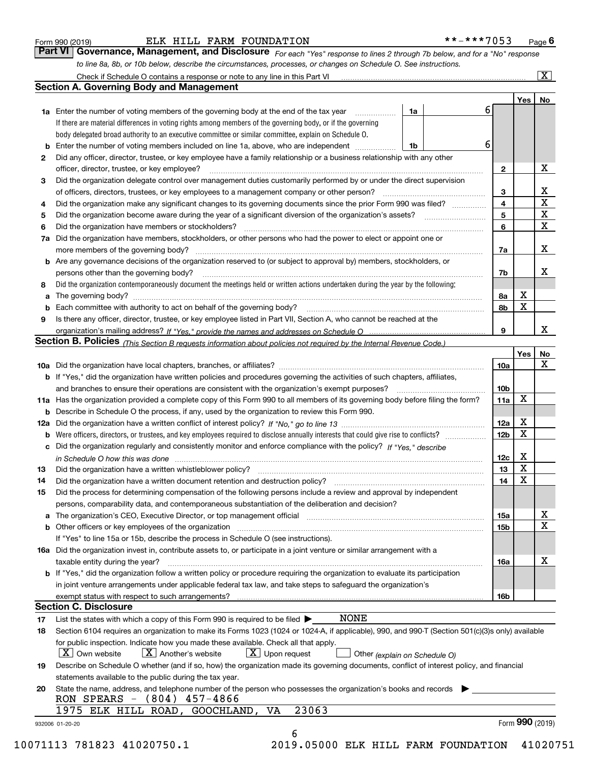|  | Form 990 (2019) |  |
|--|-----------------|--|
|  |                 |  |

#### ELK HILL FARM FOUNDATION \*\*-\*\*\*7053

*For each "Yes" response to lines 2 through 7b below, and for a "No" response to line 8a, 8b, or 10b below, describe the circumstances, processes, or changes on Schedule O. See instructions.* Form 990 (2019) **COMBALL EXAM FOUNDATION \*\*-\*\*\*7053** Page **6**<br>**Part VI Governance, Management, and Disclosure** For each "Yes" response to lines 2 through 7b below, and for a "No" response

|     |                                                                                                                                                                            |                               |   |                        | Yes <sub>1</sub> | No          |
|-----|----------------------------------------------------------------------------------------------------------------------------------------------------------------------------|-------------------------------|---|------------------------|------------------|-------------|
|     | <b>1a</b> Enter the number of voting members of the governing body at the end of the tax year <i>manumum</i>                                                               | 1a                            | 6 |                        |                  |             |
|     | If there are material differences in voting rights among members of the governing body, or if the governing                                                                |                               |   |                        |                  |             |
|     | body delegated broad authority to an executive committee or similar committee, explain on Schedule O.                                                                      |                               |   |                        |                  |             |
|     | Enter the number of voting members included on line 1a, above, who are independent                                                                                         | 1b                            | 6 |                        |                  |             |
| 2   | Did any officer, director, trustee, or key employee have a family relationship or a business relationship with any other                                                   |                               |   |                        |                  |             |
|     | officer, director, trustee, or key employee?                                                                                                                               |                               |   | $\mathbf{2}$           |                  | х           |
| 3   | Did the organization delegate control over management duties customarily performed by or under the direct supervision                                                      |                               |   |                        |                  |             |
|     |                                                                                                                                                                            |                               |   | 3                      |                  | х           |
| 4   | Did the organization make any significant changes to its governing documents since the prior Form 990 was filed?                                                           |                               |   | 4                      |                  | $\mathbf X$ |
| 5   |                                                                                                                                                                            |                               |   | 5                      |                  | $\mathbf X$ |
| 6   | Did the organization have members or stockholders?                                                                                                                         |                               |   | 6                      |                  | $\mathbf x$ |
| 7a  | Did the organization have members, stockholders, or other persons who had the power to elect or appoint one or                                                             |                               |   |                        |                  |             |
|     |                                                                                                                                                                            |                               |   | 7a                     |                  | х           |
|     | <b>b</b> Are any governance decisions of the organization reserved to (or subject to approval by) members, stockholders, or                                                |                               |   |                        |                  |             |
|     | persons other than the governing body?                                                                                                                                     |                               |   | 7b                     |                  | х           |
| 8   | Did the organization contemporaneously document the meetings held or written actions undertaken during the year by the following:                                          |                               |   |                        |                  |             |
| a   |                                                                                                                                                                            |                               |   | 8a                     | х                |             |
|     |                                                                                                                                                                            |                               |   | 8b                     | X                |             |
| 9   | Is there any officer, director, trustee, or key employee listed in Part VII, Section A, who cannot be reached at the                                                       |                               |   |                        |                  |             |
|     |                                                                                                                                                                            |                               |   | 9                      |                  | х           |
|     | Section B. Policies (This Section B requests information about policies not required by the Internal Revenue Code.)                                                        |                               |   |                        |                  |             |
|     |                                                                                                                                                                            |                               |   |                        | Yes              | No          |
|     |                                                                                                                                                                            |                               |   | 10a                    |                  | X           |
|     | <b>b</b> If "Yes," did the organization have written policies and procedures governing the activities of such chapters, affiliates,                                        |                               |   |                        |                  |             |
|     |                                                                                                                                                                            |                               |   | 10 <sub>b</sub>        |                  |             |
|     | 11a Has the organization provided a complete copy of this Form 990 to all members of its governing body before filing the form?                                            |                               |   | 11a                    | X                |             |
|     | <b>b</b> Describe in Schedule O the process, if any, used by the organization to review this Form 990.                                                                     |                               |   |                        |                  |             |
| 12a |                                                                                                                                                                            |                               |   | <b>12a</b>             | х                |             |
| b   |                                                                                                                                                                            |                               |   | 12b                    | X                |             |
|     | c Did the organization regularly and consistently monitor and enforce compliance with the policy? If "Yes," describe                                                       |                               |   |                        |                  |             |
|     | in Schedule O how this was done measured and contained a strategie of the state of the state of the strategie o                                                            |                               |   | 12c                    | х                |             |
| 13  | Did the organization have a written whistleblower policy?                                                                                                                  |                               |   | 13                     | X                |             |
| 14  | Did the organization have a written document retention and destruction policy? manufactured and the organization have a written document retention and destruction policy? |                               |   | 14                     | X                |             |
| 15  | Did the process for determining compensation of the following persons include a review and approval by independent                                                         |                               |   |                        |                  |             |
|     | persons, comparability data, and contemporaneous substantiation of the deliberation and decision?                                                                          |                               |   |                        |                  |             |
|     |                                                                                                                                                                            |                               |   |                        |                  | х           |
|     |                                                                                                                                                                            |                               |   | 15a<br>15 <sub>b</sub> |                  | X           |
|     | <b>b</b> Other officers or key employees of the organization entering contained and the organization of the organization                                                   |                               |   |                        |                  |             |
|     | If "Yes" to line 15a or 15b, describe the process in Schedule O (see instructions).                                                                                        |                               |   |                        |                  |             |
|     | 16a Did the organization invest in, contribute assets to, or participate in a joint venture or similar arrangement with a                                                  |                               |   |                        |                  | х           |
|     | taxable entity during the year?<br><b>b</b> If "Yes," did the organization follow a written policy or procedure requiring the organization to evaluate its participation   |                               |   | 16a                    |                  |             |
|     |                                                                                                                                                                            |                               |   |                        |                  |             |
|     | in joint venture arrangements under applicable federal tax law, and take steps to safeguard the organization's                                                             |                               |   |                        |                  |             |
|     | <b>Section C. Disclosure</b>                                                                                                                                               |                               |   | 16b                    |                  |             |
|     | <b>NONE</b>                                                                                                                                                                |                               |   |                        |                  |             |
| 17  | List the states with which a copy of this Form 990 is required to be filed $\blacktriangleright$                                                                           |                               |   |                        |                  |             |
| 18  | Section 6104 requires an organization to make its Forms 1023 (1024 or 1024-A, if applicable), 990, and 990-T (Section 501(c)(3)s only) available                           |                               |   |                        |                  |             |
|     | for public inspection. Indicate how you made these available. Check all that apply.                                                                                        |                               |   |                        |                  |             |
|     | $ X $ Own website<br>$X$ Another's website<br>$\boxed{\text{X}}$ Upon request                                                                                              | Other (explain on Schedule O) |   |                        |                  |             |
| 19  | Describe on Schedule O whether (and if so, how) the organization made its governing documents, conflict of interest policy, and financial                                  |                               |   |                        |                  |             |
|     | statements available to the public during the tax year.                                                                                                                    |                               |   |                        |                  |             |
| 20  | State the name, address, and telephone number of the person who possesses the organization's books and records                                                             |                               |   |                        |                  |             |
|     | RON SPEARS $-$ (804) 457-4866                                                                                                                                              |                               |   |                        |                  |             |
|     | 23063<br>1975 ELK HILL ROAD, GOOCHLAND,<br>VA                                                                                                                              |                               |   |                        |                  |             |
|     |                                                                                                                                                                            |                               |   |                        | Form 990 (2019)  |             |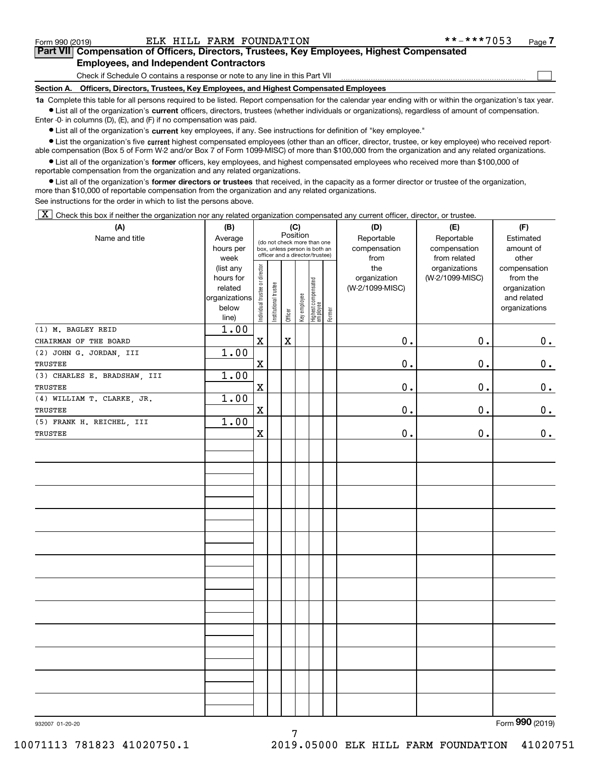$\mathcal{L}^{\text{max}}$ 

### **7Part VII Compensation of Officers, Directors, Trustees, Key Employees, Highest Compensated Employees, and Independent Contractors**

Check if Schedule O contains a response or note to any line in this Part VII

**Section A. Officers, Directors, Trustees, Key Employees, and Highest Compensated Employees**

**1a**  Complete this table for all persons required to be listed. Report compensation for the calendar year ending with or within the organization's tax year. **•** List all of the organization's current officers, directors, trustees (whether individuals or organizations), regardless of amount of compensation.

Enter -0- in columns (D), (E), and (F) if no compensation was paid.

 $\bullet$  List all of the organization's  $\,$ current key employees, if any. See instructions for definition of "key employee."

**•** List the organization's five current highest compensated employees (other than an officer, director, trustee, or key employee) who received reportable compensation (Box 5 of Form W-2 and/or Box 7 of Form 1099-MISC) of more than \$100,000 from the organization and any related organizations.

**•** List all of the organization's former officers, key employees, and highest compensated employees who received more than \$100,000 of reportable compensation from the organization and any related organizations.

**former directors or trustees**  ¥ List all of the organization's that received, in the capacity as a former director or trustee of the organization, more than \$10,000 of reportable compensation from the organization and any related organizations.

See instructions for the order in which to list the persons above.

 $\boxed{\textbf{X}}$  Check this box if neither the organization nor any related organization compensated any current officer, director, or trustee.

| (A)                          | (B)                    |                                | (C)                   |             |                                 |                                 |        | (D)             | (E)             | (F)                          |
|------------------------------|------------------------|--------------------------------|-----------------------|-------------|---------------------------------|---------------------------------|--------|-----------------|-----------------|------------------------------|
| Name and title               | Average                | (do not check more than one    |                       | Position    |                                 |                                 |        | Reportable      | Reportable      | Estimated                    |
|                              | hours per              |                                |                       |             |                                 | box, unless person is both an   |        | compensation    | compensation    | amount of                    |
|                              | week                   |                                |                       |             | officer and a director/trustee) |                                 |        | from            | from related    | other                        |
|                              | (list any              |                                |                       |             |                                 |                                 |        | the             | organizations   | compensation                 |
|                              | hours for              |                                |                       |             |                                 |                                 |        | organization    | (W-2/1099-MISC) | from the                     |
|                              | related                |                                |                       |             |                                 |                                 |        | (W-2/1099-MISC) |                 | organization                 |
|                              | organizations<br>below |                                |                       |             |                                 |                                 |        |                 |                 | and related<br>organizations |
|                              | line)                  | Individual trustee or director | Institutional trustee | Officer     | Key employee                    | Highest compensated<br>employee | Former |                 |                 |                              |
| (1) M. BAGLEY REID           | 1.00                   |                                |                       |             |                                 |                                 |        |                 |                 |                              |
| CHAIRMAN OF THE BOARD        |                        | $\mathbf X$                    |                       | $\mathbf X$ |                                 |                                 |        | 0.              | 0.              | 0.                           |
| (2) JOHN G. JORDAN, III      | 1.00                   |                                |                       |             |                                 |                                 |        |                 |                 |                              |
| TRUSTEE                      |                        | $\mathbf X$                    |                       |             |                                 |                                 |        | $0$ .           | 0.              | 0.                           |
| (3) CHARLES E. BRADSHAW, III | 1.00                   |                                |                       |             |                                 |                                 |        |                 |                 |                              |
| TRUSTEE                      |                        | $\mathbf X$                    |                       |             |                                 |                                 |        | $\mathbf 0$ .   | 0.              | 0.                           |
| (4) WILLIAM T. CLARKE, JR.   | 1.00                   |                                |                       |             |                                 |                                 |        |                 |                 |                              |
| TRUSTEE                      |                        | $\mathbf X$                    |                       |             |                                 |                                 |        | 0.              | 0.              | $\mathbf 0$ .                |
| (5) FRANK H. REICHEL, III    | 1.00                   |                                |                       |             |                                 |                                 |        |                 |                 |                              |
| TRUSTEE                      |                        | $\mathbf X$                    |                       |             |                                 |                                 |        | $\mathbf 0$ .   | 0.              | $\mathbf 0$ .                |
|                              |                        |                                |                       |             |                                 |                                 |        |                 |                 |                              |
|                              |                        |                                |                       |             |                                 |                                 |        |                 |                 |                              |
|                              |                        |                                |                       |             |                                 |                                 |        |                 |                 |                              |
|                              |                        |                                |                       |             |                                 |                                 |        |                 |                 |                              |
|                              |                        |                                |                       |             |                                 |                                 |        |                 |                 |                              |
|                              |                        |                                |                       |             |                                 |                                 |        |                 |                 |                              |
|                              |                        |                                |                       |             |                                 |                                 |        |                 |                 |                              |
|                              |                        |                                |                       |             |                                 |                                 |        |                 |                 |                              |
|                              |                        |                                |                       |             |                                 |                                 |        |                 |                 |                              |
|                              |                        |                                |                       |             |                                 |                                 |        |                 |                 |                              |
|                              |                        |                                |                       |             |                                 |                                 |        |                 |                 |                              |
|                              |                        |                                |                       |             |                                 |                                 |        |                 |                 |                              |
|                              |                        |                                |                       |             |                                 |                                 |        |                 |                 |                              |
|                              |                        |                                |                       |             |                                 |                                 |        |                 |                 |                              |
|                              |                        |                                |                       |             |                                 |                                 |        |                 |                 |                              |
|                              |                        |                                |                       |             |                                 |                                 |        |                 |                 |                              |
|                              |                        |                                |                       |             |                                 |                                 |        |                 |                 |                              |
|                              |                        |                                |                       |             |                                 |                                 |        |                 |                 |                              |
|                              |                        |                                |                       |             |                                 |                                 |        |                 |                 |                              |
|                              |                        |                                |                       |             |                                 |                                 |        |                 |                 |                              |
|                              |                        |                                |                       |             |                                 |                                 |        |                 |                 |                              |
|                              |                        |                                |                       |             |                                 |                                 |        |                 |                 |                              |
|                              |                        |                                |                       |             |                                 |                                 |        |                 |                 |                              |
|                              |                        |                                |                       |             |                                 |                                 |        |                 |                 | $\mathbf{a}$                 |

7

932007 01-20-20

Form (2019) **990**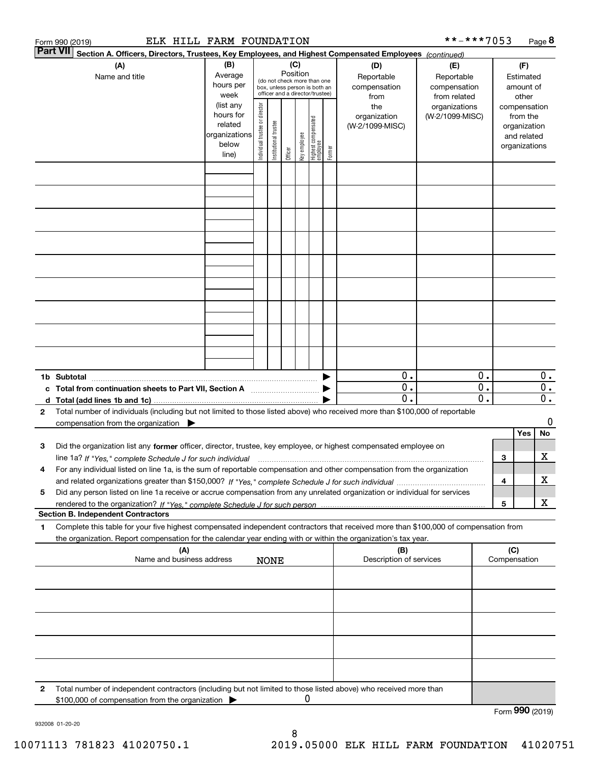|    |                 | ELK HILL FARM FOUNDATION<br>Form 990 (2019)                                                                                                       |               |                               |                       |          |              |                                                              |        |                         | **-***7053      |    |                 | Page 8 |    |
|----|-----------------|---------------------------------------------------------------------------------------------------------------------------------------------------|---------------|-------------------------------|-----------------------|----------|--------------|--------------------------------------------------------------|--------|-------------------------|-----------------|----|-----------------|--------|----|
|    | <b>Part VII</b> | Section A. Officers, Directors, Trustees, Key Employees, and Highest Compensated Employees (continued)                                            |               |                               |                       |          |              |                                                              |        |                         |                 |    |                 |        |    |
|    |                 | (B)<br>(C)<br>(A)                                                                                                                                 |               |                               |                       |          |              |                                                              |        | (D)                     | (E)             |    | (F)             |        |    |
|    |                 | Name and title                                                                                                                                    | Average       |                               |                       | Position |              |                                                              |        | Reportable              | Reportable      |    | Estimated       |        |    |
|    |                 |                                                                                                                                                   | hours per     |                               |                       |          |              | (do not check more than one<br>box, unless person is both an |        | compensation            | compensation    |    | amount of       |        |    |
|    |                 |                                                                                                                                                   | week          |                               |                       |          |              | officer and a director/trustee)                              |        | from                    | from related    |    | other           |        |    |
|    |                 |                                                                                                                                                   | (list any     |                               |                       |          |              |                                                              |        | the                     | organizations   |    | compensation    |        |    |
|    |                 |                                                                                                                                                   | hours for     |                               |                       |          |              |                                                              |        | organization            | (W-2/1099-MISC) |    | from the        |        |    |
|    |                 |                                                                                                                                                   | related       | ndividual trustee or director |                       |          |              | Highest compensated<br>  employee                            |        | (W-2/1099-MISC)         |                 |    | organization    |        |    |
|    |                 |                                                                                                                                                   | organizations |                               | Institutional trustee |          |              |                                                              |        |                         |                 |    | and related     |        |    |
|    |                 |                                                                                                                                                   | below         |                               |                       |          |              |                                                              |        |                         |                 |    | organizations   |        |    |
|    |                 |                                                                                                                                                   | line)         |                               |                       | Officer  | Key employee |                                                              | Former |                         |                 |    |                 |        |    |
|    |                 |                                                                                                                                                   |               |                               |                       |          |              |                                                              |        |                         |                 |    |                 |        |    |
|    |                 |                                                                                                                                                   |               |                               |                       |          |              |                                                              |        |                         |                 |    |                 |        |    |
|    |                 |                                                                                                                                                   |               |                               |                       |          |              |                                                              |        |                         |                 |    |                 |        |    |
|    |                 |                                                                                                                                                   |               |                               |                       |          |              |                                                              |        |                         |                 |    |                 |        |    |
|    |                 |                                                                                                                                                   |               |                               |                       |          |              |                                                              |        |                         |                 |    |                 |        |    |
|    |                 |                                                                                                                                                   |               |                               |                       |          |              |                                                              |        |                         |                 |    |                 |        |    |
|    |                 |                                                                                                                                                   |               |                               |                       |          |              |                                                              |        |                         |                 |    |                 |        |    |
|    |                 |                                                                                                                                                   |               |                               |                       |          |              |                                                              |        |                         |                 |    |                 |        |    |
|    |                 |                                                                                                                                                   |               |                               |                       |          |              |                                                              |        |                         |                 |    |                 |        |    |
|    |                 |                                                                                                                                                   |               |                               |                       |          |              |                                                              |        |                         |                 |    |                 |        |    |
|    |                 |                                                                                                                                                   |               |                               |                       |          |              |                                                              |        |                         |                 |    |                 |        |    |
|    |                 |                                                                                                                                                   |               |                               |                       |          |              |                                                              |        |                         |                 |    |                 |        |    |
|    |                 |                                                                                                                                                   |               |                               |                       |          |              |                                                              |        |                         |                 |    |                 |        |    |
|    |                 |                                                                                                                                                   |               |                               |                       |          |              |                                                              |        |                         |                 |    |                 |        |    |
|    |                 |                                                                                                                                                   |               |                               |                       |          |              |                                                              |        |                         |                 |    |                 |        |    |
|    |                 |                                                                                                                                                   |               |                               |                       |          |              |                                                              |        |                         |                 |    |                 |        |    |
|    |                 |                                                                                                                                                   |               |                               |                       |          |              |                                                              |        |                         |                 |    |                 |        |    |
|    |                 |                                                                                                                                                   |               |                               |                       |          |              |                                                              |        |                         |                 |    |                 |        |    |
|    |                 |                                                                                                                                                   |               |                               |                       |          |              |                                                              |        |                         |                 |    |                 |        |    |
|    |                 |                                                                                                                                                   |               |                               |                       |          |              |                                                              |        |                         |                 |    |                 |        |    |
|    |                 |                                                                                                                                                   |               |                               |                       |          |              |                                                              |        |                         |                 |    |                 |        |    |
|    |                 |                                                                                                                                                   |               |                               |                       |          |              |                                                              |        | 0.                      |                 | 0. |                 |        | 0. |
|    |                 | c Total from continuation sheets to Part VII, Section A <b>Constanting to Part VII</b> , Section A                                                |               |                               |                       |          |              |                                                              |        | $\overline{0}$ .        |                 | 0. |                 |        | 0. |
|    |                 |                                                                                                                                                   |               |                               |                       |          |              |                                                              |        | О.                      |                 | 0. |                 |        | 0. |
| 2  |                 | Total number of individuals (including but not limited to those listed above) who received more than \$100,000 of reportable                      |               |                               |                       |          |              |                                                              |        |                         |                 |    |                 |        |    |
|    |                 | compensation from the organization $\blacktriangleright$                                                                                          |               |                               |                       |          |              |                                                              |        |                         |                 |    |                 |        | 0  |
|    |                 |                                                                                                                                                   |               |                               |                       |          |              |                                                              |        |                         |                 |    | Yes             |        | No |
|    |                 |                                                                                                                                                   |               |                               |                       |          |              |                                                              |        |                         |                 |    |                 |        |    |
| 3  |                 | Did the organization list any former officer, director, trustee, key employee, or highest compensated employee on                                 |               |                               |                       |          |              |                                                              |        |                         |                 |    |                 |        |    |
|    |                 | line 1a? If "Yes," complete Schedule J for such individual material content content to the content of the complete Schedule J for such individual |               |                               |                       |          |              |                                                              |        |                         |                 |    | 3               |        | х  |
|    |                 | For any individual listed on line 1a, is the sum of reportable compensation and other compensation from the organization                          |               |                               |                       |          |              |                                                              |        |                         |                 |    |                 |        |    |
|    |                 |                                                                                                                                                   |               |                               |                       |          |              |                                                              |        |                         |                 |    | 4               |        | х  |
| 5  |                 | Did any person listed on line 1a receive or accrue compensation from any unrelated organization or individual for services                        |               |                               |                       |          |              |                                                              |        |                         |                 |    |                 |        |    |
|    |                 |                                                                                                                                                   |               |                               |                       |          |              |                                                              |        |                         |                 |    | 5               |        | х  |
|    |                 | <b>Section B. Independent Contractors</b>                                                                                                         |               |                               |                       |          |              |                                                              |        |                         |                 |    |                 |        |    |
|    |                 |                                                                                                                                                   |               |                               |                       |          |              |                                                              |        |                         |                 |    |                 |        |    |
| 1. |                 | Complete this table for your five highest compensated independent contractors that received more than \$100,000 of compensation from              |               |                               |                       |          |              |                                                              |        |                         |                 |    |                 |        |    |
|    |                 | the organization. Report compensation for the calendar year ending with or within the organization's tax year.                                    |               |                               |                       |          |              |                                                              |        |                         |                 |    |                 |        |    |
|    |                 | (A)                                                                                                                                               |               |                               |                       |          |              |                                                              |        | (B)                     |                 |    | (C)             |        |    |
|    |                 | Name and business address                                                                                                                         |               |                               | <b>NONE</b>           |          |              |                                                              |        | Description of services |                 |    | Compensation    |        |    |
|    |                 |                                                                                                                                                   |               |                               |                       |          |              |                                                              |        |                         |                 |    |                 |        |    |
|    |                 |                                                                                                                                                   |               |                               |                       |          |              |                                                              |        |                         |                 |    |                 |        |    |
|    |                 |                                                                                                                                                   |               |                               |                       |          |              |                                                              |        |                         |                 |    |                 |        |    |
|    |                 |                                                                                                                                                   |               |                               |                       |          |              |                                                              |        |                         |                 |    |                 |        |    |
|    |                 |                                                                                                                                                   |               |                               |                       |          |              |                                                              |        |                         |                 |    |                 |        |    |
|    |                 |                                                                                                                                                   |               |                               |                       |          |              |                                                              |        |                         |                 |    |                 |        |    |
|    |                 |                                                                                                                                                   |               |                               |                       |          |              |                                                              |        |                         |                 |    |                 |        |    |
|    |                 |                                                                                                                                                   |               |                               |                       |          |              |                                                              |        |                         |                 |    |                 |        |    |
|    |                 |                                                                                                                                                   |               |                               |                       |          |              |                                                              |        |                         |                 |    |                 |        |    |
|    |                 |                                                                                                                                                   |               |                               |                       |          |              |                                                              |        |                         |                 |    |                 |        |    |
|    |                 |                                                                                                                                                   |               |                               |                       |          |              |                                                              |        |                         |                 |    |                 |        |    |
|    |                 |                                                                                                                                                   |               |                               |                       |          |              |                                                              |        |                         |                 |    |                 |        |    |
| 2  |                 | Total number of independent contractors (including but not limited to those listed above) who received more than                                  |               |                               |                       |          |              |                                                              |        |                         |                 |    |                 |        |    |
|    |                 | \$100,000 of compensation from the organization                                                                                                   |               |                               |                       |          |              | 0                                                            |        |                         |                 |    |                 |        |    |
|    |                 |                                                                                                                                                   |               |                               |                       |          |              |                                                              |        |                         |                 |    | Form 990 (2019) |        |    |

932008 01-20-20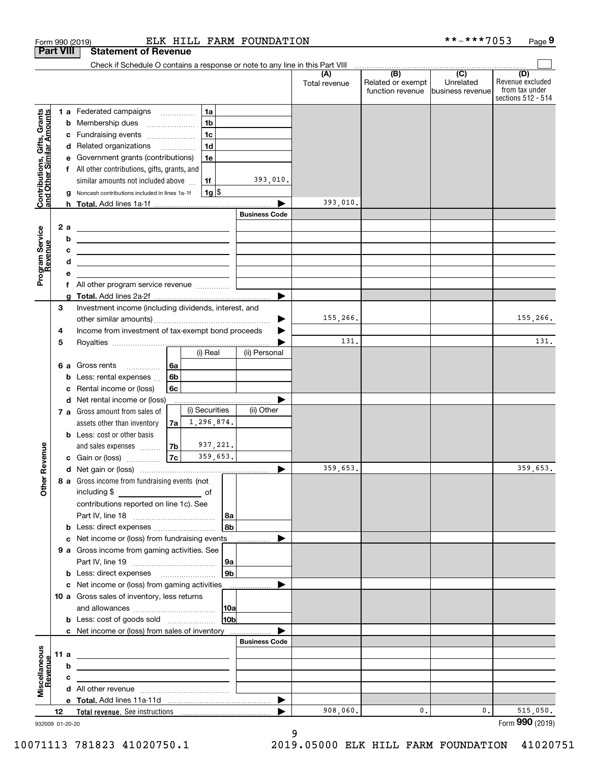|                                                           |                  | ELK HILL FARM FOUNDATION<br>Form 990 (2019)                                                                                                                                                                                          |                      |                      |                                              | **-***7053                                      | Page 9                                                          |
|-----------------------------------------------------------|------------------|--------------------------------------------------------------------------------------------------------------------------------------------------------------------------------------------------------------------------------------|----------------------|----------------------|----------------------------------------------|-------------------------------------------------|-----------------------------------------------------------------|
|                                                           | <b>Part VIII</b> | <b>Statement of Revenue</b>                                                                                                                                                                                                          |                      |                      |                                              |                                                 |                                                                 |
|                                                           |                  | Check if Schedule O contains a response or note to any line in this Part VIII                                                                                                                                                        |                      |                      |                                              |                                                 |                                                                 |
|                                                           |                  |                                                                                                                                                                                                                                      |                      | (A)<br>Total revenue | (B)<br>Related or exempt<br>function revenue | $\overline{C}$<br>Unrelated<br>business revenue | (D)<br>Revenue excluded<br>from tax under<br>sections 512 - 514 |
|                                                           |                  | 1a<br>1 a Federated campaigns                                                                                                                                                                                                        |                      |                      |                                              |                                                 |                                                                 |
|                                                           | b                | 1 <sub>b</sub><br>Membership dues<br>$\overline{\phantom{a}}$                                                                                                                                                                        |                      |                      |                                              |                                                 |                                                                 |
|                                                           |                  | 1 <sub>c</sub><br>c Fundraising events                                                                                                                                                                                               |                      |                      |                                              |                                                 |                                                                 |
|                                                           |                  | 1 <sub>d</sub><br>d Related organizations                                                                                                                                                                                            |                      |                      |                                              |                                                 |                                                                 |
|                                                           | е                | 1e<br>Government grants (contributions)                                                                                                                                                                                              |                      |                      |                                              |                                                 |                                                                 |
|                                                           |                  | All other contributions, gifts, grants, and                                                                                                                                                                                          |                      |                      |                                              |                                                 |                                                                 |
| Contributions, Gifts, Grants<br>and Other Similar Amounts |                  | similar amounts not included above<br>1f                                                                                                                                                                                             | 393,010.             |                      |                                              |                                                 |                                                                 |
|                                                           |                  | $1g$ \$<br>Noncash contributions included in lines 1a-1f                                                                                                                                                                             |                      |                      |                                              |                                                 |                                                                 |
|                                                           |                  |                                                                                                                                                                                                                                      |                      | 393,010.             |                                              |                                                 |                                                                 |
|                                                           |                  |                                                                                                                                                                                                                                      | <b>Business Code</b> |                      |                                              |                                                 |                                                                 |
|                                                           | 2 a              | <u> 2008 - An Dùbhlachd ann an Dùbhlachd ann an Dùbhlachd ann an Dùbhlachd ann an Dùbhlachd ann an Dùbhlachd ann an Dùbhlachd ann an Dùbhlachd ann an Dùbhlachd ann an Dùbhlachd ann an Dùbhlachd ann an Dùbhlachd ann an Dùbhla</u> |                      |                      |                                              |                                                 |                                                                 |
|                                                           | b                | <u> 1989 - Johann Barn, fransk politik amerikansk politik (</u>                                                                                                                                                                      |                      |                      |                                              |                                                 |                                                                 |
| Program Service<br>Revenue                                | c                | <u> 1989 - John Harry Harry Harry Harry Harry Harry Harry Harry Harry Harry Harry Harry Harry Harry Harry Harry H</u>                                                                                                                |                      |                      |                                              |                                                 |                                                                 |
|                                                           | d                | <u> 1989 - Johann Barn, mars ann an t-Amhain ann an t-Amhain an t-Amhain an t-Amhain an t-Amhain ann an t-Amhain </u>                                                                                                                |                      |                      |                                              |                                                 |                                                                 |
|                                                           | e                | f All other program service revenue                                                                                                                                                                                                  |                      |                      |                                              |                                                 |                                                                 |
|                                                           | g                |                                                                                                                                                                                                                                      |                      |                      |                                              |                                                 |                                                                 |
|                                                           | 3                | Investment income (including dividends, interest, and                                                                                                                                                                                |                      |                      |                                              |                                                 |                                                                 |
|                                                           |                  |                                                                                                                                                                                                                                      |                      | 155,266.             |                                              |                                                 | 155,266.                                                        |
|                                                           | 4                | Income from investment of tax-exempt bond proceeds                                                                                                                                                                                   |                      |                      |                                              |                                                 |                                                                 |
|                                                           | 5                |                                                                                                                                                                                                                                      |                      | 131.                 |                                              |                                                 | 131.                                                            |
|                                                           |                  | (i) Real                                                                                                                                                                                                                             | (ii) Personal        |                      |                                              |                                                 |                                                                 |
|                                                           | 6а               | 6a<br>Gross rents                                                                                                                                                                                                                    |                      |                      |                                              |                                                 |                                                                 |
|                                                           | b                | 6 <sub>b</sub><br>Less: rental expenses                                                                                                                                                                                              |                      |                      |                                              |                                                 |                                                                 |
|                                                           | c                | 6c<br>Rental income or (loss)                                                                                                                                                                                                        |                      |                      |                                              |                                                 |                                                                 |
|                                                           |                  | d Net rental income or (loss)                                                                                                                                                                                                        |                      |                      |                                              |                                                 |                                                                 |
|                                                           |                  | (i) Securities<br>7 a Gross amount from sales of                                                                                                                                                                                     | (ii) Other           |                      |                                              |                                                 |                                                                 |
|                                                           |                  | 1,296,874.<br>assets other than inventory<br>7a                                                                                                                                                                                      |                      |                      |                                              |                                                 |                                                                 |
|                                                           |                  | <b>b</b> Less: cost or other basis                                                                                                                                                                                                   |                      |                      |                                              |                                                 |                                                                 |
|                                                           |                  | 937,221.<br> 7 <sub>b</sub>  <br>and sales expenses                                                                                                                                                                                  |                      |                      |                                              |                                                 |                                                                 |
| evenue                                                    |                  | 359,653.<br>7c<br>c Gain or (loss)                                                                                                                                                                                                   |                      |                      |                                              |                                                 |                                                                 |
| Œ                                                         |                  |                                                                                                                                                                                                                                      |                      | 359,653.             |                                              |                                                 | 359,653.                                                        |
| Other                                                     |                  | 8 a Gross income from fundraising events (not                                                                                                                                                                                        |                      |                      |                                              |                                                 |                                                                 |
|                                                           |                  |                                                                                                                                                                                                                                      |                      |                      |                                              |                                                 |                                                                 |
|                                                           |                  | contributions reported on line 1c). See                                                                                                                                                                                              |                      |                      |                                              |                                                 |                                                                 |
|                                                           |                  |                                                                                                                                                                                                                                      | 8a<br>8b             |                      |                                              |                                                 |                                                                 |
|                                                           |                  | <b>b</b> Less: direct expenses <i></i><br>c Net income or (loss) from fundraising events                                                                                                                                             |                      |                      |                                              |                                                 |                                                                 |
|                                                           |                  | 9 a Gross income from gaming activities. See                                                                                                                                                                                         |                      |                      |                                              |                                                 |                                                                 |
|                                                           |                  |                                                                                                                                                                                                                                      | 9a                   |                      |                                              |                                                 |                                                                 |
|                                                           |                  | <b>b</b> Less: direct expenses <b>manually</b>                                                                                                                                                                                       | 9b                   |                      |                                              |                                                 |                                                                 |
|                                                           |                  | c Net income or (loss) from gaming activities _______________                                                                                                                                                                        |                      |                      |                                              |                                                 |                                                                 |
|                                                           |                  | 10 a Gross sales of inventory, less returns                                                                                                                                                                                          |                      |                      |                                              |                                                 |                                                                 |
|                                                           |                  |                                                                                                                                                                                                                                      |                      |                      |                                              |                                                 |                                                                 |
|                                                           |                  | <b>b</b> Less: cost of goods sold                                                                                                                                                                                                    | 10 <sub>b</sub>      |                      |                                              |                                                 |                                                                 |
|                                                           |                  | c Net income or (loss) from sales of inventory                                                                                                                                                                                       |                      |                      |                                              |                                                 |                                                                 |
|                                                           |                  |                                                                                                                                                                                                                                      | <b>Business Code</b> |                      |                                              |                                                 |                                                                 |
| Miscellaneous                                             | 11a              | the contract of the contract of the contract of the contract of the contract of                                                                                                                                                      |                      |                      |                                              |                                                 |                                                                 |
| Revenue                                                   | b                | the contract of the contract of the contract of the contract of the contract of                                                                                                                                                      |                      |                      |                                              |                                                 |                                                                 |
|                                                           | с                | the control of the control of the control of the control of the control of                                                                                                                                                           |                      |                      |                                              |                                                 |                                                                 |
|                                                           |                  |                                                                                                                                                                                                                                      |                      |                      |                                              |                                                 |                                                                 |
|                                                           |                  |                                                                                                                                                                                                                                      |                      |                      |                                              |                                                 |                                                                 |
|                                                           | 12               |                                                                                                                                                                                                                                      | ▶                    | 908,060.             | 0.                                           | 0.                                              | 515,050.                                                        |
|                                                           | 932009 01-20-20  |                                                                                                                                                                                                                                      |                      |                      |                                              |                                                 | Form 990 (2019)                                                 |

9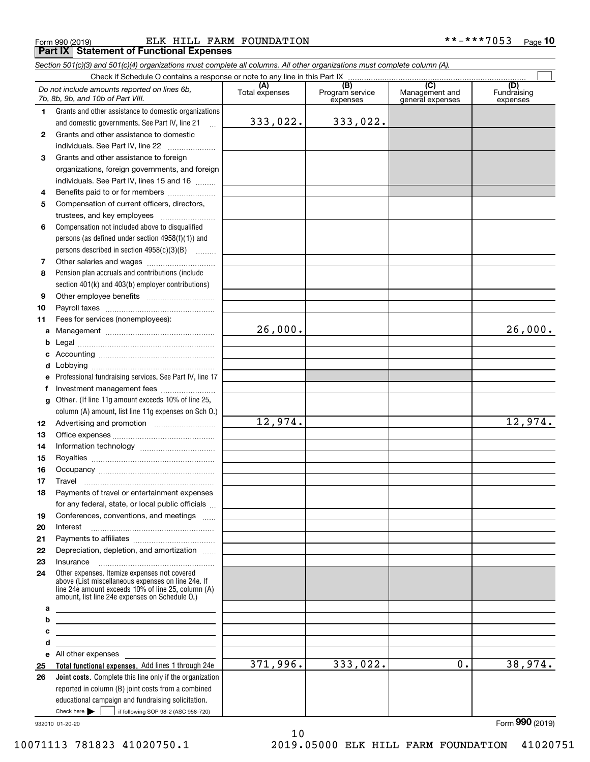Form 990 (2019) Page ELK HILL FARM FOUNDATION \*\*-\*\*\*7053 **Part IX Statement of Functional Expenses**

*Section 501(c)(3) and 501(c)(4) organizations must complete all columns. All other organizations must complete column (A).*

|    | Check if Schedule O contains a response or note to any line in this Part IX                                                                                                                                |                       |                                    |                                           |                                |  |  |  |  |  |
|----|------------------------------------------------------------------------------------------------------------------------------------------------------------------------------------------------------------|-----------------------|------------------------------------|-------------------------------------------|--------------------------------|--|--|--|--|--|
|    | Do not include amounts reported on lines 6b,<br>7b, 8b, 9b, and 10b of Part VIII.                                                                                                                          | (A)<br>Total expenses | (B)<br>Program service<br>expenses | (C)<br>Management and<br>general expenses | (D)<br>Fundraising<br>expenses |  |  |  |  |  |
| 1. | Grants and other assistance to domestic organizations                                                                                                                                                      |                       |                                    |                                           |                                |  |  |  |  |  |
|    | and domestic governments. See Part IV, line 21<br>$\mathbf{r}$                                                                                                                                             | 333,022.              | 333,022.                           |                                           |                                |  |  |  |  |  |
| 2  | Grants and other assistance to domestic                                                                                                                                                                    |                       |                                    |                                           |                                |  |  |  |  |  |
|    | individuals. See Part IV, line 22                                                                                                                                                                          |                       |                                    |                                           |                                |  |  |  |  |  |
| з  | Grants and other assistance to foreign                                                                                                                                                                     |                       |                                    |                                           |                                |  |  |  |  |  |
|    | organizations, foreign governments, and foreign                                                                                                                                                            |                       |                                    |                                           |                                |  |  |  |  |  |
|    | individuals. See Part IV, lines 15 and 16                                                                                                                                                                  |                       |                                    |                                           |                                |  |  |  |  |  |
| 4  | Benefits paid to or for members                                                                                                                                                                            |                       |                                    |                                           |                                |  |  |  |  |  |
| 5  | Compensation of current officers, directors,                                                                                                                                                               |                       |                                    |                                           |                                |  |  |  |  |  |
|    | trustees, and key employees                                                                                                                                                                                |                       |                                    |                                           |                                |  |  |  |  |  |
| 6  | Compensation not included above to disqualified                                                                                                                                                            |                       |                                    |                                           |                                |  |  |  |  |  |
|    | persons (as defined under section $4958(f)(1)$ ) and                                                                                                                                                       |                       |                                    |                                           |                                |  |  |  |  |  |
|    | persons described in section 4958(c)(3)(B)                                                                                                                                                                 |                       |                                    |                                           |                                |  |  |  |  |  |
| 7  |                                                                                                                                                                                                            |                       |                                    |                                           |                                |  |  |  |  |  |
| 8  | Pension plan accruals and contributions (include                                                                                                                                                           |                       |                                    |                                           |                                |  |  |  |  |  |
|    | section 401(k) and 403(b) employer contributions)                                                                                                                                                          |                       |                                    |                                           |                                |  |  |  |  |  |
| 9  |                                                                                                                                                                                                            |                       |                                    |                                           |                                |  |  |  |  |  |
| 10 |                                                                                                                                                                                                            |                       |                                    |                                           |                                |  |  |  |  |  |
| 11 | Fees for services (nonemployees):                                                                                                                                                                          |                       |                                    |                                           |                                |  |  |  |  |  |
| а  |                                                                                                                                                                                                            | 26,000.               |                                    |                                           | 26,000.                        |  |  |  |  |  |
|    |                                                                                                                                                                                                            |                       |                                    |                                           |                                |  |  |  |  |  |
|    |                                                                                                                                                                                                            |                       |                                    |                                           |                                |  |  |  |  |  |
|    |                                                                                                                                                                                                            |                       |                                    |                                           |                                |  |  |  |  |  |
| е  | Professional fundraising services. See Part IV, line 17                                                                                                                                                    |                       |                                    |                                           |                                |  |  |  |  |  |
| f  | Investment management fees                                                                                                                                                                                 |                       |                                    |                                           |                                |  |  |  |  |  |
| g  | Other. (If line 11g amount exceeds 10% of line 25,                                                                                                                                                         |                       |                                    |                                           |                                |  |  |  |  |  |
|    | column (A) amount, list line 11g expenses on Sch O.)                                                                                                                                                       |                       |                                    |                                           |                                |  |  |  |  |  |
| 12 |                                                                                                                                                                                                            | 12,974.               |                                    |                                           | 12,974.                        |  |  |  |  |  |
| 13 |                                                                                                                                                                                                            |                       |                                    |                                           |                                |  |  |  |  |  |
| 14 |                                                                                                                                                                                                            |                       |                                    |                                           |                                |  |  |  |  |  |
| 15 |                                                                                                                                                                                                            |                       |                                    |                                           |                                |  |  |  |  |  |
| 16 |                                                                                                                                                                                                            |                       |                                    |                                           |                                |  |  |  |  |  |
| 17 | Travel                                                                                                                                                                                                     |                       |                                    |                                           |                                |  |  |  |  |  |
| 18 | Payments of travel or entertainment expenses                                                                                                                                                               |                       |                                    |                                           |                                |  |  |  |  |  |
|    | for any federal, state, or local public officials                                                                                                                                                          |                       |                                    |                                           |                                |  |  |  |  |  |
| 19 | Conferences, conventions, and meetings                                                                                                                                                                     |                       |                                    |                                           |                                |  |  |  |  |  |
| 20 | Interest                                                                                                                                                                                                   |                       |                                    |                                           |                                |  |  |  |  |  |
| 21 |                                                                                                                                                                                                            |                       |                                    |                                           |                                |  |  |  |  |  |
| 22 | Depreciation, depletion, and amortization                                                                                                                                                                  |                       |                                    |                                           |                                |  |  |  |  |  |
| 23 |                                                                                                                                                                                                            |                       |                                    |                                           |                                |  |  |  |  |  |
| 24 | Other expenses. Itemize expenses not covered<br>above (List miscellaneous expenses on line 24e. If<br>line 24e amount exceeds 10% of line 25, column (A)<br>amount. list line 24e expenses on Schedule 0.) |                       |                                    |                                           |                                |  |  |  |  |  |
| a  |                                                                                                                                                                                                            |                       |                                    |                                           |                                |  |  |  |  |  |
| b  |                                                                                                                                                                                                            |                       |                                    |                                           |                                |  |  |  |  |  |
| с  |                                                                                                                                                                                                            |                       |                                    |                                           |                                |  |  |  |  |  |
| d  |                                                                                                                                                                                                            |                       |                                    |                                           |                                |  |  |  |  |  |
|    | e All other expenses and the All other expenses                                                                                                                                                            |                       |                                    |                                           |                                |  |  |  |  |  |
| 25 | Total functional expenses. Add lines 1 through 24e                                                                                                                                                         | 371,996.              | 333,022.                           | 0.                                        | 38,974.                        |  |  |  |  |  |
| 26 | Joint costs. Complete this line only if the organization                                                                                                                                                   |                       |                                    |                                           |                                |  |  |  |  |  |
|    | reported in column (B) joint costs from a combined                                                                                                                                                         |                       |                                    |                                           |                                |  |  |  |  |  |
|    | educational campaign and fundraising solicitation.                                                                                                                                                         |                       |                                    |                                           |                                |  |  |  |  |  |
|    | Check here $\blacktriangleright$<br>if following SOP 98-2 (ASC 958-720)                                                                                                                                    |                       |                                    |                                           |                                |  |  |  |  |  |

932010 01-20-20

10071113 781823 41020750.1 2019.05000 ELK HILL FARM FOUNDATION 41020751

Form (2019) **990**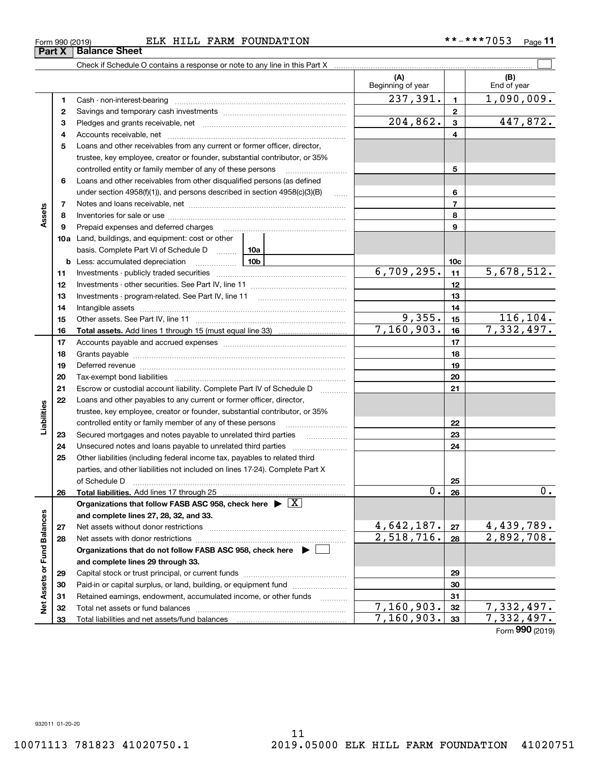**33**

Total liabilities and net assets/fund balances

**33**

 $7,160,903.$  33  $7,332,497.$ 

Form (2019) **990**

| Form 990 (2019) |                               | ELK HILL FARM | FOUNDATION | **-***7053 | $P$ age $\cdot$ |
|-----------------|-------------------------------|---------------|------------|------------|-----------------|
|                 | <b>Part X   Balance Sheet</b> |               |            |            |                 |

Check if Schedule O contains a response or note to any line in this Part X

|                             |          |                                                                                    |                        | (A)<br>Beginning of year        |                  | (B)<br>End of year              |
|-----------------------------|----------|------------------------------------------------------------------------------------|------------------------|---------------------------------|------------------|---------------------------------|
|                             | 1        | Cash - non-interest-bearing                                                        |                        | 237,391.                        | $\mathbf{1}$     | 1,090,009.                      |
|                             | 2        |                                                                                    |                        |                                 | $\mathbf{2}$     |                                 |
|                             | з        |                                                                                    | $\overline{204,862}$ . | 3                               | 447,872.         |                                 |
|                             | 4        |                                                                                    |                        |                                 | 4                |                                 |
|                             | 5        | Loans and other receivables from any current or former officer, director,          |                        |                                 |                  |                                 |
|                             |          | trustee, key employee, creator or founder, substantial contributor, or 35%         |                        |                                 |                  |                                 |
|                             |          | controlled entity or family member of any of these persons                         |                        |                                 | 5                |                                 |
|                             | 6        | Loans and other receivables from other disqualified persons (as defined            |                        |                                 |                  |                                 |
|                             |          | under section $4958(f)(1)$ , and persons described in section $4958(c)(3)(B)$      | 1.1.1.1                |                                 | 6                |                                 |
|                             | 7        |                                                                                    |                        |                                 | $\overline{7}$   |                                 |
| Assets                      | 8        |                                                                                    |                        |                                 | 8                |                                 |
|                             | 9        | Prepaid expenses and deferred charges                                              |                        |                                 | 9                |                                 |
|                             |          | 10a Land, buildings, and equipment: cost or other                                  |                        |                                 |                  |                                 |
|                             |          | basis. Complete Part VI of Schedule D                                              | 10a                    |                                 |                  |                                 |
|                             | b        | Less: accumulated depreciation<br><u>10b</u>                                       |                        |                                 | 10c              |                                 |
|                             | 11       |                                                                                    |                        | 6,709,295.                      | 11               | 5,678,512.                      |
|                             | 12       |                                                                                    |                        |                                 | 12               |                                 |
|                             | 13       |                                                                                    |                        | 13                              |                  |                                 |
|                             | 14       |                                                                                    |                        |                                 | 14               |                                 |
|                             | 15       |                                                                                    |                        | 9,355.                          | 15               | 116,104.                        |
|                             | 16       |                                                                                    |                        | 7,160,903.                      | 16               | 7,332,497.                      |
|                             | 17       |                                                                                    |                        | 17                              |                  |                                 |
|                             | 18       |                                                                                    |                        | 18                              |                  |                                 |
|                             | 19       |                                                                                    |                        | 19                              |                  |                                 |
|                             | 20       |                                                                                    |                        |                                 | 20               |                                 |
|                             | 21       | Escrow or custodial account liability. Complete Part IV of Schedule D              | .                      |                                 | 21               |                                 |
|                             | 22       | Loans and other payables to any current or former officer, director,               |                        |                                 |                  |                                 |
| Liabilities                 |          | trustee, key employee, creator or founder, substantial contributor, or 35%         |                        |                                 |                  |                                 |
|                             |          | controlled entity or family member of any of these persons                         |                        |                                 | 22               |                                 |
|                             | 23       | Secured mortgages and notes payable to unrelated third parties                     | .                      |                                 | 23               |                                 |
|                             | 24       |                                                                                    |                        |                                 | 24               |                                 |
|                             | 25       | Other liabilities (including federal income tax, payables to related third         |                        |                                 |                  |                                 |
|                             |          | parties, and other liabilities not included on lines 17-24). Complete Part X       |                        |                                 |                  |                                 |
|                             |          | of Schedule D                                                                      |                        | Ο.                              | 25               | 0.                              |
|                             | 26       |                                                                                    |                        |                                 | 26               |                                 |
|                             |          | Organizations that follow FASB ASC 958, check here $\blacktriangleright \boxed{X}$ |                        |                                 |                  |                                 |
|                             |          | and complete lines 27, 28, 32, and 33.                                             |                        |                                 |                  |                                 |
|                             | 27       | Net assets without donor restrictions                                              |                        | <u>4,642,187.</u><br>2,518,716. | ${\bf 27}$<br>28 | <u>4,439,789.</u><br>2,892,708. |
|                             | 28       | Net assets with donor restrictions                                                 |                        |                                 |                  |                                 |
|                             |          | Organizations that do not follow FASB ASC 958, check here $\blacktriangleright$    |                        |                                 |                  |                                 |
| Net Assets or Fund Balances |          | and complete lines 29 through 33.                                                  |                        | 29                              |                  |                                 |
|                             | 29       | Paid-in or capital surplus, or land, building, or equipment fund                   |                        |                                 | 30               |                                 |
|                             | 30<br>31 |                                                                                    |                        |                                 | 31               |                                 |
|                             |          | Retained earnings, endowment, accumulated income, or other funds                   | .                      | 7,160,903.                      | 32               | $\overline{7,}$ 332, 497.       |
|                             | 32       |                                                                                    |                        |                                 |                  |                                 |

 $\mathcal{L}^{\text{max}}$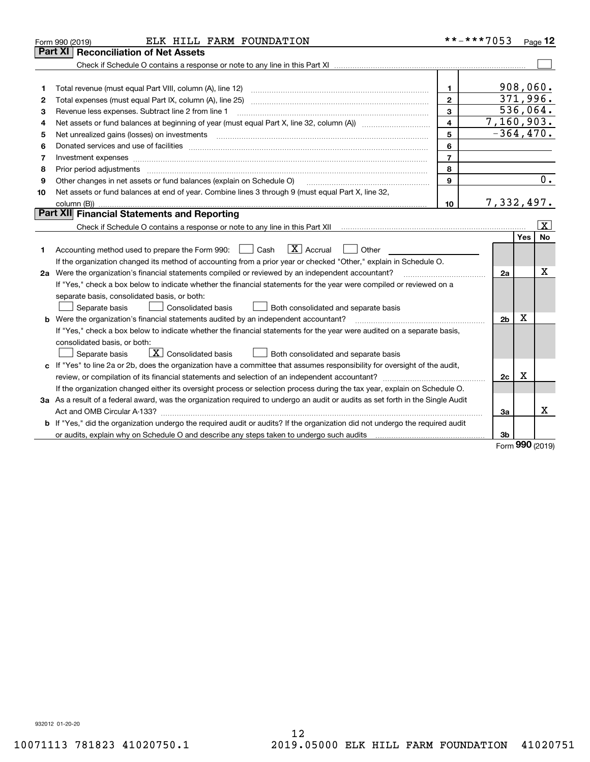|    | ELK HILL FARM FOUNDATION<br>Form 990 (2019)                                                                                                                                                                                    |                | **-***7053     |      | Page 12   |
|----|--------------------------------------------------------------------------------------------------------------------------------------------------------------------------------------------------------------------------------|----------------|----------------|------|-----------|
|    | <b>Reconciliation of Net Assets</b><br>Part XI                                                                                                                                                                                 |                |                |      |           |
|    |                                                                                                                                                                                                                                |                |                |      |           |
|    |                                                                                                                                                                                                                                |                |                |      |           |
| 1  | Total revenue (must equal Part VIII, column (A), line 12)                                                                                                                                                                      | 1.             | 908,060.       |      |           |
| 2  |                                                                                                                                                                                                                                | $\mathbf{2}$   | 371,996.       |      |           |
| 3  | Revenue less expenses. Subtract line 2 from line 1                                                                                                                                                                             | $\overline{3}$ |                |      | 536,064.  |
| 4  |                                                                                                                                                                                                                                | $\overline{4}$ | 7,160,903.     |      |           |
| 5  |                                                                                                                                                                                                                                | 5              | $-364, 470.$   |      |           |
| 6  | Donated services and use of facilities [111] matter contracts and the service of facilities [11] matter contracts and use of facilities [11] matter contracts and the service of facilities [11] matter contracts and the serv | 6              |                |      |           |
| 7  |                                                                                                                                                                                                                                | $\overline{7}$ |                |      |           |
| 8  | Prior period adjustments                                                                                                                                                                                                       | 8              |                |      |           |
| 9  | Other changes in net assets or fund balances (explain on Schedule O)                                                                                                                                                           | 9              |                |      | 0.        |
| 10 | Net assets or fund balances at end of year. Combine lines 3 through 9 (must equal Part X, line 32,                                                                                                                             |                |                |      |           |
|    |                                                                                                                                                                                                                                | 10             | 7, 332, 497.   |      |           |
|    | <b>Part XII</b> Financial Statements and Reporting                                                                                                                                                                             |                |                |      |           |
|    |                                                                                                                                                                                                                                |                |                |      | x         |
|    |                                                                                                                                                                                                                                |                |                | Yes  | <b>No</b> |
| 1. | $\boxed{\mathbf{X}}$ Accrual<br>Accounting method used to prepare the Form 990: <u>June</u> Cash<br>Other                                                                                                                      |                |                |      |           |
|    | If the organization changed its method of accounting from a prior year or checked "Other," explain in Schedule O.                                                                                                              |                |                |      |           |
|    | 2a Were the organization's financial statements compiled or reviewed by an independent accountant?                                                                                                                             |                | 2a             |      | X         |
|    | If "Yes," check a box below to indicate whether the financial statements for the year were compiled or reviewed on a                                                                                                           |                |                |      |           |
|    | separate basis, consolidated basis, or both:                                                                                                                                                                                   |                |                |      |           |
|    | Consolidated basis<br>Both consolidated and separate basis<br>Separate basis                                                                                                                                                   |                |                |      |           |
|    | <b>b</b> Were the organization's financial statements audited by an independent accountant?                                                                                                                                    |                | 2 <sub>b</sub> | X    |           |
|    | If "Yes," check a box below to indicate whether the financial statements for the year were audited on a separate basis,                                                                                                        |                |                |      |           |
|    | consolidated basis, or both:                                                                                                                                                                                                   |                |                |      |           |
|    | $\boxed{\textbf{X}}$ Consolidated basis<br>Both consolidated and separate basis<br>Separate basis                                                                                                                              |                |                |      |           |
|    | c If "Yes" to line 2a or 2b, does the organization have a committee that assumes responsibility for oversight of the audit,                                                                                                    |                |                |      |           |
|    | review, or compilation of its financial statements and selection of an independent accountant?                                                                                                                                 |                | 2c             | x    |           |
|    | If the organization changed either its oversight process or selection process during the tax year, explain on Schedule O.                                                                                                      |                |                |      |           |
|    | 3a As a result of a federal award, was the organization required to undergo an audit or audits as set forth in the Single Audit                                                                                                |                |                |      |           |
|    |                                                                                                                                                                                                                                |                | За             |      | x         |
|    | b If "Yes," did the organization undergo the required audit or audits? If the organization did not undergo the required audit                                                                                                  |                |                |      |           |
|    | or audits, explain why on Schedule O and describe any steps taken to undergo such audits [11] outcome manuscrimon                                                                                                              |                | 3b             | nnn. |           |

Form (2019) **990**

932012 01-20-20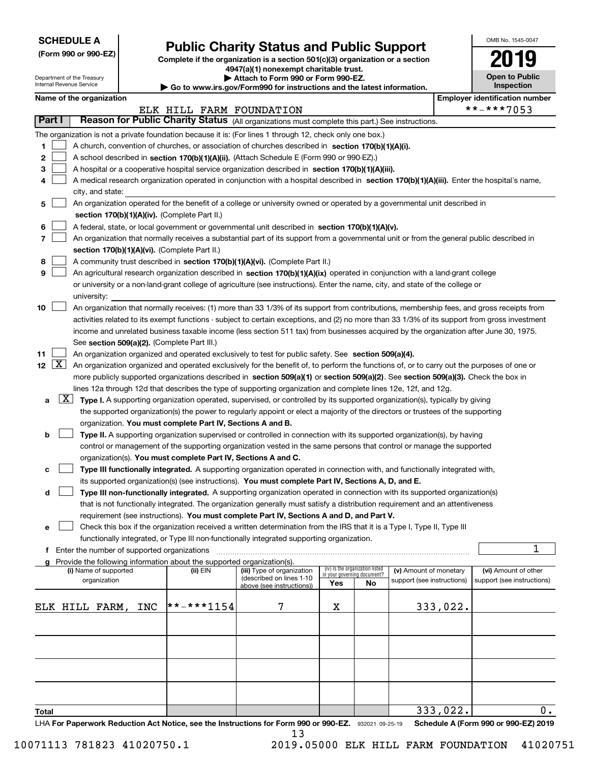| <b>SCHEDULE A</b> |
|-------------------|
|-------------------|

Department of the Treasury Internal Revenue Service

**(Form 990 or 990-EZ)**

### **Public Charity Status and Public Support**

**Complete if the organization is a section 501(c)(3) organization or a section 4947(a)(1) nonexempt charitable trust.**

| Attach to Form 990 or Form 990-EZ. |  |  |  |  |  |
|------------------------------------|--|--|--|--|--|
|                                    |  |  |  |  |  |

**| Go to www.irs.gov/Form990 for instructions and the latest information.**

| OMB No. 1545-0047                   |
|-------------------------------------|
| u                                   |
| <b>Open to Public</b><br>Inspection |

|  | Name of the organization |
|--|--------------------------|
|--|--------------------------|

| Name of the organization                                                                                                                                                        |                          |                                                        |                             |                                 |                                                      |          | <b>Employer identification number</b>              |
|---------------------------------------------------------------------------------------------------------------------------------------------------------------------------------|--------------------------|--------------------------------------------------------|-----------------------------|---------------------------------|------------------------------------------------------|----------|----------------------------------------------------|
|                                                                                                                                                                                 | ELK HILL FARM FOUNDATION |                                                        |                             |                                 |                                                      |          | **-***7053                                         |
| Part I<br>Reason for Public Charity Status (All organizations must complete this part.) See instructions.                                                                       |                          |                                                        |                             |                                 |                                                      |          |                                                    |
| The organization is not a private foundation because it is: (For lines 1 through 12, check only one box.)                                                                       |                          |                                                        |                             |                                 |                                                      |          |                                                    |
| 1<br>A church, convention of churches, or association of churches described in section $170(b)(1)(A)(i)$ .                                                                      |                          |                                                        |                             |                                 |                                                      |          |                                                    |
| 2<br>A school described in section 170(b)(1)(A)(ii). (Attach Schedule E (Form 990 or 990-EZ).)                                                                                  |                          |                                                        |                             |                                 |                                                      |          |                                                    |
| 3<br>A hospital or a cooperative hospital service organization described in section 170(b)(1)(A)(iii).                                                                          |                          |                                                        |                             |                                 |                                                      |          |                                                    |
| A medical research organization operated in conjunction with a hospital described in section 170(b)(1)(A)(iii). Enter the hospital's name,<br>4                                 |                          |                                                        |                             |                                 |                                                      |          |                                                    |
| city, and state:                                                                                                                                                                |                          |                                                        |                             |                                 |                                                      |          |                                                    |
| An organization operated for the benefit of a college or university owned or operated by a governmental unit described in<br>5<br>section 170(b)(1)(A)(iv). (Complete Part II.) |                          |                                                        |                             |                                 |                                                      |          |                                                    |
| 6<br>A federal, state, or local government or governmental unit described in section 170(b)(1)(A)(v).                                                                           |                          |                                                        |                             |                                 |                                                      |          |                                                    |
| 7<br>An organization that normally receives a substantial part of its support from a governmental unit or from the general public described in                                  |                          |                                                        |                             |                                 |                                                      |          |                                                    |
| section 170(b)(1)(A)(vi). (Complete Part II.)                                                                                                                                   |                          |                                                        |                             |                                 |                                                      |          |                                                    |
| 8<br>A community trust described in section 170(b)(1)(A)(vi). (Complete Part II.)                                                                                               |                          |                                                        |                             |                                 |                                                      |          |                                                    |
| 9<br>An agricultural research organization described in section 170(b)(1)(A)(ix) operated in conjunction with a land-grant college                                              |                          |                                                        |                             |                                 |                                                      |          |                                                    |
| or university or a non-land-grant college of agriculture (see instructions). Enter the name, city, and state of the college or                                                  |                          |                                                        |                             |                                 |                                                      |          |                                                    |
| university:                                                                                                                                                                     |                          |                                                        |                             |                                 |                                                      |          |                                                    |
| 10<br>An organization that normally receives: (1) more than 33 1/3% of its support from contributions, membership fees, and gross receipts from                                 |                          |                                                        |                             |                                 |                                                      |          |                                                    |
| activities related to its exempt functions - subject to certain exceptions, and (2) no more than 33 1/3% of its support from gross investment                                   |                          |                                                        |                             |                                 |                                                      |          |                                                    |
| income and unrelated business taxable income (less section 511 tax) from businesses acquired by the organization after June 30, 1975.                                           |                          |                                                        |                             |                                 |                                                      |          |                                                    |
| See section 509(a)(2). (Complete Part III.)                                                                                                                                     |                          |                                                        |                             |                                 |                                                      |          |                                                    |
| 11<br>An organization organized and operated exclusively to test for public safety. See section 509(a)(4).                                                                      |                          |                                                        |                             |                                 |                                                      |          |                                                    |
| 12 $\lfloor$ X $\rfloor$<br>An organization organized and operated exclusively for the benefit of, to perform the functions of, or to carry out the purposes of one or          |                          |                                                        |                             |                                 |                                                      |          |                                                    |
| more publicly supported organizations described in section 509(a)(1) or section 509(a)(2). See section 509(a)(3). Check the box in                                              |                          |                                                        |                             |                                 |                                                      |          |                                                    |
| lines 12a through 12d that describes the type of supporting organization and complete lines 12e, 12f, and 12g.                                                                  |                          |                                                        |                             |                                 |                                                      |          |                                                    |
| $\lfloor x \rfloor$<br>Type I. A supporting organization operated, supervised, or controlled by its supported organization(s), typically by giving<br>a                         |                          |                                                        |                             |                                 |                                                      |          |                                                    |
| the supported organization(s) the power to regularly appoint or elect a majority of the directors or trustees of the supporting                                                 |                          |                                                        |                             |                                 |                                                      |          |                                                    |
| organization. You must complete Part IV, Sections A and B.                                                                                                                      |                          |                                                        |                             |                                 |                                                      |          |                                                    |
| Type II. A supporting organization supervised or controlled in connection with its supported organization(s), by having<br>b                                                    |                          |                                                        |                             |                                 |                                                      |          |                                                    |
| control or management of the supporting organization vested in the same persons that control or manage the supported                                                            |                          |                                                        |                             |                                 |                                                      |          |                                                    |
| organization(s). You must complete Part IV, Sections A and C.                                                                                                                   |                          |                                                        |                             |                                 |                                                      |          |                                                    |
| Type III functionally integrated. A supporting organization operated in connection with, and functionally integrated with,<br>c                                                 |                          |                                                        |                             |                                 |                                                      |          |                                                    |
| its supported organization(s) (see instructions). You must complete Part IV, Sections A, D, and E.                                                                              |                          |                                                        |                             |                                 |                                                      |          |                                                    |
| Type III non-functionally integrated. A supporting organization operated in connection with its supported organization(s)<br>d                                                  |                          |                                                        |                             |                                 |                                                      |          |                                                    |
| that is not functionally integrated. The organization generally must satisfy a distribution requirement and an attentiveness                                                    |                          |                                                        |                             |                                 |                                                      |          |                                                    |
| requirement (see instructions). You must complete Part IV, Sections A and D, and Part V.                                                                                        |                          |                                                        |                             |                                 |                                                      |          |                                                    |
| Check this box if the organization received a written determination from the IRS that it is a Type I, Type II, Type III                                                         |                          |                                                        |                             |                                 |                                                      |          |                                                    |
| functionally integrated, or Type III non-functionally integrated supporting organization.                                                                                       |                          |                                                        |                             |                                 |                                                      |          |                                                    |
| f Enter the number of supported organizations                                                                                                                                   |                          |                                                        |                             |                                 |                                                      |          | 1                                                  |
| g Provide the following information about the supported organization(s).                                                                                                        |                          |                                                        |                             | (iv) Is the organization listed |                                                      |          |                                                    |
| (i) Name of supported<br>organization                                                                                                                                           | (ii) EIN                 | (iii) Type of organization<br>(described on lines 1-10 | in your governing document? |                                 | (v) Amount of monetary<br>support (see instructions) |          | (vi) Amount of other<br>support (see instructions) |
|                                                                                                                                                                                 |                          | above (see instructions))                              | Yes                         | No                              |                                                      |          |                                                    |
|                                                                                                                                                                                 |                          |                                                        |                             |                                 |                                                      |          |                                                    |
| ELK HILL FARM,<br>INC                                                                                                                                                           | $* * * * * 1154$         | 7                                                      | х                           |                                 |                                                      | 333,022. |                                                    |
|                                                                                                                                                                                 |                          |                                                        |                             |                                 |                                                      |          |                                                    |
|                                                                                                                                                                                 |                          |                                                        |                             |                                 |                                                      |          |                                                    |
|                                                                                                                                                                                 |                          |                                                        |                             |                                 |                                                      |          |                                                    |
|                                                                                                                                                                                 |                          |                                                        |                             |                                 |                                                      |          |                                                    |
|                                                                                                                                                                                 |                          |                                                        |                             |                                 |                                                      |          |                                                    |
|                                                                                                                                                                                 |                          |                                                        |                             |                                 |                                                      |          |                                                    |
|                                                                                                                                                                                 |                          |                                                        |                             |                                 |                                                      |          |                                                    |
| Total                                                                                                                                                                           |                          |                                                        |                             |                                 |                                                      | 333,022. | 0.                                                 |
|                                                                                                                                                                                 |                          |                                                        |                             |                                 |                                                      |          |                                                    |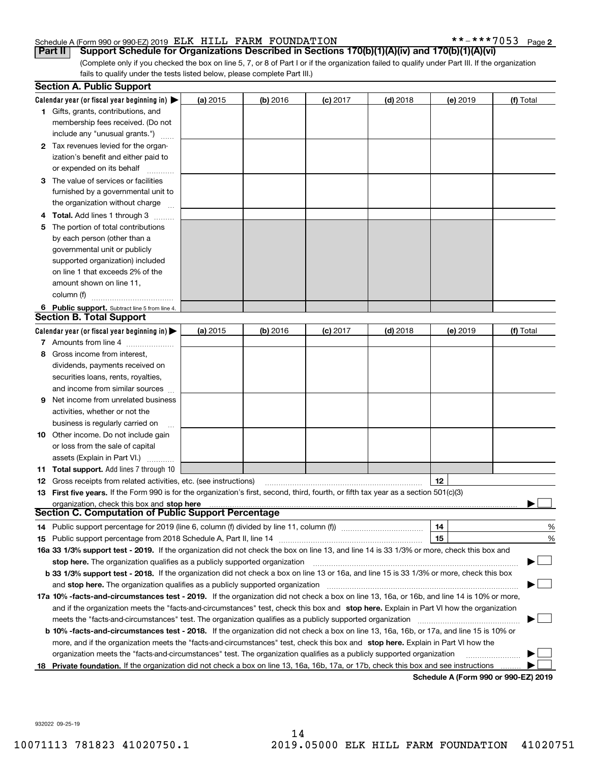#### Schedule A (Form 990 or 990-EZ) 2019 Page ELK HILL FARM FOUNDATION \*\*-\*\*\*7053

**2**

(Complete only if you checked the box on line 5, 7, or 8 of Part I or if the organization failed to qualify under Part III. If the organization fails to qualify under the tests listed below, please complete Part III.) **Part II Support Schedule for Organizations Described in Sections 170(b)(1)(A)(iv) and 170(b)(1)(A)(vi)**

|    | <b>Section A. Public Support</b>                                                                                                               |          |            |            |            |                                      |           |
|----|------------------------------------------------------------------------------------------------------------------------------------------------|----------|------------|------------|------------|--------------------------------------|-----------|
|    | Calendar year (or fiscal year beginning in) $\blacktriangleright$                                                                              | (a) 2015 | $(b)$ 2016 | $(c)$ 2017 | $(d)$ 2018 | (e) 2019                             | (f) Total |
|    | <b>1</b> Gifts, grants, contributions, and                                                                                                     |          |            |            |            |                                      |           |
|    | membership fees received. (Do not                                                                                                              |          |            |            |            |                                      |           |
|    | include any "unusual grants.")                                                                                                                 |          |            |            |            |                                      |           |
|    | <b>2</b> Tax revenues levied for the organ-                                                                                                    |          |            |            |            |                                      |           |
|    | ization's benefit and either paid to                                                                                                           |          |            |            |            |                                      |           |
|    | or expended on its behalf                                                                                                                      |          |            |            |            |                                      |           |
|    | 3 The value of services or facilities                                                                                                          |          |            |            |            |                                      |           |
|    | furnished by a governmental unit to                                                                                                            |          |            |            |            |                                      |           |
|    | the organization without charge                                                                                                                |          |            |            |            |                                      |           |
|    | 4 Total. Add lines 1 through 3                                                                                                                 |          |            |            |            |                                      |           |
| 5. | The portion of total contributions                                                                                                             |          |            |            |            |                                      |           |
|    | by each person (other than a                                                                                                                   |          |            |            |            |                                      |           |
|    | governmental unit or publicly                                                                                                                  |          |            |            |            |                                      |           |
|    | supported organization) included                                                                                                               |          |            |            |            |                                      |           |
|    | on line 1 that exceeds 2% of the                                                                                                               |          |            |            |            |                                      |           |
|    | amount shown on line 11,                                                                                                                       |          |            |            |            |                                      |           |
|    | column (f)                                                                                                                                     |          |            |            |            |                                      |           |
|    | 6 Public support. Subtract line 5 from line 4.                                                                                                 |          |            |            |            |                                      |           |
|    | <b>Section B. Total Support</b>                                                                                                                |          |            |            |            |                                      |           |
|    | Calendar year (or fiscal year beginning in)                                                                                                    | (a) 2015 | $(b)$ 2016 | $(c)$ 2017 | $(d)$ 2018 | (e) 2019                             | (f) Total |
|    | 7 Amounts from line 4                                                                                                                          |          |            |            |            |                                      |           |
|    | 8 Gross income from interest,                                                                                                                  |          |            |            |            |                                      |           |
|    | dividends, payments received on                                                                                                                |          |            |            |            |                                      |           |
|    | securities loans, rents, royalties,                                                                                                            |          |            |            |            |                                      |           |
|    | and income from similar sources                                                                                                                |          |            |            |            |                                      |           |
| 9. | Net income from unrelated business                                                                                                             |          |            |            |            |                                      |           |
|    | activities, whether or not the                                                                                                                 |          |            |            |            |                                      |           |
|    | business is regularly carried on                                                                                                               |          |            |            |            |                                      |           |
|    | <b>10</b> Other income. Do not include gain                                                                                                    |          |            |            |            |                                      |           |
|    | or loss from the sale of capital                                                                                                               |          |            |            |            |                                      |           |
|    | assets (Explain in Part VI.)                                                                                                                   |          |            |            |            |                                      |           |
|    | <b>11 Total support.</b> Add lines 7 through 10                                                                                                |          |            |            |            |                                      |           |
|    | <b>12</b> Gross receipts from related activities, etc. (see instructions)                                                                      |          |            |            |            | 12                                   |           |
|    | 13 First five years. If the Form 990 is for the organization's first, second, third, fourth, or fifth tax year as a section 501(c)(3)          |          |            |            |            |                                      |           |
|    | organization, check this box and stop here                                                                                                     |          |            |            |            |                                      |           |
|    | <b>Section C. Computation of Public Support Percentage</b>                                                                                     |          |            |            |            |                                      |           |
|    | 14 Public support percentage for 2019 (line 6, column (f) divided by line 11, column (f) <i>manumanomeron</i>                                  |          |            |            |            | 14                                   | %         |
|    |                                                                                                                                                |          |            |            |            | 15                                   | %         |
|    | 16a 33 1/3% support test - 2019. If the organization did not check the box on line 13, and line 14 is 33 1/3% or more, check this box and      |          |            |            |            |                                      |           |
|    | stop here. The organization qualifies as a publicly supported organization                                                                     |          |            |            |            |                                      |           |
|    | b 33 1/3% support test - 2018. If the organization did not check a box on line 13 or 16a, and line 15 is 33 1/3% or more, check this box       |          |            |            |            |                                      |           |
|    | and stop here. The organization qualifies as a publicly supported organization                                                                 |          |            |            |            |                                      |           |
|    | 17a 10% -facts-and-circumstances test - 2019. If the organization did not check a box on line 13, 16a, or 16b, and line 14 is 10% or more,     |          |            |            |            |                                      |           |
|    | and if the organization meets the "facts-and-circumstances" test, check this box and stop here. Explain in Part VI how the organization        |          |            |            |            |                                      |           |
|    | meets the "facts-and-circumstances" test. The organization qualifies as a publicly supported organization                                      |          |            |            |            |                                      |           |
|    | <b>b 10% -facts-and-circumstances test - 2018.</b> If the organization did not check a box on line 13, 16a, 16b, or 17a, and line 15 is 10% or |          |            |            |            |                                      |           |
|    | more, and if the organization meets the "facts-and-circumstances" test, check this box and stop here. Explain in Part VI how the               |          |            |            |            |                                      |           |
|    | organization meets the "facts-and-circumstances" test. The organization qualifies as a publicly supported organization                         |          |            |            |            |                                      |           |
|    | 18 Private foundation. If the organization did not check a box on line 13, 16a, 16b, 17a, or 17b, check this box and see instructions          |          |            |            |            | Schodule A (Form 000 or 000 F7) 2010 |           |

**Schedule A (Form 990 or 990-EZ) 2019**

932022 09-25-19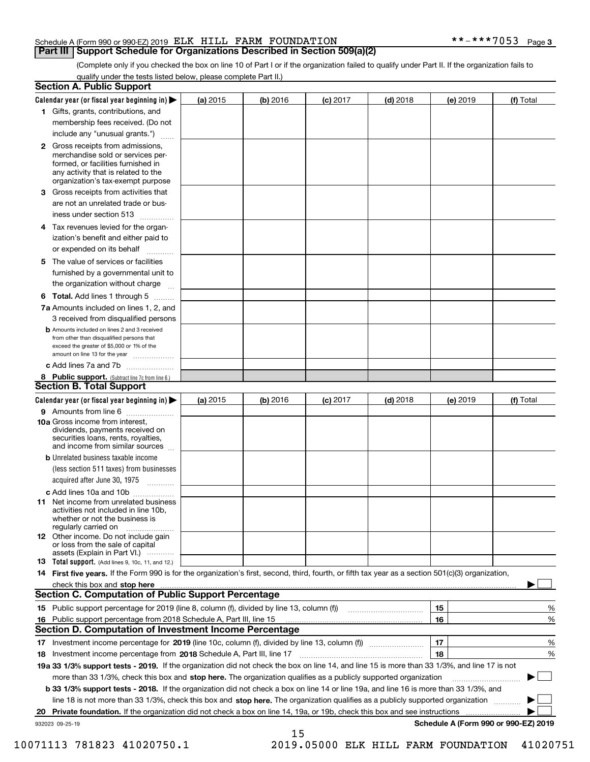#### Schedule A (Form 990 or 990-EZ) 2019 Page ELK HILL FARM FOUNDATION \*\*-\*\*\*7053

#### **Part III Support Schedule for Organizations Described in Section 509(a)(2)**

(Complete only if you checked the box on line 10 of Part I or if the organization failed to qualify under Part II. If the organization fails to qualify under the tests listed below, please complete Part II.)

|    | <b>Section A. Public Support</b>                                                                                                                                                                                                                            |            |          |            |            |          |                                      |
|----|-------------------------------------------------------------------------------------------------------------------------------------------------------------------------------------------------------------------------------------------------------------|------------|----------|------------|------------|----------|--------------------------------------|
|    | Calendar year (or fiscal year beginning in) $\blacktriangleright$                                                                                                                                                                                           | (a) 2015   | (b) 2016 | $(c)$ 2017 | $(d)$ 2018 | (e) 2019 | (f) Total                            |
|    | 1 Gifts, grants, contributions, and                                                                                                                                                                                                                         |            |          |            |            |          |                                      |
|    | membership fees received. (Do not                                                                                                                                                                                                                           |            |          |            |            |          |                                      |
|    | include any "unusual grants.")                                                                                                                                                                                                                              |            |          |            |            |          |                                      |
|    | 2 Gross receipts from admissions,<br>merchandise sold or services per-<br>formed, or facilities furnished in<br>any activity that is related to the<br>organization's tax-exempt purpose                                                                    |            |          |            |            |          |                                      |
|    | 3 Gross receipts from activities that                                                                                                                                                                                                                       |            |          |            |            |          |                                      |
|    | are not an unrelated trade or bus-                                                                                                                                                                                                                          |            |          |            |            |          |                                      |
|    | iness under section 513                                                                                                                                                                                                                                     |            |          |            |            |          |                                      |
|    | 4 Tax revenues levied for the organ-<br>ization's benefit and either paid to                                                                                                                                                                                |            |          |            |            |          |                                      |
|    | or expended on its behalf<br>المتمددات                                                                                                                                                                                                                      |            |          |            |            |          |                                      |
|    | 5 The value of services or facilities                                                                                                                                                                                                                       |            |          |            |            |          |                                      |
|    | furnished by a governmental unit to                                                                                                                                                                                                                         |            |          |            |            |          |                                      |
|    | the organization without charge                                                                                                                                                                                                                             |            |          |            |            |          |                                      |
|    | <b>6 Total.</b> Add lines 1 through 5                                                                                                                                                                                                                       |            |          |            |            |          |                                      |
|    | 7a Amounts included on lines 1, 2, and<br>3 received from disqualified persons                                                                                                                                                                              |            |          |            |            |          |                                      |
|    | <b>b</b> Amounts included on lines 2 and 3 received<br>from other than disqualified persons that<br>exceed the greater of \$5,000 or 1% of the<br>amount on line 13 for the year                                                                            |            |          |            |            |          |                                      |
|    | c Add lines 7a and 7b                                                                                                                                                                                                                                       |            |          |            |            |          |                                      |
|    | 8 Public support. (Subtract line 7c from line 6.)                                                                                                                                                                                                           |            |          |            |            |          |                                      |
|    | Section B. Total Support                                                                                                                                                                                                                                    |            |          |            |            |          |                                      |
|    | Calendar year (or fiscal year beginning in) >                                                                                                                                                                                                               | (a) $2015$ | (b) 2016 | $(c)$ 2017 | $(d)$ 2018 | (e) 2019 | (f) Total                            |
|    | 9 Amounts from line 6                                                                                                                                                                                                                                       |            |          |            |            |          |                                      |
|    | <b>10a</b> Gross income from interest,<br>dividends, payments received on<br>securities loans, rents, royalties,<br>and income from similar sources                                                                                                         |            |          |            |            |          |                                      |
|    | <b>b</b> Unrelated business taxable income                                                                                                                                                                                                                  |            |          |            |            |          |                                      |
|    | (less section 511 taxes) from businesses                                                                                                                                                                                                                    |            |          |            |            |          |                                      |
|    | acquired after June 30, 1975                                                                                                                                                                                                                                |            |          |            |            |          |                                      |
|    | c Add lines 10a and 10b                                                                                                                                                                                                                                     |            |          |            |            |          |                                      |
|    | 11 Net income from unrelated business<br>activities not included in line 10b.<br>whether or not the business is<br>regularly carried on                                                                                                                     |            |          |            |            |          |                                      |
|    | <b>12</b> Other income. Do not include gain<br>or loss from the sale of capital<br>assets (Explain in Part VI.)                                                                                                                                             |            |          |            |            |          |                                      |
|    | <b>13</b> Total support. (Add lines 9, 10c, 11, and 12.)                                                                                                                                                                                                    |            |          |            |            |          |                                      |
|    | 14 First five years. If the Form 990 is for the organization's first, second, third, fourth, or fifth tax year as a section 501(c)(3) organization,                                                                                                         |            |          |            |            |          |                                      |
|    | check this box and stop here with an intermediate control to the control of the control of the control of the c<br><b>Section C. Computation of Public Support Percentage</b>                                                                               |            |          |            |            |          |                                      |
|    | 15 Public support percentage for 2019 (line 8, column (f), divided by line 13, column (f))                                                                                                                                                                  |            |          |            |            | 15       | %                                    |
|    | 16 Public support percentage from 2018 Schedule A, Part III, line 15<br><b>Section D. Computation of Investment Income Percentage</b>                                                                                                                       |            |          |            |            | 16       | %                                    |
|    |                                                                                                                                                                                                                                                             |            |          |            |            |          |                                      |
|    | 17 Investment income percentage for 2019 (line 10c, column (f), divided by line 13, column (f))                                                                                                                                                             |            |          |            |            | 17       | %                                    |
|    | 18 Investment income percentage from 2018 Schedule A, Part III, line 17                                                                                                                                                                                     |            |          |            |            | 18       | %                                    |
|    | 19a 33 1/3% support tests - 2019. If the organization did not check the box on line 14, and line 15 is more than 33 1/3%, and line 17 is not                                                                                                                |            |          |            |            |          |                                      |
|    | more than 33 1/3%, check this box and stop here. The organization qualifies as a publicly supported organization                                                                                                                                            |            |          |            |            |          | ▶                                    |
|    | b 33 1/3% support tests - 2018. If the organization did not check a box on line 14 or line 19a, and line 16 is more than 33 1/3%, and                                                                                                                       |            |          |            |            |          |                                      |
|    | line 18 is not more than 33 1/3%, check this box and stop here. The organization qualifies as a publicly supported organization<br>Private foundation. If the organization did not check a box on line 14, 19a, or 19b, check this box and see instructions |            |          |            |            |          |                                      |
| 20 | 932023 09-25-19                                                                                                                                                                                                                                             |            |          |            |            |          | Schedule A (Form 990 or 990-EZ) 2019 |
|    |                                                                                                                                                                                                                                                             |            | 15       |            |            |          |                                      |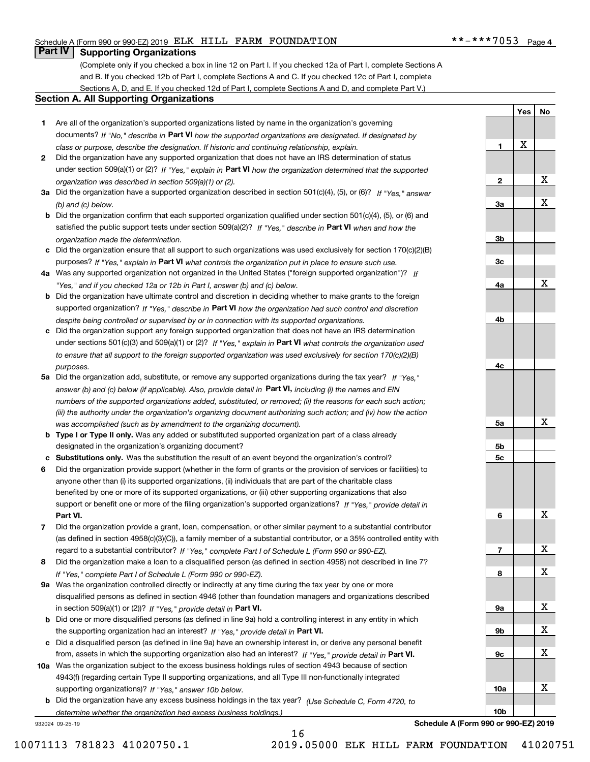#### Schedule A (Form 990 or 990-EZ) 2019 Page ELK HILL FARM FOUNDATION \*\*-\*\*\*7053

#### **Part IV Supporting Organizations**

(Complete only if you checked a box in line 12 on Part I. If you checked 12a of Part I, complete Sections A and B. If you checked 12b of Part I, complete Sections A and C. If you checked 12c of Part I, complete Sections A, D, and E. If you checked 12d of Part I, complete Sections A and D, and complete Part V.)

#### **Section A. All Supporting Organizations**

- **1** Are all of the organization's supported organizations listed by name in the organization's governing documents? If "No," describe in **Part VI** how the supported organizations are designated. If designated by *class or purpose, describe the designation. If historic and continuing relationship, explain.*
- **2** Did the organization have any supported organization that does not have an IRS determination of status under section 509(a)(1) or (2)? If "Yes," explain in Part VI how the organization determined that the supported *organization was described in section 509(a)(1) or (2).*
- **3a** Did the organization have a supported organization described in section 501(c)(4), (5), or (6)? If "Yes," answer *(b) and (c) below.*
- **b** Did the organization confirm that each supported organization qualified under section 501(c)(4), (5), or (6) and satisfied the public support tests under section 509(a)(2)? If "Yes," describe in **Part VI** when and how the *organization made the determination.*
- **c**Did the organization ensure that all support to such organizations was used exclusively for section 170(c)(2)(B) purposes? If "Yes," explain in **Part VI** what controls the organization put in place to ensure such use.
- **4a***If* Was any supported organization not organized in the United States ("foreign supported organization")? *"Yes," and if you checked 12a or 12b in Part I, answer (b) and (c) below.*
- **b** Did the organization have ultimate control and discretion in deciding whether to make grants to the foreign supported organization? If "Yes," describe in **Part VI** how the organization had such control and discretion *despite being controlled or supervised by or in connection with its supported organizations.*
- **c** Did the organization support any foreign supported organization that does not have an IRS determination under sections 501(c)(3) and 509(a)(1) or (2)? If "Yes," explain in **Part VI** what controls the organization used *to ensure that all support to the foreign supported organization was used exclusively for section 170(c)(2)(B) purposes.*
- **5a** Did the organization add, substitute, or remove any supported organizations during the tax year? If "Yes," answer (b) and (c) below (if applicable). Also, provide detail in **Part VI,** including (i) the names and EIN *numbers of the supported organizations added, substituted, or removed; (ii) the reasons for each such action; (iii) the authority under the organization's organizing document authorizing such action; and (iv) how the action was accomplished (such as by amendment to the organizing document).*
- **b** Type I or Type II only. Was any added or substituted supported organization part of a class already designated in the organization's organizing document?
- **cSubstitutions only.**  Was the substitution the result of an event beyond the organization's control?
- **6** Did the organization provide support (whether in the form of grants or the provision of services or facilities) to **Part VI.** *If "Yes," provide detail in* support or benefit one or more of the filing organization's supported organizations? anyone other than (i) its supported organizations, (ii) individuals that are part of the charitable class benefited by one or more of its supported organizations, or (iii) other supporting organizations that also
- **7**Did the organization provide a grant, loan, compensation, or other similar payment to a substantial contributor *If "Yes," complete Part I of Schedule L (Form 990 or 990-EZ).* regard to a substantial contributor? (as defined in section 4958(c)(3)(C)), a family member of a substantial contributor, or a 35% controlled entity with
- **8** Did the organization make a loan to a disqualified person (as defined in section 4958) not described in line 7? *If "Yes," complete Part I of Schedule L (Form 990 or 990-EZ).*
- **9a** Was the organization controlled directly or indirectly at any time during the tax year by one or more in section 509(a)(1) or (2))? If "Yes," *provide detail in* <code>Part VI.</code> disqualified persons as defined in section 4946 (other than foundation managers and organizations described
- **b** Did one or more disqualified persons (as defined in line 9a) hold a controlling interest in any entity in which the supporting organization had an interest? If "Yes," provide detail in P**art VI**.
- **c**Did a disqualified person (as defined in line 9a) have an ownership interest in, or derive any personal benefit from, assets in which the supporting organization also had an interest? If "Yes," provide detail in P**art VI.**
- **10a** Was the organization subject to the excess business holdings rules of section 4943 because of section supporting organizations)? If "Yes," answer 10b below. 4943(f) (regarding certain Type II supporting organizations, and all Type III non-functionally integrated
- **b** Did the organization have any excess business holdings in the tax year? (Use Schedule C, Form 4720, to *determine whether the organization had excess business holdings.)*

932024 09-25-19

**10bSchedule A (Form 990 or 990-EZ) 2019**

**10a**

**1**

**2**

**3a**

**3b**

**3c**

**4a**

**4b**

**4c**

**5a**

**5b5c**

**6**

**7**

**8**

**9a**

**9b**

**9c**

**Yes**

X

**No**

X

X

X

X

X

X

X

X

X

X

X

16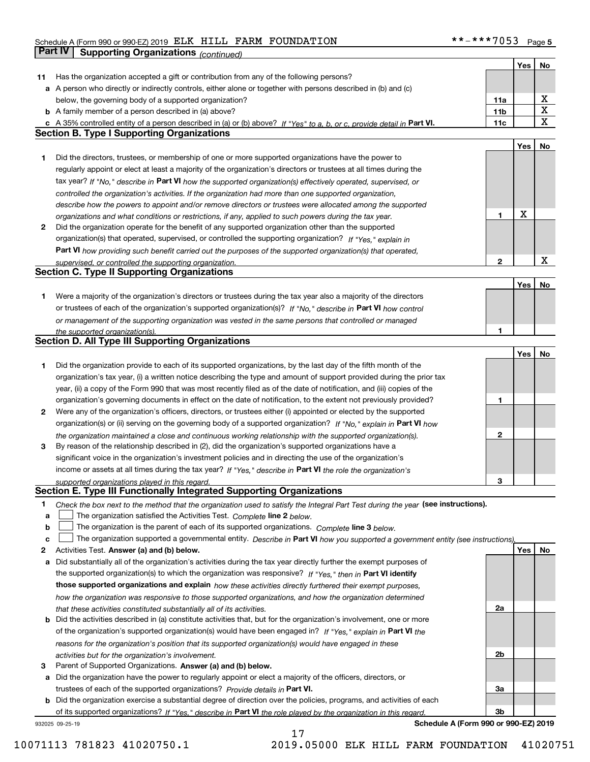#### Schedule A (Form 990 or 990-EZ) 2019 Page ELK HILL FARM FOUNDATION \*\*-\*\*\*7053 **Part IV Supporting Organizations** *(continued)*

|    |                                                                                                                                   |                 | Yes | No          |
|----|-----------------------------------------------------------------------------------------------------------------------------------|-----------------|-----|-------------|
| 11 | Has the organization accepted a gift or contribution from any of the following persons?                                           |                 |     |             |
|    | a A person who directly or indirectly controls, either alone or together with persons described in (b) and (c)                    |                 |     |             |
|    | below, the governing body of a supported organization?                                                                            | 11a             |     | х           |
|    | <b>b</b> A family member of a person described in (a) above?                                                                      | 11 <sub>b</sub> |     | X           |
|    | c A 35% controlled entity of a person described in (a) or (b) above? If "Yes" to a, b, or c, provide detail in Part VI.           | 11c             |     | $\mathbf X$ |
|    | <b>Section B. Type I Supporting Organizations</b>                                                                                 |                 |     |             |
|    |                                                                                                                                   |                 |     |             |
|    |                                                                                                                                   |                 | Yes | No          |
| 1  | Did the directors, trustees, or membership of one or more supported organizations have the power to                               |                 |     |             |
|    | regularly appoint or elect at least a majority of the organization's directors or trustees at all times during the                |                 |     |             |
|    | tax year? If "No," describe in Part VI how the supported organization(s) effectively operated, supervised, or                     |                 |     |             |
|    | controlled the organization's activities. If the organization had more than one supported organization,                           |                 |     |             |
|    | describe how the powers to appoint and/or remove directors or trustees were allocated among the supported                         |                 |     |             |
|    | organizations and what conditions or restrictions, if any, applied to such powers during the tax year.                            | 1               | X   |             |
| 2  | Did the organization operate for the benefit of any supported organization other than the supported                               |                 |     |             |
|    | organization(s) that operated, supervised, or controlled the supporting organization? If "Yes," explain in                        |                 |     |             |
|    | Part VI how providing such benefit carried out the purposes of the supported organization(s) that operated,                       |                 |     |             |
|    | supervised, or controlled the supporting organization.                                                                            | $\mathbf{2}$    |     | X           |
|    | <b>Section C. Type II Supporting Organizations</b>                                                                                |                 |     |             |
|    |                                                                                                                                   |                 | Yes | No          |
| 1  | Were a majority of the organization's directors or trustees during the tax year also a majority of the directors                  |                 |     |             |
|    | or trustees of each of the organization's supported organization(s)? If "No," describe in Part VI how control                     |                 |     |             |
|    | or management of the supporting organization was vested in the same persons that controlled or managed                            |                 |     |             |
|    |                                                                                                                                   |                 |     |             |
|    | the supported organization(s).<br><b>Section D. All Type III Supporting Organizations</b>                                         |                 |     |             |
|    |                                                                                                                                   |                 |     |             |
|    |                                                                                                                                   |                 | Yes | No          |
| 1  | Did the organization provide to each of its supported organizations, by the last day of the fifth month of the                    |                 |     |             |
|    | organization's tax year, (i) a written notice describing the type and amount of support provided during the prior tax             |                 |     |             |
|    | year, (ii) a copy of the Form 990 that was most recently filed as of the date of notification, and (iii) copies of the            |                 |     |             |
|    | organization's governing documents in effect on the date of notification, to the extent not previously provided?                  | 1               |     |             |
| 2  | Were any of the organization's officers, directors, or trustees either (i) appointed or elected by the supported                  |                 |     |             |
|    | organization(s) or (ii) serving on the governing body of a supported organization? If "No," explain in Part VI how                |                 |     |             |
|    | the organization maintained a close and continuous working relationship with the supported organization(s).                       | $\mathbf{2}$    |     |             |
| 3  | By reason of the relationship described in (2), did the organization's supported organizations have a                             |                 |     |             |
|    | significant voice in the organization's investment policies and in directing the use of the organization's                        |                 |     |             |
|    | income or assets at all times during the tax year? If "Yes," describe in Part VI the role the organization's                      |                 |     |             |
|    | supported organizations played in this regard.                                                                                    | 3               |     |             |
|    | Section E. Type III Functionally Integrated Supporting Organizations                                                              |                 |     |             |
| 1  | Check the box next to the method that the organization used to satisfy the Integral Part Test during the year (see instructions). |                 |     |             |
| a  | The organization satisfied the Activities Test. Complete line 2 below.                                                            |                 |     |             |
| b  | The organization is the parent of each of its supported organizations. Complete line 3 below.                                     |                 |     |             |
|    |                                                                                                                                   |                 |     |             |
| C  | The organization supported a governmental entity. Describe in Part VI how you supported a government entity (see instructions),   |                 |     |             |
| 2  | Activities Test. Answer (a) and (b) below.                                                                                        |                 | Yes | No          |
| a  | Did substantially all of the organization's activities during the tax year directly further the exempt purposes of                |                 |     |             |
|    | the supported organization(s) to which the organization was responsive? If "Yes," then in Part VI identify                        |                 |     |             |
|    | those supported organizations and explain how these activities directly furthered their exempt purposes,                          |                 |     |             |
|    | how the organization was responsive to those supported organizations, and how the organization determined                         |                 |     |             |
|    | that these activities constituted substantially all of its activities.                                                            | 2a              |     |             |
|    | <b>b</b> Did the activities described in (a) constitute activities that, but for the organization's involvement, one or more      |                 |     |             |
|    | of the organization's supported organization(s) would have been engaged in? If "Yes," explain in Part VI the                      |                 |     |             |
|    | reasons for the organization's position that its supported organization(s) would have engaged in these                            |                 |     |             |
|    | activities but for the organization's involvement.                                                                                | 2b              |     |             |
| 3  | Parent of Supported Organizations. Answer (a) and (b) below.                                                                      |                 |     |             |
| а  | Did the organization have the power to regularly appoint or elect a majority of the officers, directors, or                       |                 |     |             |
|    | trustees of each of the supported organizations? Provide details in Part VI.                                                      | За              |     |             |
|    | <b>b</b> Did the organization exercise a substantial degree of direction over the policies, programs, and activities of each      |                 |     |             |
|    | of its supported organizations? If "Yes," describe in Part VI the role played by the organization in this regard.                 | 3b              |     |             |
|    | Schedule A (Form 990 or 990-EZ) 2019<br>932025 09-25-19                                                                           |                 |     |             |
|    |                                                                                                                                   |                 |     |             |

17

**Schedule A (Form 990 or 990-EZ) 2019**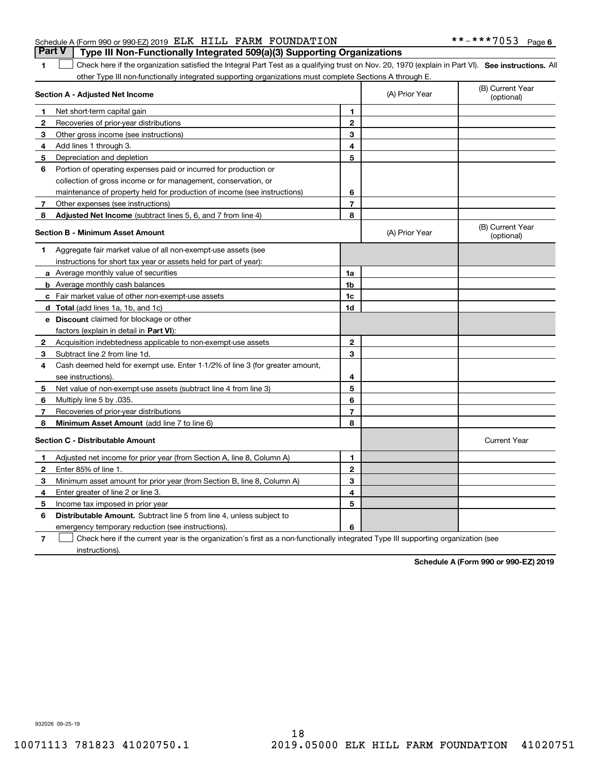| <b>Part V</b>   Type III Non-Functionally Integrated 509(a)(3) Supporting Organizations |  |
|-----------------------------------------------------------------------------------------|--|
| Schedule A (Form 990 or 990-EZ) 2019 ELK HILL FARM FOUNDATION                           |  |

1 Check here if the organization satisfied the Integral Part Test as a qualifying trust on Nov. 20, 1970 (explain in Part VI). See instructions. All other Type III non-functionally integrated supporting organizations must complete Sections A through E.

|              | Section A - Adjusted Net Income                                              |                | (A) Prior Year | (B) Current Year<br>(optional) |
|--------------|------------------------------------------------------------------------------|----------------|----------------|--------------------------------|
| 1.           | Net short-term capital gain                                                  | $\mathbf{1}$   |                |                                |
| 2            | Recoveries of prior-year distributions                                       | $\overline{2}$ |                |                                |
| 3            | Other gross income (see instructions)                                        | 3              |                |                                |
| 4            | Add lines 1 through 3.                                                       | 4              |                |                                |
| 5            | Depreciation and depletion                                                   | 5              |                |                                |
| 6            | Portion of operating expenses paid or incurred for production or             |                |                |                                |
|              | collection of gross income or for management, conservation, or               |                |                |                                |
|              | maintenance of property held for production of income (see instructions)     | 6              |                |                                |
| 7            | Other expenses (see instructions)                                            | $\overline{7}$ |                |                                |
| 8            | <b>Adjusted Net Income</b> (subtract lines 5, 6, and 7 from line 4)          | 8              |                |                                |
|              | <b>Section B - Minimum Asset Amount</b>                                      |                | (A) Prior Year | (B) Current Year<br>(optional) |
| 1            | Aggregate fair market value of all non-exempt-use assets (see                |                |                |                                |
|              | instructions for short tax year or assets held for part of year):            |                |                |                                |
|              | a Average monthly value of securities                                        | 1a             |                |                                |
|              | <b>b</b> Average monthly cash balances                                       | 1b             |                |                                |
|              | <b>c</b> Fair market value of other non-exempt-use assets                    | 1c             |                |                                |
|              | d Total (add lines 1a, 1b, and 1c)                                           | 1d             |                |                                |
|              | <b>e</b> Discount claimed for blockage or other                              |                |                |                                |
|              | factors (explain in detail in Part VI):                                      |                |                |                                |
| 2            | Acquisition indebtedness applicable to non-exempt-use assets                 | $\mathbf{2}$   |                |                                |
| 3            | Subtract line 2 from line 1d.                                                | 3              |                |                                |
| 4            | Cash deemed held for exempt use. Enter 1-1/2% of line 3 (for greater amount, |                |                |                                |
|              | see instructions)                                                            | 4              |                |                                |
| 5            | Net value of non-exempt-use assets (subtract line 4 from line 3)             | 5              |                |                                |
| 6            | Multiply line 5 by .035.                                                     | 6              |                |                                |
| 7            | Recoveries of prior-year distributions                                       | 7              |                |                                |
| 8            | Minimum Asset Amount (add line 7 to line 6)                                  | 8              |                |                                |
|              | <b>Section C - Distributable Amount</b>                                      |                |                | <b>Current Year</b>            |
| 1            | Adjusted net income for prior year (from Section A, line 8, Column A)        | 1              |                |                                |
| $\mathbf{2}$ | Enter 85% of line 1                                                          | $\overline{2}$ |                |                                |
| 3            | Minimum asset amount for prior year (from Section B, line 8, Column A)       | 3              |                |                                |
| 4            | Enter greater of line 2 or line 3.                                           | 4              |                |                                |
| 5            | Income tax imposed in prior year                                             | 5              |                |                                |
| 6            | Distributable Amount. Subtract line 5 from line 4, unless subject to         |                |                |                                |
|              | emergency temporary reduction (see instructions).                            | 6              |                |                                |
|              |                                                                              |                |                |                                |

**7**Check here if the current year is the organization's first as a non-functionally integrated Type III supporting organization (see instructions).

**Schedule A (Form 990 or 990-EZ) 2019**

932026 09-25-19

**1**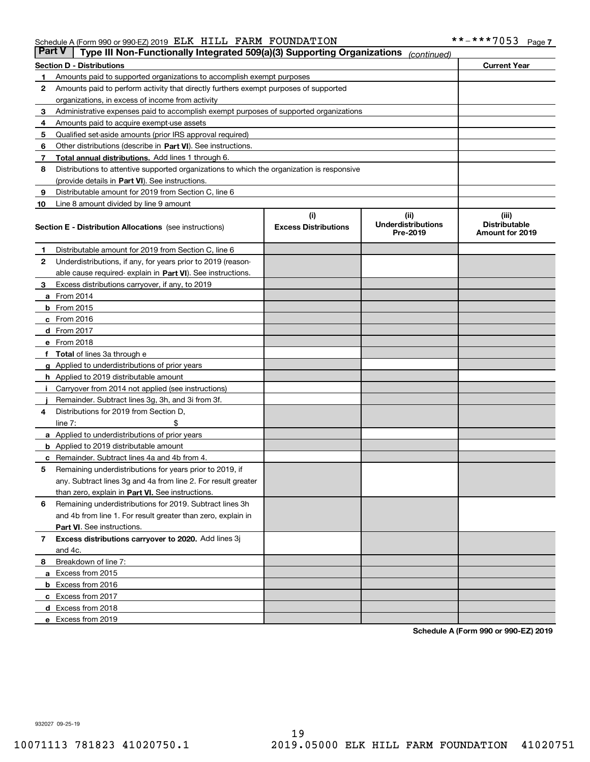#### Schedule A (Form 990 or 990-EZ) 2019 ELLK HILLL FARM FOUNDATION Page ELK HILL FARM FOUNDATION \*\*-\*\*\*7053

|    | <b>Part V</b><br>Type III Non-Functionally Integrated 509(a)(3) Supporting Organizations<br>(continued) |                             |                                       |                                         |  |  |  |  |
|----|---------------------------------------------------------------------------------------------------------|-----------------------------|---------------------------------------|-----------------------------------------|--|--|--|--|
|    | <b>Current Year</b><br><b>Section D - Distributions</b>                                                 |                             |                                       |                                         |  |  |  |  |
| 1  | Amounts paid to supported organizations to accomplish exempt purposes                                   |                             |                                       |                                         |  |  |  |  |
| 2  | Amounts paid to perform activity that directly furthers exempt purposes of supported                    |                             |                                       |                                         |  |  |  |  |
|    | organizations, in excess of income from activity                                                        |                             |                                       |                                         |  |  |  |  |
| 3  | Administrative expenses paid to accomplish exempt purposes of supported organizations                   |                             |                                       |                                         |  |  |  |  |
| 4  | Amounts paid to acquire exempt-use assets                                                               |                             |                                       |                                         |  |  |  |  |
| 5  | Qualified set-aside amounts (prior IRS approval required)                                               |                             |                                       |                                         |  |  |  |  |
| 6  | Other distributions (describe in Part VI). See instructions.                                            |                             |                                       |                                         |  |  |  |  |
| 7  | <b>Total annual distributions.</b> Add lines 1 through 6.                                               |                             |                                       |                                         |  |  |  |  |
| 8  | Distributions to attentive supported organizations to which the organization is responsive              |                             |                                       |                                         |  |  |  |  |
|    | (provide details in Part VI). See instructions.                                                         |                             |                                       |                                         |  |  |  |  |
| 9  | Distributable amount for 2019 from Section C, line 6                                                    |                             |                                       |                                         |  |  |  |  |
| 10 | Line 8 amount divided by line 9 amount                                                                  |                             |                                       |                                         |  |  |  |  |
|    |                                                                                                         | (i)                         | (iii)                                 | (iii)                                   |  |  |  |  |
|    | <b>Section E - Distribution Allocations</b> (see instructions)                                          | <b>Excess Distributions</b> | <b>Underdistributions</b><br>Pre-2019 | <b>Distributable</b><br>Amount for 2019 |  |  |  |  |
| 1  | Distributable amount for 2019 from Section C, line 6                                                    |                             |                                       |                                         |  |  |  |  |
| 2  | Underdistributions, if any, for years prior to 2019 (reason-                                            |                             |                                       |                                         |  |  |  |  |
|    | able cause required- explain in Part VI). See instructions.                                             |                             |                                       |                                         |  |  |  |  |
| З  | Excess distributions carryover, if any, to 2019                                                         |                             |                                       |                                         |  |  |  |  |
|    | <b>a</b> From 2014                                                                                      |                             |                                       |                                         |  |  |  |  |
|    | <b>b</b> From 2015                                                                                      |                             |                                       |                                         |  |  |  |  |
|    | $c$ From 2016                                                                                           |                             |                                       |                                         |  |  |  |  |
|    | d From 2017                                                                                             |                             |                                       |                                         |  |  |  |  |
|    | e From 2018                                                                                             |                             |                                       |                                         |  |  |  |  |
|    | Total of lines 3a through e                                                                             |                             |                                       |                                         |  |  |  |  |
| g  | Applied to underdistributions of prior years                                                            |                             |                                       |                                         |  |  |  |  |
|    | <b>h</b> Applied to 2019 distributable amount                                                           |                             |                                       |                                         |  |  |  |  |
|    | Carryover from 2014 not applied (see instructions)                                                      |                             |                                       |                                         |  |  |  |  |
|    | Remainder. Subtract lines 3g, 3h, and 3i from 3f.                                                       |                             |                                       |                                         |  |  |  |  |
| 4  | Distributions for 2019 from Section D,                                                                  |                             |                                       |                                         |  |  |  |  |
|    | line $7:$                                                                                               |                             |                                       |                                         |  |  |  |  |
|    | <b>a</b> Applied to underdistributions of prior years                                                   |                             |                                       |                                         |  |  |  |  |
|    | <b>b</b> Applied to 2019 distributable amount                                                           |                             |                                       |                                         |  |  |  |  |
|    | c Remainder. Subtract lines 4a and 4b from 4.                                                           |                             |                                       |                                         |  |  |  |  |
| 5  | Remaining underdistributions for years prior to 2019, if                                                |                             |                                       |                                         |  |  |  |  |
|    | any. Subtract lines 3g and 4a from line 2. For result greater                                           |                             |                                       |                                         |  |  |  |  |
|    | than zero, explain in Part VI. See instructions.                                                        |                             |                                       |                                         |  |  |  |  |
| 6  | Remaining underdistributions for 2019. Subtract lines 3h                                                |                             |                                       |                                         |  |  |  |  |
|    | and 4b from line 1. For result greater than zero, explain in                                            |                             |                                       |                                         |  |  |  |  |
|    | Part VI. See instructions.                                                                              |                             |                                       |                                         |  |  |  |  |
| 7  | Excess distributions carryover to 2020. Add lines 3j                                                    |                             |                                       |                                         |  |  |  |  |
|    | and 4c.                                                                                                 |                             |                                       |                                         |  |  |  |  |
| 8  | Breakdown of line 7:                                                                                    |                             |                                       |                                         |  |  |  |  |
|    | a Excess from 2015                                                                                      |                             |                                       |                                         |  |  |  |  |
|    | <b>b</b> Excess from 2016                                                                               |                             |                                       |                                         |  |  |  |  |
|    | c Excess from 2017                                                                                      |                             |                                       |                                         |  |  |  |  |
|    | d Excess from 2018                                                                                      |                             |                                       |                                         |  |  |  |  |
|    | e Excess from 2019                                                                                      |                             |                                       |                                         |  |  |  |  |

**Schedule A (Form 990 or 990-EZ) 2019**

932027 09-25-19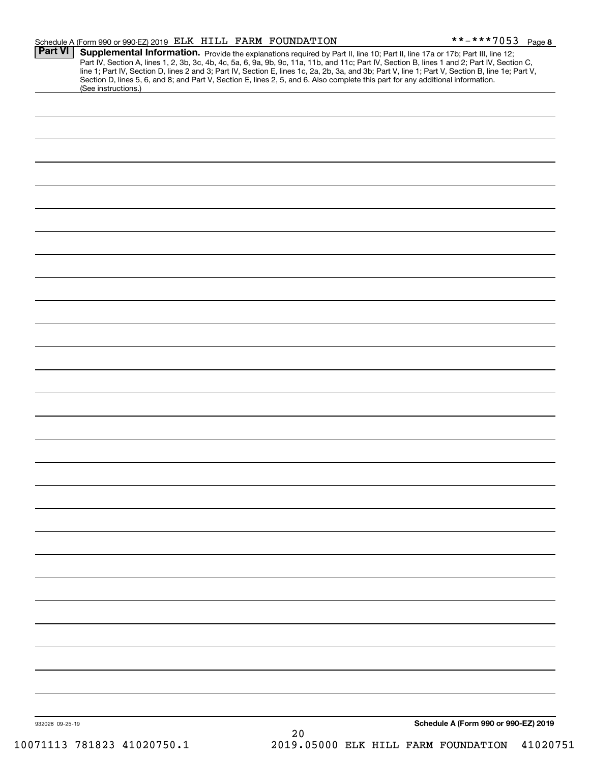|                                        |    | **-***7053<br>Page 8                                                                                                                                                                                                                                                                                                                                                                                                                                                                                                                                                                                                                  |
|----------------------------------------|----|---------------------------------------------------------------------------------------------------------------------------------------------------------------------------------------------------------------------------------------------------------------------------------------------------------------------------------------------------------------------------------------------------------------------------------------------------------------------------------------------------------------------------------------------------------------------------------------------------------------------------------------|
|                                        |    |                                                                                                                                                                                                                                                                                                                                                                                                                                                                                                                                                                                                                                       |
|                                        |    |                                                                                                                                                                                                                                                                                                                                                                                                                                                                                                                                                                                                                                       |
|                                        |    |                                                                                                                                                                                                                                                                                                                                                                                                                                                                                                                                                                                                                                       |
|                                        |    |                                                                                                                                                                                                                                                                                                                                                                                                                                                                                                                                                                                                                                       |
|                                        |    |                                                                                                                                                                                                                                                                                                                                                                                                                                                                                                                                                                                                                                       |
|                                        |    |                                                                                                                                                                                                                                                                                                                                                                                                                                                                                                                                                                                                                                       |
|                                        |    |                                                                                                                                                                                                                                                                                                                                                                                                                                                                                                                                                                                                                                       |
|                                        |    |                                                                                                                                                                                                                                                                                                                                                                                                                                                                                                                                                                                                                                       |
|                                        |    |                                                                                                                                                                                                                                                                                                                                                                                                                                                                                                                                                                                                                                       |
|                                        |    |                                                                                                                                                                                                                                                                                                                                                                                                                                                                                                                                                                                                                                       |
|                                        |    |                                                                                                                                                                                                                                                                                                                                                                                                                                                                                                                                                                                                                                       |
|                                        |    |                                                                                                                                                                                                                                                                                                                                                                                                                                                                                                                                                                                                                                       |
|                                        |    |                                                                                                                                                                                                                                                                                                                                                                                                                                                                                                                                                                                                                                       |
|                                        |    |                                                                                                                                                                                                                                                                                                                                                                                                                                                                                                                                                                                                                                       |
|                                        |    |                                                                                                                                                                                                                                                                                                                                                                                                                                                                                                                                                                                                                                       |
|                                        |    |                                                                                                                                                                                                                                                                                                                                                                                                                                                                                                                                                                                                                                       |
|                                        |    |                                                                                                                                                                                                                                                                                                                                                                                                                                                                                                                                                                                                                                       |
|                                        |    |                                                                                                                                                                                                                                                                                                                                                                                                                                                                                                                                                                                                                                       |
|                                        |    |                                                                                                                                                                                                                                                                                                                                                                                                                                                                                                                                                                                                                                       |
|                                        |    |                                                                                                                                                                                                                                                                                                                                                                                                                                                                                                                                                                                                                                       |
|                                        |    |                                                                                                                                                                                                                                                                                                                                                                                                                                                                                                                                                                                                                                       |
|                                        |    |                                                                                                                                                                                                                                                                                                                                                                                                                                                                                                                                                                                                                                       |
|                                        |    |                                                                                                                                                                                                                                                                                                                                                                                                                                                                                                                                                                                                                                       |
|                                        |    |                                                                                                                                                                                                                                                                                                                                                                                                                                                                                                                                                                                                                                       |
|                                        |    |                                                                                                                                                                                                                                                                                                                                                                                                                                                                                                                                                                                                                                       |
|                                        |    |                                                                                                                                                                                                                                                                                                                                                                                                                                                                                                                                                                                                                                       |
|                                        |    |                                                                                                                                                                                                                                                                                                                                                                                                                                                                                                                                                                                                                                       |
|                                        |    |                                                                                                                                                                                                                                                                                                                                                                                                                                                                                                                                                                                                                                       |
|                                        |    |                                                                                                                                                                                                                                                                                                                                                                                                                                                                                                                                                                                                                                       |
|                                        |    |                                                                                                                                                                                                                                                                                                                                                                                                                                                                                                                                                                                                                                       |
|                                        | 20 | Schedule A (Form 990 or 990-EZ) 2019                                                                                                                                                                                                                                                                                                                                                                                                                                                                                                                                                                                                  |
| (See instructions.)<br>932028 09-25-19 |    | Schedule A (Form 990 or 990-EZ) 2019 ELK HILL FARM FOUNDATION<br>Supplemental Information. Provide the explanations required by Part II, line 10; Part II, line 17a or 17b; Part III, line 12;<br>Part IV, Section A, lines 1, 2, 3b, 3c, 4b, 4c, 5a, 6, 9a, 9b, 9c, 11a, 11b, and 11c; Part IV, Section B, lines 1 and 2; Part IV, Section C,<br>line 1; Part IV, Section D, lines 2 and 3; Part IV, Section E, lines 1c, 2a, 2b, 3a, and 3b; Part V, line 1; Part V, Section B, line 1e; Part V,<br>Section D, lines 5, 6, and 8; and Part V, Section E, lines 2, 5, and 6. Also complete this part for any additional information. |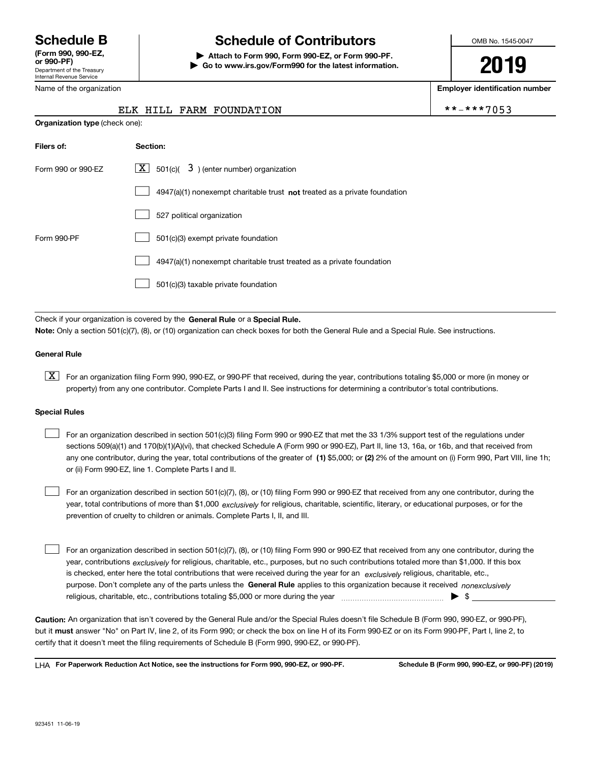Department of the Treasury Internal Revenue Service **(Form 990, 990-EZ, or 990-PF)**

Name of the organization

**Organization type** (check one):

## **Schedule B Schedule of Contributors**

**| Attach to Form 990, Form 990-EZ, or Form 990-PF. | Go to www.irs.gov/Form990 for the latest information.** OMB No. 1545-0047

# **2019**

**Employer identification number**

|  |  | -***7053 |  |  |
|--|--|----------|--|--|
|  |  |          |  |  |

| ELK HILL FARM FOUNDATION | **-***7053 |
|--------------------------|------------|
|--------------------------|------------|

| Filers of:         | Section:                                                                           |
|--------------------|------------------------------------------------------------------------------------|
| Form 990 or 990-EZ | $\lfloor x \rfloor$ 501(c)( 3) (enter number) organization                         |
|                    | $4947(a)(1)$ nonexempt charitable trust <b>not</b> treated as a private foundation |
|                    | 527 political organization                                                         |
| Form 990-PF        | 501(c)(3) exempt private foundation                                                |
|                    | 4947(a)(1) nonexempt charitable trust treated as a private foundation              |
|                    | 501(c)(3) taxable private foundation                                               |

Check if your organization is covered by the **General Rule** or a **Special Rule. Note:**  Only a section 501(c)(7), (8), or (10) organization can check boxes for both the General Rule and a Special Rule. See instructions.

#### **General Rule**

 $\boxed{\textbf{X}}$  For an organization filing Form 990, 990-EZ, or 990-PF that received, during the year, contributions totaling \$5,000 or more (in money or property) from any one contributor. Complete Parts I and II. See instructions for determining a contributor's total contributions.

#### **Special Rules**

any one contributor, during the year, total contributions of the greater of  $\,$  (1) \$5,000; or **(2)** 2% of the amount on (i) Form 990, Part VIII, line 1h; For an organization described in section 501(c)(3) filing Form 990 or 990-EZ that met the 33 1/3% support test of the regulations under sections 509(a)(1) and 170(b)(1)(A)(vi), that checked Schedule A (Form 990 or 990-EZ), Part II, line 13, 16a, or 16b, and that received from or (ii) Form 990-EZ, line 1. Complete Parts I and II.  $\mathcal{L}^{\text{max}}$ 

year, total contributions of more than \$1,000 *exclusively* for religious, charitable, scientific, literary, or educational purposes, or for the For an organization described in section 501(c)(7), (8), or (10) filing Form 990 or 990-EZ that received from any one contributor, during the prevention of cruelty to children or animals. Complete Parts I, II, and III.  $\mathcal{L}^{\text{max}}$ 

purpose. Don't complete any of the parts unless the **General Rule** applies to this organization because it received *nonexclusively* year, contributions <sub>exclusively</sub> for religious, charitable, etc., purposes, but no such contributions totaled more than \$1,000. If this box is checked, enter here the total contributions that were received during the year for an  $\;$ exclusively religious, charitable, etc., For an organization described in section 501(c)(7), (8), or (10) filing Form 990 or 990-EZ that received from any one contributor, during the religious, charitable, etc., contributions totaling \$5,000 or more during the year  $\Box$ — $\Box$  =  $\Box$  $\mathcal{L}^{\text{max}}$ 

**Caution:**  An organization that isn't covered by the General Rule and/or the Special Rules doesn't file Schedule B (Form 990, 990-EZ, or 990-PF),  **must** but it answer "No" on Part IV, line 2, of its Form 990; or check the box on line H of its Form 990-EZ or on its Form 990-PF, Part I, line 2, to certify that it doesn't meet the filing requirements of Schedule B (Form 990, 990-EZ, or 990-PF).

**For Paperwork Reduction Act Notice, see the instructions for Form 990, 990-EZ, or 990-PF. Schedule B (Form 990, 990-EZ, or 990-PF) (2019)** LHA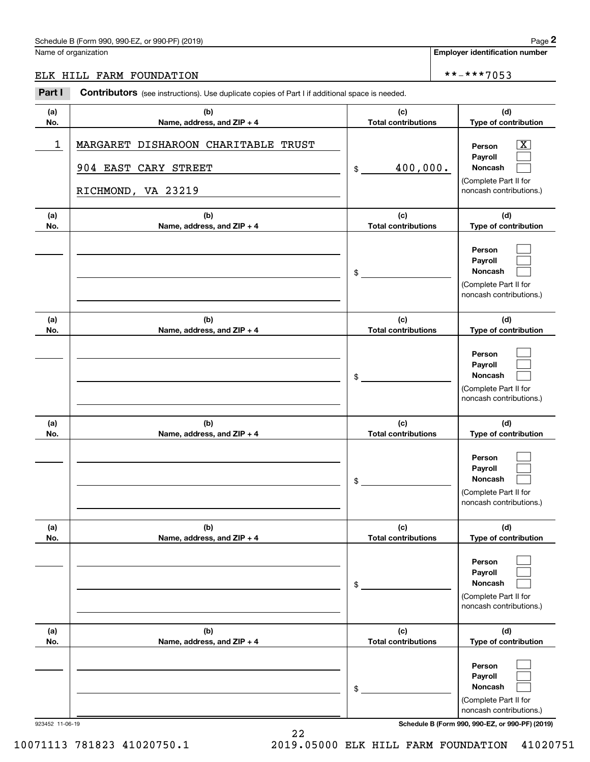#### Schedule B (Form 990, 990-EZ, or 990-PF) (2019) Page 2

#### ELK HILL FARM FOUNDATION \*\*-\*\*\*7053

|            | Schedule B (Form 990, 990-EZ, or 990-PF) (2019)                                                       |                                   | Page 2                                                                                           |
|------------|-------------------------------------------------------------------------------------------------------|-----------------------------------|--------------------------------------------------------------------------------------------------|
|            | Name of organization                                                                                  |                                   | <b>Employer identification number</b>                                                            |
|            | ELK HILL FARM FOUNDATION                                                                              |                                   | **-***7053                                                                                       |
| Part I     | <b>Contributors</b> (see instructions). Use duplicate copies of Part I if additional space is needed. |                                   |                                                                                                  |
| (a)<br>No. | (b)<br>Name, address, and ZIP + 4                                                                     | (c)<br><b>Total contributions</b> | (d)<br>Type of contribution                                                                      |
| 1          | MARGARET DISHAROON CHARITABLE TRUST<br>904 EAST CARY STREET<br>RICHMOND, VA 23219                     | 400,000.<br>\$                    | $\mathbf{X}$<br>Person<br>Payroll<br>Noncash<br>(Complete Part II for<br>noncash contributions.) |
| (a)<br>No. | (b)<br>Name, address, and ZIP + 4                                                                     | (c)<br><b>Total contributions</b> | (d)<br>Type of contribution                                                                      |
|            |                                                                                                       | \$                                | Person<br>Payroll<br>Noncash<br>(Complete Part II for<br>noncash contributions.)                 |
| (a)<br>No. | (b)<br>Name, address, and ZIP + 4                                                                     | (c)<br><b>Total contributions</b> | (d)<br>Type of contribution                                                                      |
|            |                                                                                                       | \$                                | Person<br>Payroll<br>Noncash<br>(Complete Part II for<br>noncash contributions.)                 |
| (a)<br>No. | (b)<br>Name, address, and ZIP + 4                                                                     | (c)<br><b>Total contributions</b> | (d)<br>Type of contribution                                                                      |
|            |                                                                                                       | \$                                | Person<br>Payroll<br>Noncash<br>(Complete Part II for<br>noncash contributions.)                 |
| (a)<br>No. | (b)<br>Name, address, and ZIP + 4                                                                     | (c)<br><b>Total contributions</b> | (d)<br>Type of contribution                                                                      |
|            |                                                                                                       | \$                                | Person<br>Payroll<br>Noncash<br>(Complete Part II for<br>noncash contributions.)                 |
| (a)<br>No. | (b)<br>Name, address, and ZIP + 4                                                                     | (c)<br><b>Total contributions</b> | (d)<br>Type of contribution                                                                      |
|            |                                                                                                       | \$                                | Person<br>Payroll<br>Noncash<br>(Complete Part II for<br>noncash contributions.)                 |

923452 11-06-19 **Schedule B (Form 990, 990-EZ, or 990-PF) (2019)**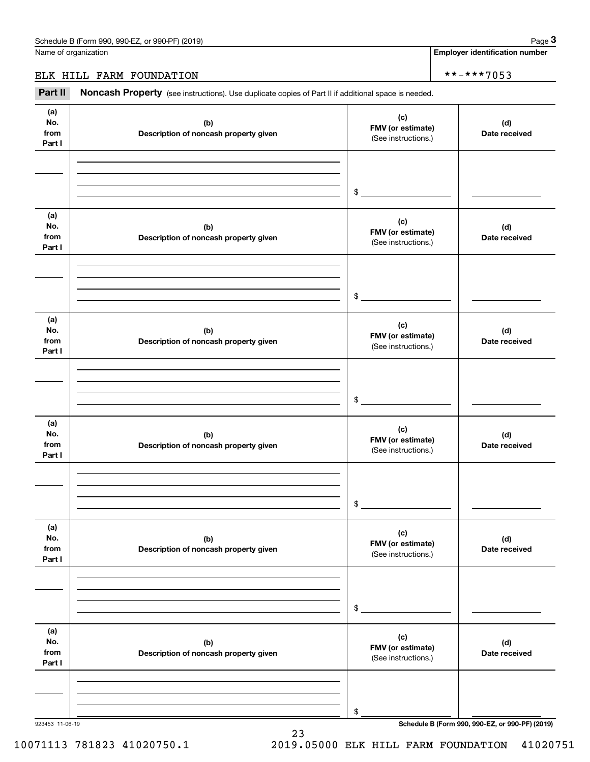Name of organization

**Employer identification number**

#### ELK HILL FARM FOUNDATION \*\*-\*\*\*7053

(see instructions). Use duplicate copies of Part II if additional space is needed.<br> **2Part II Noncash Property** (see instructions). Use duplicate copies of Part II if additional space is needed.

| (a)<br>No.<br>from<br>Part I | (b)<br>Description of noncash property given | (c)<br>FMV (or estimate)<br>(See instructions.) | (d)<br>Date received                            |
|------------------------------|----------------------------------------------|-------------------------------------------------|-------------------------------------------------|
|                              |                                              | $$\overbrace{\hspace{2.5cm}}$                   |                                                 |
| (a)<br>No.<br>from<br>Part I | (b)<br>Description of noncash property given | (c)<br>FMV (or estimate)<br>(See instructions.) | (d)<br>Date received                            |
|                              |                                              | $\frac{1}{2}$                                   |                                                 |
| (a)<br>No.<br>from<br>Part I | (b)<br>Description of noncash property given | (c)<br>FMV (or estimate)<br>(See instructions.) | (d)<br>Date received                            |
|                              |                                              | $\frac{1}{2}$                                   |                                                 |
| (a)<br>No.<br>from<br>Part I | (b)<br>Description of noncash property given | (c)<br>FMV (or estimate)<br>(See instructions.) | (d)<br>Date received                            |
|                              |                                              | $\sim$                                          |                                                 |
| (a)<br>No.<br>from<br>Part I | (b)<br>Description of noncash property given | (c)<br>FMV (or estimate)<br>(See instructions.) | (d)<br>Date received                            |
|                              |                                              | \$                                              |                                                 |
| (a)<br>No.<br>from<br>Part I | (b)<br>Description of noncash property given | (c)<br>FMV (or estimate)<br>(See instructions.) | (d)<br>Date received                            |
|                              |                                              | \$                                              |                                                 |
| 923453 11-06-19              |                                              |                                                 | Schedule B (Form 990, 990-EZ, or 990-PF) (2019) |

23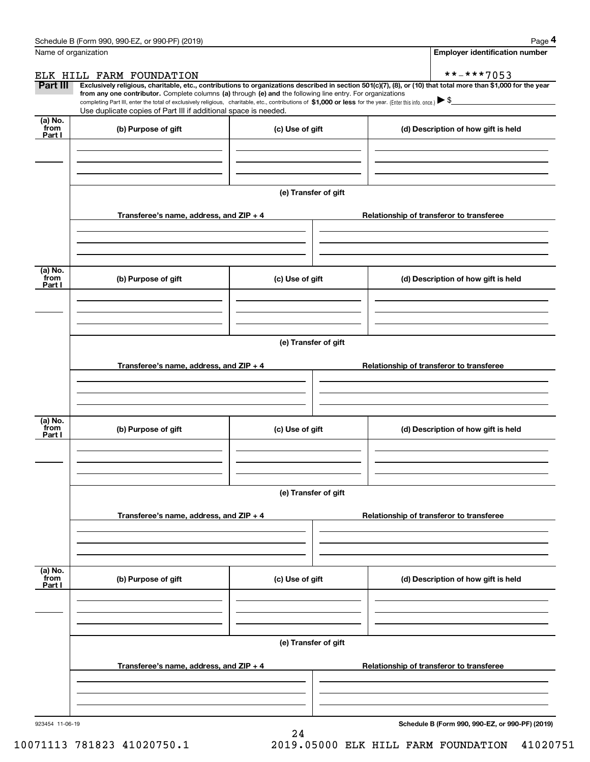| Name of organization<br>ELK HILL FARM FOUNDATION<br>Part III<br>Exclusively religious, charitable, etc., contributions to organizations described in section 501(c)(7), (8), or (10) that total more than \$1,000 for the year<br>from any one contributor. Complete columns (a) through (e) and the following line entry. For organizations | <b>Employer identification number</b><br>**-***7053 |  |  |  |  |  |  |
|----------------------------------------------------------------------------------------------------------------------------------------------------------------------------------------------------------------------------------------------------------------------------------------------------------------------------------------------|-----------------------------------------------------|--|--|--|--|--|--|
|                                                                                                                                                                                                                                                                                                                                              |                                                     |  |  |  |  |  |  |
|                                                                                                                                                                                                                                                                                                                                              |                                                     |  |  |  |  |  |  |
|                                                                                                                                                                                                                                                                                                                                              |                                                     |  |  |  |  |  |  |
| completing Part III, enter the total of exclusively religious, charitable, etc., contributions of \$1,000 or less for the year. (Enter this info. once.) \\$<br>Use duplicate copies of Part III if additional space is needed.                                                                                                              |                                                     |  |  |  |  |  |  |
| (a) No.<br>from<br>(b) Purpose of gift<br>(c) Use of gift                                                                                                                                                                                                                                                                                    | (d) Description of how gift is held                 |  |  |  |  |  |  |
| Part I                                                                                                                                                                                                                                                                                                                                       |                                                     |  |  |  |  |  |  |
|                                                                                                                                                                                                                                                                                                                                              |                                                     |  |  |  |  |  |  |
| (e) Transfer of gift                                                                                                                                                                                                                                                                                                                         |                                                     |  |  |  |  |  |  |
| Transferee's name, address, and ZIP + 4                                                                                                                                                                                                                                                                                                      | Relationship of transferor to transferee            |  |  |  |  |  |  |
|                                                                                                                                                                                                                                                                                                                                              |                                                     |  |  |  |  |  |  |
| (a) No.<br>from<br>(b) Purpose of gift<br>(c) Use of gift<br>Part I                                                                                                                                                                                                                                                                          | (d) Description of how gift is held                 |  |  |  |  |  |  |
|                                                                                                                                                                                                                                                                                                                                              |                                                     |  |  |  |  |  |  |
| (e) Transfer of gift                                                                                                                                                                                                                                                                                                                         |                                                     |  |  |  |  |  |  |
| Transferee's name, address, and ZIP + 4                                                                                                                                                                                                                                                                                                      | Relationship of transferor to transferee            |  |  |  |  |  |  |
|                                                                                                                                                                                                                                                                                                                                              |                                                     |  |  |  |  |  |  |
|                                                                                                                                                                                                                                                                                                                                              |                                                     |  |  |  |  |  |  |
| (a) No.<br>from<br>(c) Use of gift<br>(b) Purpose of gift<br>Part I                                                                                                                                                                                                                                                                          | (d) Description of how gift is held                 |  |  |  |  |  |  |
|                                                                                                                                                                                                                                                                                                                                              |                                                     |  |  |  |  |  |  |
| (e) Transfer of gift                                                                                                                                                                                                                                                                                                                         |                                                     |  |  |  |  |  |  |
| Transferee's name, address, and $ZIP + 4$                                                                                                                                                                                                                                                                                                    | Relationship of transferor to transferee            |  |  |  |  |  |  |
|                                                                                                                                                                                                                                                                                                                                              |                                                     |  |  |  |  |  |  |
| (a) No.<br>from<br>(b) Purpose of gift<br>(c) Use of gift                                                                                                                                                                                                                                                                                    | (d) Description of how gift is held                 |  |  |  |  |  |  |
| Part I                                                                                                                                                                                                                                                                                                                                       |                                                     |  |  |  |  |  |  |
|                                                                                                                                                                                                                                                                                                                                              |                                                     |  |  |  |  |  |  |
| (e) Transfer of gift                                                                                                                                                                                                                                                                                                                         |                                                     |  |  |  |  |  |  |
| Transferee's name, address, and $ZIP + 4$                                                                                                                                                                                                                                                                                                    | Relationship of transferor to transferee            |  |  |  |  |  |  |
|                                                                                                                                                                                                                                                                                                                                              |                                                     |  |  |  |  |  |  |
| 923454 11-06-19                                                                                                                                                                                                                                                                                                                              | Schedule B (Form 990, 990-EZ, or 990-PF) (2019)     |  |  |  |  |  |  |

24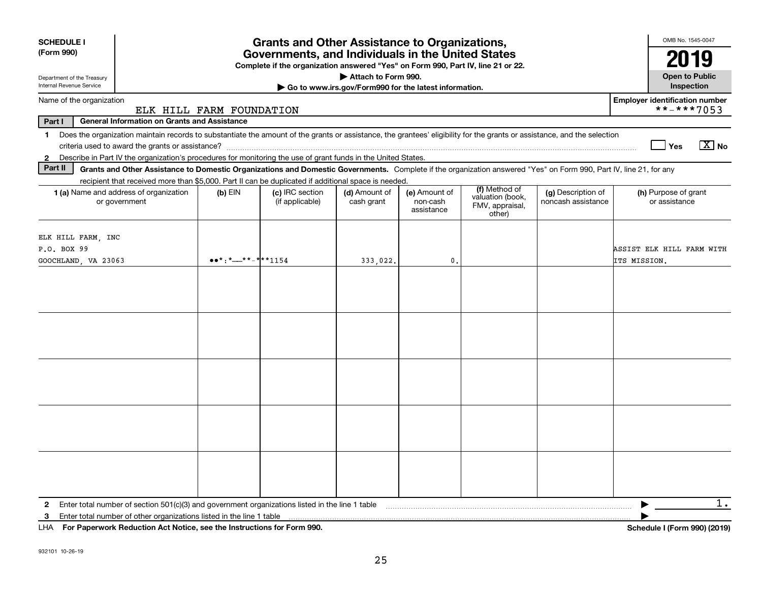| <b>SCHEDULE I</b>                                                                                                                                                                       |                                                                                                                                                                                                                                                                                                                                  | <b>Grants and Other Assistance to Organizations,</b>                                                                                  |                                                       |                                         |                                               |                                          | OMB No. 1545-0047                                   |
|-----------------------------------------------------------------------------------------------------------------------------------------------------------------------------------------|----------------------------------------------------------------------------------------------------------------------------------------------------------------------------------------------------------------------------------------------------------------------------------------------------------------------------------|---------------------------------------------------------------------------------------------------------------------------------------|-------------------------------------------------------|-----------------------------------------|-----------------------------------------------|------------------------------------------|-----------------------------------------------------|
| (Form 990)                                                                                                                                                                              |                                                                                                                                                                                                                                                                                                                                  | Governments, and Individuals in the United States<br>Complete if the organization answered "Yes" on Form 990, Part IV, line 21 or 22. |                                                       |                                         |                                               |                                          |                                                     |
| Department of the Treasury                                                                                                                                                              |                                                                                                                                                                                                                                                                                                                                  |                                                                                                                                       | Attach to Form 990.                                   |                                         |                                               |                                          | <b>Open to Public</b>                               |
| Internal Revenue Service                                                                                                                                                                |                                                                                                                                                                                                                                                                                                                                  |                                                                                                                                       | Go to www.irs.gov/Form990 for the latest information. |                                         |                                               |                                          | Inspection                                          |
| Name of the organization                                                                                                                                                                | ELK HILL FARM FOUNDATION                                                                                                                                                                                                                                                                                                         |                                                                                                                                       |                                                       |                                         |                                               |                                          | <b>Employer identification number</b><br>**-***7053 |
| <b>General Information on Grants and Assistance</b><br>Part I                                                                                                                           |                                                                                                                                                                                                                                                                                                                                  |                                                                                                                                       |                                                       |                                         |                                               |                                          |                                                     |
| Does the organization maintain records to substantiate the amount of the grants or assistance, the grantees' eligibility for the grants or assistance, and the selection<br>$\mathbf 1$ |                                                                                                                                                                                                                                                                                                                                  |                                                                                                                                       |                                                       |                                         |                                               |                                          |                                                     |
|                                                                                                                                                                                         |                                                                                                                                                                                                                                                                                                                                  |                                                                                                                                       |                                                       |                                         |                                               |                                          | $\sqrt{X}$ No<br>Yes                                |
| Describe in Part IV the organization's procedures for monitoring the use of grant funds in the United States.<br>$\mathbf{2}$                                                           |                                                                                                                                                                                                                                                                                                                                  |                                                                                                                                       |                                                       |                                         |                                               |                                          |                                                     |
| Part II<br>Grants and Other Assistance to Domestic Organizations and Domestic Governments. Complete if the organization answered "Yes" on Form 990, Part IV, line 21, for any           |                                                                                                                                                                                                                                                                                                                                  |                                                                                                                                       |                                                       |                                         |                                               |                                          |                                                     |
| recipient that received more than \$5,000. Part II can be duplicated if additional space is needed.                                                                                     |                                                                                                                                                                                                                                                                                                                                  |                                                                                                                                       |                                                       |                                         | (f) Method of                                 |                                          |                                                     |
| 1 (a) Name and address of organization<br>or government                                                                                                                                 | $(b)$ EIN                                                                                                                                                                                                                                                                                                                        | (c) IRC section<br>(if applicable)                                                                                                    | (d) Amount of<br>cash grant                           | (e) Amount of<br>non-cash<br>assistance | valuation (book,<br>FMV, appraisal,<br>other) | (g) Description of<br>noncash assistance | (h) Purpose of grant<br>or assistance               |
| ELK HILL FARM, INC<br>P.O. BOX 99                                                                                                                                                       |                                                                                                                                                                                                                                                                                                                                  |                                                                                                                                       |                                                       |                                         |                                               |                                          | ASSIST ELK HILL FARM WITH                           |
| GOOCHLAND, VA 23063                                                                                                                                                                     | $\bullet \bullet^*$ : $\ast$ $\frac{1}{2}$ $\ast$ $\ast$ $\frac{1}{2}$ $\ast$ $\ast$ $\frac{1}{2}$ $\ast$ $\ast$ $\frac{1}{2}$ $\ast$ $\ast$ $\frac{1}{2}$ $\ast$ $\ast$ $\frac{1}{2}$ $\ast$ $\ast$ $\frac{1}{2}$ $\ast$ $\ast$ $\frac{1}{2}$ $\ast$ $\ast$ $\frac{1}{2}$ $\ast$ $\ast$ $\frac{1}{2}$ $\ast$ $\ast$ $\frac{1}{$ |                                                                                                                                       | 333,022.                                              | 0.                                      |                                               |                                          | ITS MISSION.                                        |
|                                                                                                                                                                                         |                                                                                                                                                                                                                                                                                                                                  |                                                                                                                                       |                                                       |                                         |                                               |                                          |                                                     |
|                                                                                                                                                                                         |                                                                                                                                                                                                                                                                                                                                  |                                                                                                                                       |                                                       |                                         |                                               |                                          |                                                     |
|                                                                                                                                                                                         |                                                                                                                                                                                                                                                                                                                                  |                                                                                                                                       |                                                       |                                         |                                               |                                          |                                                     |
|                                                                                                                                                                                         |                                                                                                                                                                                                                                                                                                                                  |                                                                                                                                       |                                                       |                                         |                                               |                                          |                                                     |
| Enter total number of section 501(c)(3) and government organizations listed in the line 1 table<br>$\mathbf{2}$                                                                         |                                                                                                                                                                                                                                                                                                                                  |                                                                                                                                       |                                                       |                                         |                                               |                                          | $1$ .<br>▶                                          |
| 3                                                                                                                                                                                       |                                                                                                                                                                                                                                                                                                                                  |                                                                                                                                       |                                                       |                                         |                                               |                                          |                                                     |

**For Paperwork Reduction Act Notice, see the Instructions for Form 990. Schedule I (Form 990) (2019)** LHA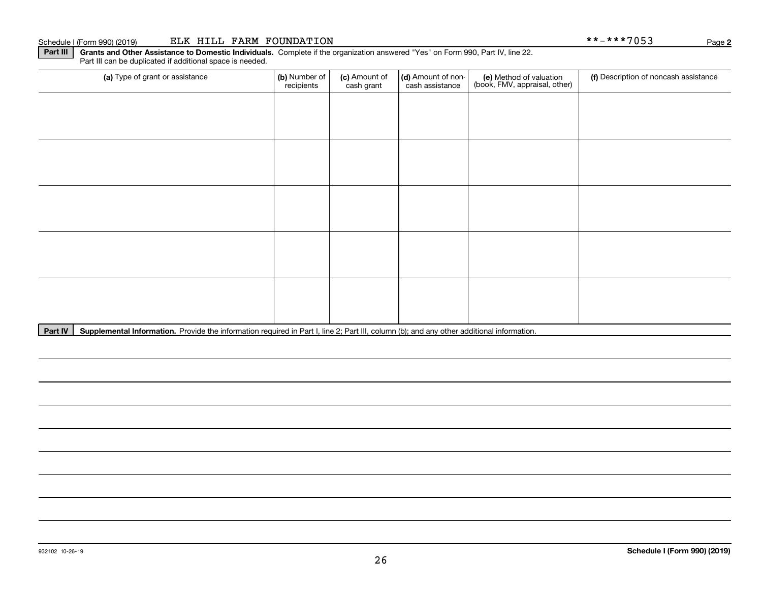Part III can be duplicated if additional space is needed.

| (a) Type of grant or assistance                                               | (b) Number of<br>recipients | (c) Amount of<br>cash grant | (d) Amount of non-<br>cash assistance | (e) Method of valuation<br>(book, FMV, appraisal, other) | (f) Description of noncash assistance |
|-------------------------------------------------------------------------------|-----------------------------|-----------------------------|---------------------------------------|----------------------------------------------------------|---------------------------------------|
|                                                                               |                             |                             |                                       |                                                          |                                       |
|                                                                               |                             |                             |                                       |                                                          |                                       |
|                                                                               |                             |                             |                                       |                                                          |                                       |
|                                                                               |                             |                             |                                       |                                                          |                                       |
|                                                                               |                             |                             |                                       |                                                          |                                       |
|                                                                               |                             |                             |                                       |                                                          |                                       |
|                                                                               |                             |                             |                                       |                                                          |                                       |
|                                                                               |                             |                             |                                       |                                                          |                                       |
|                                                                               |                             |                             |                                       |                                                          |                                       |
|                                                                               |                             |                             |                                       |                                                          |                                       |
| the contract of the contract of the<br><b>Contract Contract Contract</b><br>. |                             |                             |                                       |                                                          |                                       |

Part IV | Supplemental Information. Provide the information required in Part I, line 2; Part III, column (b); and any other additional information.

**2**

Schedule I (Form 990) (2019) ELK HILL FARM FOUNDATION \* \* - \* \* \* 7 0 5 3 Page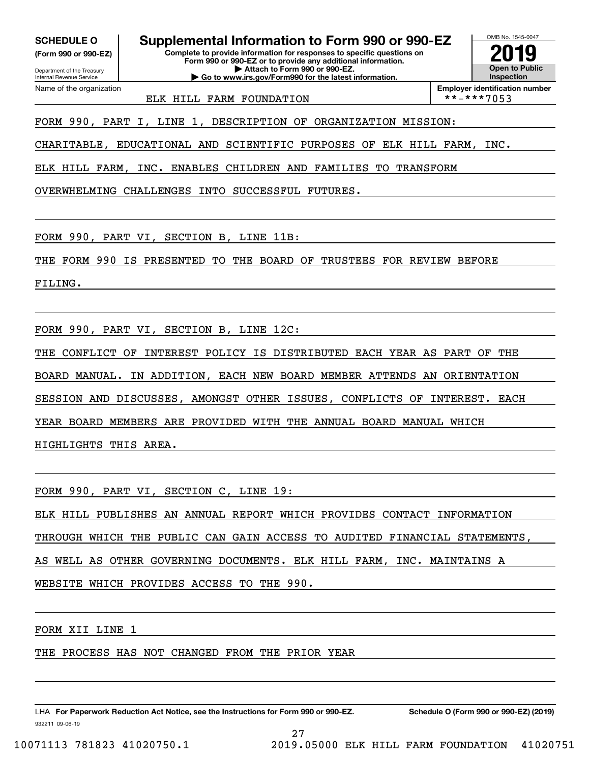**(Form 990 or 990-EZ)**

Department of the Treasury Internal Revenue Service Name of the organization

**SCHEDULE O Supplemental Information to Form 990 or 990-EZ**

**Complete to provide information for responses to specific questions on Form 990 or 990-EZ or to provide any additional information. | Attach to Form 990 or 990-EZ. | Go to www.irs.gov/Form990 for the latest information.**



ELK HILL FARM FOUNDATION \*\*-\*\*\*7053

**Employer identification number**

FORM 990, PART I, LINE 1, DESCRIPTION OF ORGANIZATION MISSION:

CHARITABLE, EDUCATIONAL AND SCIENTIFIC PURPOSES OF ELK HILL FARM, INC.

ELK HILL FARM, INC. ENABLES CHILDREN AND FAMILIES TO TRANSFORM

OVERWHELMING CHALLENGES INTO SUCCESSFUL FUTURES.

FORM 990, PART VI, SECTION B, LINE 11B:

THE FORM 990 IS PRESENTED TO THE BOARD OF TRUSTEES FOR REVIEW BEFORE

FILING.

FORM 990, PART VI, SECTION B, LINE 12C:

THE CONFLICT OF INTEREST POLICY IS DISTRIBUTED EACH YEAR AS PART OF THE

BOARD MANUAL. IN ADDITION, EACH NEW BOARD MEMBER ATTENDS AN ORIENTATION

SESSION AND DISCUSSES, AMONGST OTHER ISSUES, CONFLICTS OF INTEREST. EACH

YEAR BOARD MEMBERS ARE PROVIDED WITH THE ANNUAL BOARD MANUAL WHICH

HIGHLIGHTS THIS AREA.

FORM 990, PART VI, SECTION C, LINE 19:

ELK HILL PUBLISHES AN ANNUAL REPORT WHICH PROVIDES CONTACT INFORMATION

THROUGH WHICH THE PUBLIC CAN GAIN ACCESS TO AUDITED FINANCIAL STATEMENTS,

27

AS WELL AS OTHER GOVERNING DOCUMENTS. ELK HILL FARM, INC. MAINTAINS A

WEBSITE WHICH PROVIDES ACCESS TO THE 990.

FORM XII LINE 1

THE PROCESS HAS NOT CHANGED FROM THE PRIOR YEAR

932211 09-06-19 LHA For Paperwork Reduction Act Notice, see the Instructions for Form 990 or 990-EZ. Schedule O (Form 990 or 990-EZ) (2019)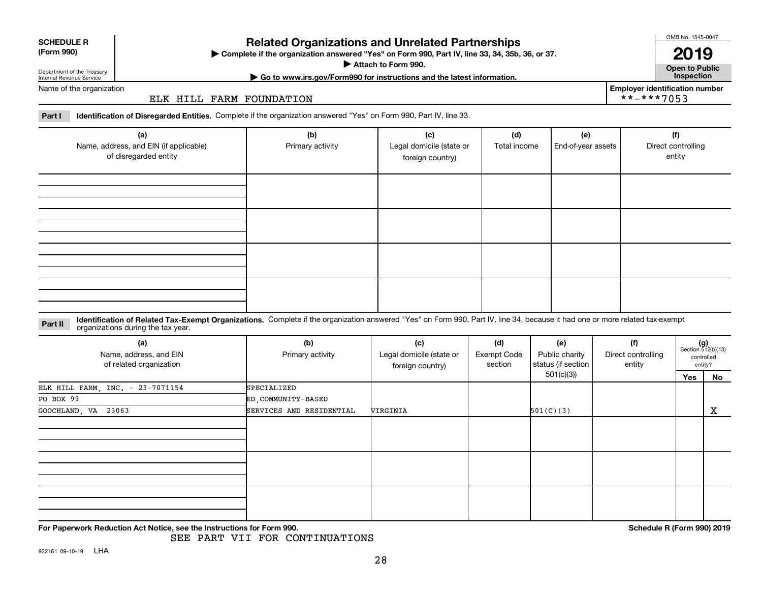| (Form 990) |  |
|------------|--|
|------------|--|

# **SCHEDULE R**

#### **Related Organizations and Unrelated Partnerships**

**Complete if the organization answered "Yes" on Form 990, Part IV, line 33, 34, 35b, 36, or 37.** |

**Attach to Form 990.**  |

OMB No. 1545-0047

**Open to Public | Go to www.irs.gov/Form990 for instructions and the latest information. Inspection 2019**

**Employer identification number**

 $***-***7053$ 

Department of the Treasury Internal Revenue Service Name of the organization

ELK HILL FARM FOUNDATION

**Part I Identification of Disregarded Entities.**  Complete if the organization answered "Yes" on Form 990, Part IV, line 33.

| (a)<br>Name, address, and EIN (if applicable)<br>of disregarded entity | (b)<br>Primary activity | (c)<br>Legal domicile (state or<br>foreign country) | (d)<br>Total income | (e)<br>End-of-year assets | (f)<br>Direct controlling<br>entity |
|------------------------------------------------------------------------|-------------------------|-----------------------------------------------------|---------------------|---------------------------|-------------------------------------|
|                                                                        |                         |                                                     |                     |                           |                                     |
|                                                                        |                         |                                                     |                     |                           |                                     |
|                                                                        |                         |                                                     |                     |                           |                                     |
|                                                                        |                         |                                                     |                     |                           |                                     |

#### **Identification of Related Tax-Exempt Organizations.** Complete if the organization answered "Yes" on Form 990, Part IV, line 34, because it had one or more related tax-exempt **Part II** organizations during the tax year.

| (a)<br>Name, address, and EIN<br>of related organization | (b)<br>Primary activity  | (c)<br>Legal domicile (state or<br>foreign country) | (d)<br>Exempt Code<br>section | (e)<br>Public charity<br>status (if section | (f)<br>Direct controlling<br>entity | $(g)$<br>Section 512(b)(13) | controlled<br>entity? |
|----------------------------------------------------------|--------------------------|-----------------------------------------------------|-------------------------------|---------------------------------------------|-------------------------------------|-----------------------------|-----------------------|
|                                                          |                          |                                                     |                               | 501(c)(3))                                  |                                     | Yes                         | No                    |
| ELK HILL FARM, INC. - 23-7071154                         | SPECIALIZED              |                                                     |                               |                                             |                                     |                             |                       |
| PO BOX 99                                                | ED COMMUNITY-BASED       |                                                     |                               |                                             |                                     |                             |                       |
| GOOCHLAND, VA 23063                                      | SERVICES AND RESIDENTIAL | VIRGINIA                                            |                               | 501(C)(3)                                   |                                     | x                           |                       |
|                                                          |                          |                                                     |                               |                                             |                                     |                             |                       |
|                                                          |                          |                                                     |                               |                                             |                                     |                             |                       |
|                                                          |                          |                                                     |                               |                                             |                                     |                             |                       |

**For Paperwork Reduction Act Notice, see the Instructions for Form 990. Schedule R (Form 990) 2019**

SEE PART VII FOR CONTINUATIONS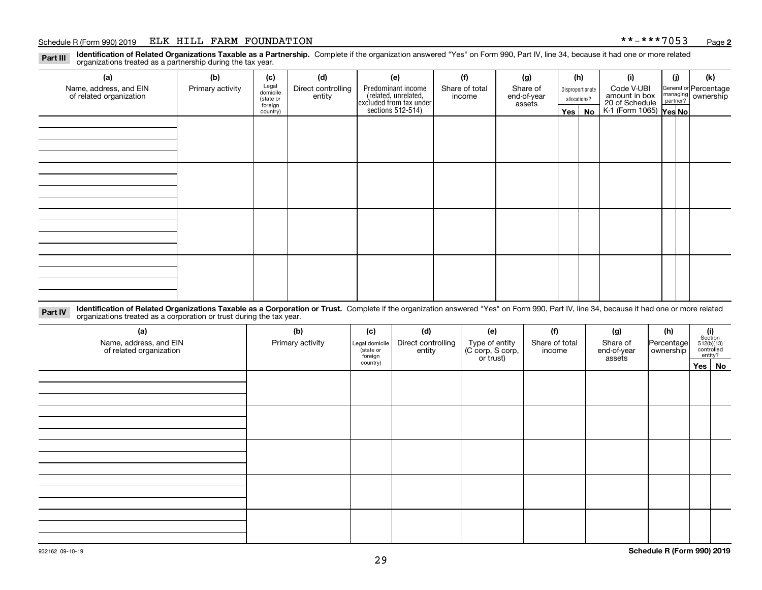#### Schedule R (Form 990) 2019 ELK HILL FARM FOUNDATION \* \*-\* \* \* 7 0 5 3 Page

**Identification of Related Organizations Taxable as a Partnership.** Complete if the organization answered "Yes" on Form 990, Part IV, line 34, because it had one or more related **Part III** organizations treated as a partnership during the tax year.

| (a)                                               | (b)              | (c)                  | (d)                          | (e)                                                                 | (f)                     | (g)    |                  | (h)        | (i)                                                       | (j)                                                     | (k) |
|---------------------------------------------------|------------------|----------------------|------------------------------|---------------------------------------------------------------------|-------------------------|--------|------------------|------------|-----------------------------------------------------------|---------------------------------------------------------|-----|
| Name, address, and EIN<br>of related organization | Primary activity | Legal<br>domicile    | Direct controlling<br>entity | Predominant income<br>Share of total                                | Share of<br>end-of-year |        | Disproportionate | Code V-UBI |                                                           | General or Percentage<br>managing ownership<br>partner? |     |
|                                                   |                  | (state or<br>foreign |                              |                                                                     | income                  | assets | allocations?     |            |                                                           |                                                         |     |
|                                                   |                  | country)             |                              | related, unrelated,<br>excluded from tax under<br>sections 512-514) |                         |        |                  | Yes   No   | amount in box<br>20 of Schedule<br>K-1 (Form 1065) Yes No |                                                         |     |
|                                                   |                  |                      |                              |                                                                     |                         |        |                  |            |                                                           |                                                         |     |
|                                                   |                  |                      |                              |                                                                     |                         |        |                  |            |                                                           |                                                         |     |
|                                                   |                  |                      |                              |                                                                     |                         |        |                  |            |                                                           |                                                         |     |
|                                                   |                  |                      |                              |                                                                     |                         |        |                  |            |                                                           |                                                         |     |
|                                                   |                  |                      |                              |                                                                     |                         |        |                  |            |                                                           |                                                         |     |
|                                                   |                  |                      |                              |                                                                     |                         |        |                  |            |                                                           |                                                         |     |
|                                                   |                  |                      |                              |                                                                     |                         |        |                  |            |                                                           |                                                         |     |
|                                                   |                  |                      |                              |                                                                     |                         |        |                  |            |                                                           |                                                         |     |
|                                                   |                  |                      |                              |                                                                     |                         |        |                  |            |                                                           |                                                         |     |
|                                                   |                  |                      |                              |                                                                     |                         |        |                  |            |                                                           |                                                         |     |
|                                                   |                  |                      |                              |                                                                     |                         |        |                  |            |                                                           |                                                         |     |
|                                                   |                  |                      |                              |                                                                     |                         |        |                  |            |                                                           |                                                         |     |
|                                                   |                  |                      |                              |                                                                     |                         |        |                  |            |                                                           |                                                         |     |
|                                                   |                  |                      |                              |                                                                     |                         |        |                  |            |                                                           |                                                         |     |
|                                                   |                  |                      |                              |                                                                     |                         |        |                  |            |                                                           |                                                         |     |
|                                                   |                  |                      |                              |                                                                     |                         |        |                  |            |                                                           |                                                         |     |
|                                                   |                  |                      |                              |                                                                     |                         |        |                  |            |                                                           |                                                         |     |

**Identification of Related Organizations Taxable as a Corporation or Trust.** Complete if the organization answered "Yes" on Form 990, Part IV, line 34, because it had one or more related **Part IV** organizations treated as a corporation or trust during the tax year.

| (a)<br>Name, address, and EIN<br>of related organization | (b)<br>Primary activity | (c)<br>(d)<br>Direct controlling<br>Legal domicile<br>state or<br>entity<br>foreign |  | (e)<br>Type of entity<br>(C corp, S corp,<br>or trust) | (f)<br>Share of total<br>income | (g)<br>Share of<br>end-of-year<br>assets | (h)<br>Percentage<br>ownership | $(i)$ Section<br>512(b)(13)<br>controlled<br>entity? |  |
|----------------------------------------------------------|-------------------------|-------------------------------------------------------------------------------------|--|--------------------------------------------------------|---------------------------------|------------------------------------------|--------------------------------|------------------------------------------------------|--|
|                                                          |                         | country)                                                                            |  |                                                        |                                 |                                          |                                | Yes No                                               |  |
|                                                          |                         |                                                                                     |  |                                                        |                                 |                                          |                                |                                                      |  |
|                                                          |                         |                                                                                     |  |                                                        |                                 |                                          |                                |                                                      |  |
|                                                          |                         |                                                                                     |  |                                                        |                                 |                                          |                                |                                                      |  |
|                                                          |                         |                                                                                     |  |                                                        |                                 |                                          |                                |                                                      |  |
|                                                          |                         |                                                                                     |  |                                                        |                                 |                                          |                                |                                                      |  |
|                                                          |                         |                                                                                     |  |                                                        |                                 |                                          |                                |                                                      |  |
|                                                          |                         |                                                                                     |  |                                                        |                                 |                                          |                                |                                                      |  |
|                                                          |                         |                                                                                     |  |                                                        |                                 |                                          |                                |                                                      |  |
|                                                          |                         |                                                                                     |  |                                                        |                                 |                                          |                                |                                                      |  |
|                                                          |                         |                                                                                     |  |                                                        |                                 |                                          |                                |                                                      |  |
|                                                          |                         |                                                                                     |  |                                                        |                                 |                                          |                                |                                                      |  |
|                                                          |                         |                                                                                     |  |                                                        |                                 |                                          |                                |                                                      |  |
|                                                          |                         |                                                                                     |  |                                                        |                                 |                                          |                                |                                                      |  |
|                                                          |                         |                                                                                     |  |                                                        |                                 |                                          |                                |                                                      |  |
|                                                          |                         |                                                                                     |  |                                                        |                                 |                                          |                                |                                                      |  |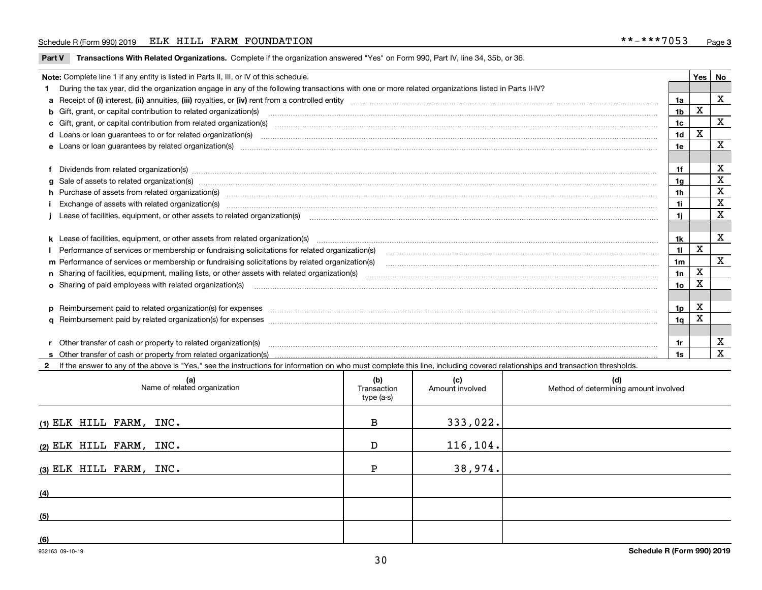#### Schedule R (Form 990) 2019 ELK HILL FARM FOUNDATION \* \*-\* \* \* 7 0 5 3 Page

**Part V** T**ransactions With Related Organizations.** Complete if the organization answered "Yes" on Form 990, Part IV, line 34, 35b, or 36.

| <b>Yes</b>                                                                              |                                                                                                                                                                                                                                |                |   |              |  |  |
|-----------------------------------------------------------------------------------------|--------------------------------------------------------------------------------------------------------------------------------------------------------------------------------------------------------------------------------|----------------|---|--------------|--|--|
| Note: Complete line 1 if any entity is listed in Parts II, III, or IV of this schedule. |                                                                                                                                                                                                                                |                |   |              |  |  |
|                                                                                         | 1 During the tax year, did the organization engage in any of the following transactions with one or more related organizations listed in Parts II-IV?                                                                          |                |   |              |  |  |
|                                                                                         |                                                                                                                                                                                                                                | 1a             |   | X            |  |  |
|                                                                                         | b Gift, grant, or capital contribution to related organization(s) manufactured and contribution to related organization(s)                                                                                                     | 1 <sub>b</sub> | x |              |  |  |
|                                                                                         | c Gift, grant, or capital contribution from related organization(s) matches contains and contribution from related organization(s) matches contains and contribution from related organization(s) matches contains and contain | 1c             |   | $\mathbf X$  |  |  |
|                                                                                         |                                                                                                                                                                                                                                | 1 <sub>d</sub> | X |              |  |  |
|                                                                                         |                                                                                                                                                                                                                                | 1e             |   | X            |  |  |
|                                                                                         |                                                                                                                                                                                                                                |                |   |              |  |  |
|                                                                                         | f Dividends from related organization(s) manufactured contains and contained and contained contained and contained and contained and contained and contained and contained and contained and contained and contained and conta | 1f             |   | X            |  |  |
|                                                                                         | g Sale of assets to related organization(s) manufacture content and content and content and content and content and content and content and content and content and content and content and content and content and content an | 1a             |   | X            |  |  |
|                                                                                         | h Purchase of assets from related organization(s) macrocommunically contained and contained and contained and contained and contained and contained and contained and contained and contained and contained and contained and  | 1 <sub>h</sub> |   | X            |  |  |
|                                                                                         | Exchange of assets with related organization(s) www.assettion.com/www.assettion.com/www.assettion.com/www.assettion.com/www.assettion.com/www.assettion.com/www.assettion.com/www.assettion.com/www.assettion.com/www.assettio | 1i.            |   | X            |  |  |
|                                                                                         | Lease of facilities, equipment, or other assets to related organization(s) commences contained and contained and contained and contained and contained and contained and contained and contained and contained and contained a | 11             |   | $\mathbf X$  |  |  |
|                                                                                         |                                                                                                                                                                                                                                |                |   |              |  |  |
|                                                                                         |                                                                                                                                                                                                                                | 1k             |   | $\mathbf X$  |  |  |
|                                                                                         |                                                                                                                                                                                                                                | 11             | x |              |  |  |
|                                                                                         | m Performance of services or membership or fundraising solicitations by related organization(s)                                                                                                                                | 1 <sub>m</sub> |   | $\mathbf{x}$ |  |  |
|                                                                                         |                                                                                                                                                                                                                                | 1n             | x |              |  |  |
|                                                                                         | <b>o</b> Sharing of paid employees with related organization(s)                                                                                                                                                                | 10             | Χ |              |  |  |
|                                                                                         |                                                                                                                                                                                                                                |                |   |              |  |  |
|                                                                                         | p Reimbursement paid to related organization(s) for expenses [11111] [12] manufacture manufacture manufacture manufacture manufacture manufacture manufacture manufacture manufacture manufacture manufacture manufacture manu | 1p             | X |              |  |  |
|                                                                                         |                                                                                                                                                                                                                                | 1q             | X |              |  |  |
|                                                                                         |                                                                                                                                                                                                                                |                |   |              |  |  |
|                                                                                         | r Other transfer of cash or property to related organization(s)                                                                                                                                                                | 1r             |   | X            |  |  |
|                                                                                         |                                                                                                                                                                                                                                | 1s             |   | $\mathbf x$  |  |  |
|                                                                                         | 2 If the answer to any of the above is "Yes," see the instructions for information on who must complete this line, including covered relationships and transaction thresholds.                                                 |                |   |              |  |  |

| (a)<br>Name of related organization | (b)<br>Transaction<br>type (a-s) | (c)<br>Amount involved | (d)<br>Method of determining amount involved |
|-------------------------------------|----------------------------------|------------------------|----------------------------------------------|
| $(1)$ ELK HILL FARM, INC.           | В                                | 333,022.               |                                              |
| (2) ELK HILL FARM, $INC.$           | D                                | 116, 104.              |                                              |
| (3) ELK HILL FARM, $INC.$           | D                                | 38,974.                |                                              |
| (4)                                 |                                  |                        |                                              |
| (5)                                 |                                  |                        |                                              |
| (6)                                 |                                  |                        |                                              |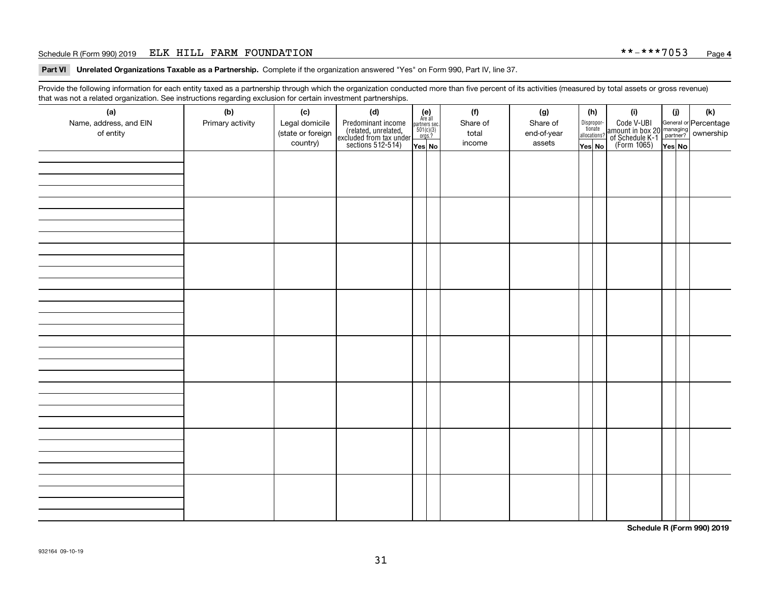#### Schedule R (Form 990) 2019 ELK HILL FARM FOUNDATION \* \*-\* \* \* 7 0 5 3 Page

**Part VI Unrelated Organizations Taxable as a Partnership. Complete if the organization answered "Yes" on Form 990, Part IV, line 37.** 

Provide the following information for each entity taxed as a partnership through which the organization conducted more than five percent of its activities (measured by total assets or gross revenue) that was not a related organization. See instructions regarding exclusion for certain investment partnerships.

| . . <b>. . .</b> . <b>.</b><br>- <del>.</del><br>(a)<br>Name, address, and EIN<br>of entity | . - ອ---<br>(b)<br>Primary activity | (c)<br>Legal domicile<br>(state or foreign<br>country) | .<br>(d)<br>Predominant income<br>(related, unrelated,<br>excluded from tax under<br>sections 512-514) | $\begin{array}{c} \textbf{(e)}\\ \text{Area all} \\ \text{partners sec.}\\ 501(c)(3) \\ \text{orgs.?} \end{array}$<br>Yes No | (f)<br>Share of<br>total<br>income | (g)<br>Share of<br>end-of-year<br>assets | (h)<br>allocations?<br>Yes No | Dispropor-<br>tionate | (i)<br>Code V-UBI<br>amount in box 20 managing<br>of Schedule K-1<br>(Form 1065)<br>$\overline{Yes}$ No | (i)<br>Yes No | (k) |
|---------------------------------------------------------------------------------------------|-------------------------------------|--------------------------------------------------------|--------------------------------------------------------------------------------------------------------|------------------------------------------------------------------------------------------------------------------------------|------------------------------------|------------------------------------------|-------------------------------|-----------------------|---------------------------------------------------------------------------------------------------------|---------------|-----|
|                                                                                             |                                     |                                                        |                                                                                                        |                                                                                                                              |                                    |                                          |                               |                       |                                                                                                         |               |     |
|                                                                                             |                                     |                                                        |                                                                                                        |                                                                                                                              |                                    |                                          |                               |                       |                                                                                                         |               |     |
|                                                                                             |                                     |                                                        |                                                                                                        |                                                                                                                              |                                    |                                          |                               |                       |                                                                                                         |               |     |
|                                                                                             |                                     |                                                        |                                                                                                        |                                                                                                                              |                                    |                                          |                               |                       |                                                                                                         |               |     |
|                                                                                             |                                     |                                                        |                                                                                                        |                                                                                                                              |                                    |                                          |                               |                       |                                                                                                         |               |     |
|                                                                                             |                                     |                                                        |                                                                                                        |                                                                                                                              |                                    |                                          |                               |                       |                                                                                                         |               |     |
|                                                                                             |                                     |                                                        |                                                                                                        |                                                                                                                              |                                    |                                          |                               |                       |                                                                                                         |               |     |
|                                                                                             |                                     |                                                        |                                                                                                        |                                                                                                                              |                                    |                                          |                               |                       |                                                                                                         |               |     |

**Schedule R (Form 990) 2019**